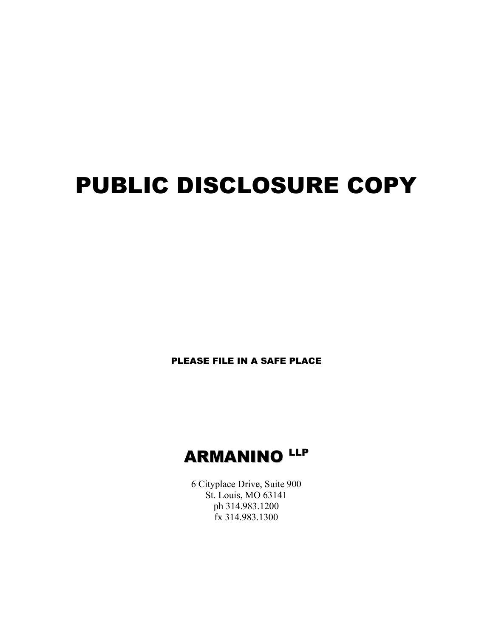# PUBLIC DISCLOSURE COPY

PLEASE FILE IN A SAFE PLACE

# armanino <sup>llp</sup>

6 Cityplace Drive, Suite 900 St. Louis, MO 63141 ph 314.983.1200 fx 314.983.1300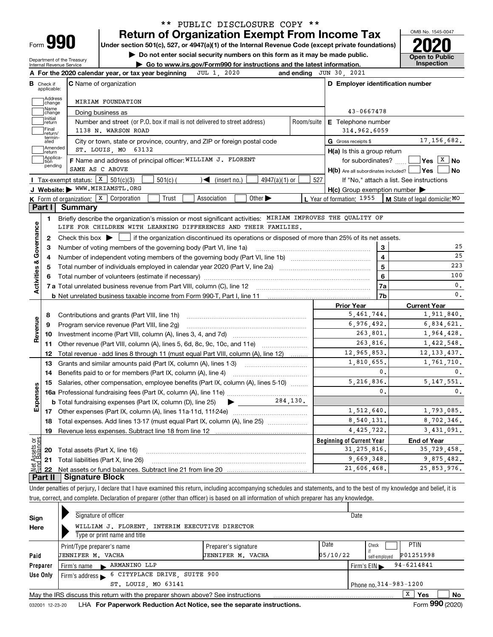| <b>Form</b> |  |
|-------------|--|

#### **Return of Organization Exempt From Income Tax** \*\* PUBLIC DISCLOSURE COPY \*\*

**Under section 501(c), 527, or 4947(a)(1) of the Internal Revenue Code (except private foundations) 2020**

**| Do not enter social security numbers on this form as it may be made public.**

Department of the Treasury Internal Revenue Service

**| Go to www.irs.gov/Form990 for instructions and the latest information. Inspection**



|                         |                                                   | JUL 1, 2020<br>A For the 2020 calendar year, or tax year beginning                                                                                  |                | and ending JUN 30, 2021                             |                                          |  |  |  |  |  |
|-------------------------|---------------------------------------------------|-----------------------------------------------------------------------------------------------------------------------------------------------------|----------------|-----------------------------------------------------|------------------------------------------|--|--|--|--|--|
| В                       | Check if<br>applicable:                           | C Name of organization                                                                                                                              |                | D Employer identification number                    |                                          |  |  |  |  |  |
|                         | Address<br>change                                 | MIRIAM FOUNDATION                                                                                                                                   |                |                                                     |                                          |  |  |  |  |  |
|                         | Name<br>43-0667478<br>Doing business as<br>change |                                                                                                                                                     |                |                                                     |                                          |  |  |  |  |  |
|                         | Initial<br>return                                 | Number and street (or P.O. box if mail is not delivered to street address)                                                                          | Room/suite     | E Telephone number                                  |                                          |  |  |  |  |  |
|                         | Final<br>return/                                  | 1138 N. WARSON ROAD                                                                                                                                 |                | 314,962,6059                                        |                                          |  |  |  |  |  |
|                         | termin-<br>ated                                   | City or town, state or province, country, and ZIP or foreign postal code                                                                            |                | G Gross receipts \$                                 | 17, 156, 682.                            |  |  |  |  |  |
|                         | Amended<br>Ireturn                                | ST. LOUIS, MO 63132                                                                                                                                 |                | $H(a)$ is this a group return                       |                                          |  |  |  |  |  |
|                         | Applica-<br>tion                                  | F Name and address of principal officer: WILLIAM J. FLORENT                                                                                         |                | for subordinates?                                   | <u> ∣</u> Yes <u>│<sup>x</sup> │</u> No  |  |  |  |  |  |
|                         | pending                                           | SAME AS C ABOVE                                                                                                                                     |                | $H(b)$ Are all subordinates included? $\Box$ Yes    | l No                                     |  |  |  |  |  |
|                         |                                                   | Tax-exempt status: $X$ 501(c)(3)<br>$501(c)$ (<br>$\sqrt{\bullet}$ (insert no.)<br>$4947(a)(1)$ or                                                  | 527            |                                                     | If "No," attach a list. See instructions |  |  |  |  |  |
|                         |                                                   | J Website: WWW.MIRIAMSTL.ORG                                                                                                                        |                | $H(c)$ Group exemption number $\blacktriangleright$ |                                          |  |  |  |  |  |
|                         |                                                   | Other $\blacktriangleright$<br><b>K</b> Form of organization: $\boxed{\textbf{x}}$ Corporation<br>Trust<br>Association                              |                | L Year of formation: 1955                           | M State of legal domicile: MO            |  |  |  |  |  |
|                         | Part I                                            | Summary                                                                                                                                             |                |                                                     |                                          |  |  |  |  |  |
|                         | 1.                                                | Briefly describe the organization's mission or most significant activities: MIRIAM IMPROVES THE QUALITY OF                                          |                |                                                     |                                          |  |  |  |  |  |
|                         |                                                   | LIFE FOR CHILDREN WITH LEARNING DIFFERENCES AND THEIR FAMILIES.                                                                                     |                |                                                     |                                          |  |  |  |  |  |
| Activities & Governance | $\mathbf{2}$                                      | Check this box $\blacktriangleright$ $\blacksquare$ if the organization discontinued its operations or disposed of more than 25% of its net assets. |                |                                                     |                                          |  |  |  |  |  |
|                         | З                                                 | Number of voting members of the governing body (Part VI, line 1a)                                                                                   |                | 3                                                   | 25                                       |  |  |  |  |  |
|                         | 4                                                 |                                                                                                                                                     | $\overline{4}$ | 25                                                  |                                          |  |  |  |  |  |
|                         | 5                                                 |                                                                                                                                                     | 5              | 223                                                 |                                          |  |  |  |  |  |
|                         |                                                   |                                                                                                                                                     |                | 6                                                   | 100                                      |  |  |  |  |  |
|                         |                                                   |                                                                                                                                                     |                | 7a                                                  | $\mathbf{0}$ .                           |  |  |  |  |  |
|                         |                                                   |                                                                                                                                                     |                | 7b                                                  | $\mathbf{0}$ .                           |  |  |  |  |  |
|                         |                                                   |                                                                                                                                                     |                | <b>Prior Year</b>                                   | <b>Current Year</b>                      |  |  |  |  |  |
|                         | 8                                                 | Contributions and grants (Part VIII, line 1h)                                                                                                       |                | 5,461,744.                                          | 1,911,840.                               |  |  |  |  |  |
| Revenue                 | 9                                                 | Program service revenue (Part VIII, line 2g)                                                                                                        |                | 6,976,492.                                          | 6,834,621.                               |  |  |  |  |  |
|                         | 10                                                |                                                                                                                                                     |                | 263,801.                                            | 1,964,428.                               |  |  |  |  |  |
|                         | 11                                                | Other revenue (Part VIII, column (A), lines 5, 6d, 8c, 9c, 10c, and 11e)                                                                            |                | 263,816.                                            | 1,422,548.                               |  |  |  |  |  |
|                         | 12                                                | Total revenue - add lines 8 through 11 (must equal Part VIII, column (A), line 12)                                                                  |                | 12,965,853.                                         | 12, 133, 437.                            |  |  |  |  |  |
|                         | 13                                                | Grants and similar amounts paid (Part IX, column (A), lines 1-3)                                                                                    |                | 1,810,655.                                          | 1,761,710.                               |  |  |  |  |  |
|                         | 14                                                |                                                                                                                                                     |                | 0.                                                  | $\mathbf{0}$ .                           |  |  |  |  |  |
|                         | 15                                                | Salaries, other compensation, employee benefits (Part IX, column (A), lines 5-10)                                                                   |                | 5,216,836.                                          | 5, 147, 551.                             |  |  |  |  |  |
|                         |                                                   |                                                                                                                                                     |                | $\mathbf{0}$ .                                      | $\mathbf{0}$ .                           |  |  |  |  |  |
| Expenses                |                                                   | 284,130.<br><b>b</b> Total fundraising expenses (Part IX, column (D), line 25)<br>$\blacktriangleright$ and $\blacktriangleright$                   |                |                                                     |                                          |  |  |  |  |  |
|                         |                                                   |                                                                                                                                                     |                | 1,512,640.                                          | 1,793,085.                               |  |  |  |  |  |
|                         | 18                                                | Total expenses. Add lines 13-17 (must equal Part IX, column (A), line 25)                                                                           |                | 8,540,131.                                          | 8,702,346.                               |  |  |  |  |  |
|                         | 19                                                |                                                                                                                                                     |                | 4, 425, 722.                                        | 3,431,091.                               |  |  |  |  |  |
| ទន្ទ័                   |                                                   |                                                                                                                                                     |                | <b>Beginning of Current Year</b>                    | <b>End of Year</b>                       |  |  |  |  |  |
| sets                    | 20                                                | Total assets (Part X, line 16)                                                                                                                      |                | 31, 275, 816.                                       | 35,729,458.                              |  |  |  |  |  |
|                         |                                                   | 21 Total liabilities (Part X, line 26)                                                                                                              |                | 9,669,348.                                          | 9,875,482.                               |  |  |  |  |  |
|                         | 22                                                |                                                                                                                                                     |                | 21,606,468.                                         | 25,853,976.                              |  |  |  |  |  |
|                         | Part II                                           | <b>Signature Block</b>                                                                                                                              |                |                                                     |                                          |  |  |  |  |  |

Under penalties of perjury, I declare that I have examined this return, including accompanying schedules and statements, and to the best of my knowledge and belief, it is true, correct, and complete. Declaration of preparer (other than officer) is based on all information of which preparer has any knowledge.

|              |                                               | Signature of officer                                                            |                      |          | Date                             |               |                |                |  |
|--------------|-----------------------------------------------|---------------------------------------------------------------------------------|----------------------|----------|----------------------------------|---------------|----------------|----------------|--|
| Sign<br>Here |                                               | WILLIAM J. FLORENT, INTERIM EXECUTIVE DIRECTOR                                  |                      |          |                                  |               |                |                |  |
|              |                                               | Type or print name and title                                                    |                      |          |                                  |               |                |                |  |
|              |                                               | Print/Type preparer's name                                                      | Preparer's signature | Date     | Check                            |               | <b>PTIN</b>    |                |  |
| Paid         |                                               | JENNIFER M. VACHA                                                               | JENNIFER M. VACHA    | 05/10/22 |                                  | self-emploved | P01251998      |                |  |
| Preparer     |                                               | Firm's name RRMANINO LLP                                                        |                      |          | Firm's $EIN \blacktriangleright$ |               | $94 - 6214841$ |                |  |
| Use Only     |                                               | 6 CITYPLACE DRIVE, SUITE 900<br>Firm's address $\blacktriangleright$            |                      |          |                                  |               |                |                |  |
|              | ST. LOUIS, MO 63141<br>Phone no. 314-983-1200 |                                                                                 |                      |          |                                  |               |                |                |  |
|              |                                               | May the IRS discuss this return with the preparer shown above? See instructions |                      |          |                                  |               | X<br>Yes       | <b>No</b>      |  |
|              |                                               |                                                                                 |                      |          |                                  |               |                | $000 \div 200$ |  |

032001 12-23-20 LHA **For Paperwork Reduction Act Notice, see the separate instructions. Form 990 (2020)**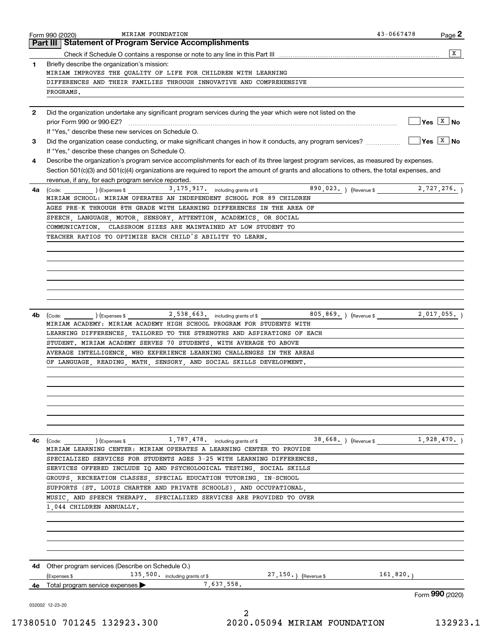|              | MIRIAM FOUNDATION<br>Form 990 (2020)<br><b>Statement of Program Service Accomplishments</b><br>Part III                                                                                                                                                    | 43-0667478 | Page 2                       |
|--------------|------------------------------------------------------------------------------------------------------------------------------------------------------------------------------------------------------------------------------------------------------------|------------|------------------------------|
|              |                                                                                                                                                                                                                                                            |            | X                            |
|              |                                                                                                                                                                                                                                                            |            |                              |
| 1            | Briefly describe the organization's mission:<br>MIRIAM IMPROVES THE QUALITY OF LIFE FOR CHILDREN WITH LEARNING                                                                                                                                             |            |                              |
|              | DIFFERENCES AND THEIR FAMILIES THROUGH INNOVATIVE AND COMPREHENSIVE                                                                                                                                                                                        |            |                              |
|              | PROGRAMS.                                                                                                                                                                                                                                                  |            |                              |
|              |                                                                                                                                                                                                                                                            |            |                              |
| $\mathbf{2}$ | Did the organization undertake any significant program services during the year which were not listed on the                                                                                                                                               |            | $Yes \boxed{X}$ No           |
|              |                                                                                                                                                                                                                                                            |            |                              |
| 3            | If "Yes," describe these new services on Schedule O.                                                                                                                                                                                                       |            | $\sqrt{Y}$ es $\boxed{X}$ No |
|              | Did the organization cease conducting, or make significant changes in how it conducts, any program services?<br>If "Yes," describe these changes on Schedule O.                                                                                            |            |                              |
| 4            | Describe the organization's program service accomplishments for each of its three largest program services, as measured by expenses.                                                                                                                       |            |                              |
|              | Section 501(c)(3) and 501(c)(4) organizations are required to report the amount of grants and allocations to others, the total expenses, and                                                                                                               |            |                              |
|              | revenue, if any, for each program service reported.                                                                                                                                                                                                        |            |                              |
|              |                                                                                                                                                                                                                                                            |            |                              |
| 4a           | MIRIAM SCHOOL: MIRIAM OPERATES AN INDEPENDENT SCHOOL FOR 89 CHILDREN                                                                                                                                                                                       |            |                              |
|              | AGES PRE-K THROUGH 8TH GRADE WITH LEARNING DIFFERENCES IN THE AREA OF                                                                                                                                                                                      |            |                              |
|              | SPEECH, LANGUAGE, MOTOR, SENSORY, ATTENTION, ACADEMICS, OR SOCIAL                                                                                                                                                                                          |            |                              |
|              |                                                                                                                                                                                                                                                            |            |                              |
|              | COMMUNICATION. CLASSROOM SIZES ARE MAINTAINED AT LOW STUDENT TO                                                                                                                                                                                            |            |                              |
|              | TEACHER RATIOS TO OPTIMIZE EACH CHILD'S ABILITY TO LEARN.                                                                                                                                                                                                  |            |                              |
|              |                                                                                                                                                                                                                                                            |            |                              |
|              |                                                                                                                                                                                                                                                            |            |                              |
|              |                                                                                                                                                                                                                                                            |            |                              |
|              |                                                                                                                                                                                                                                                            |            |                              |
|              |                                                                                                                                                                                                                                                            |            |                              |
|              |                                                                                                                                                                                                                                                            |            |                              |
|              |                                                                                                                                                                                                                                                            |            |                              |
| 4b           | $\frac{1}{2}$ (Code: $\frac{1}{2}$ ) (Expenses \$ 2,538,663. including grants of \$<br>805,869. ) (Revenue \$                                                                                                                                              |            | 2,017,055.                   |
|              | MIRIAM ACADEMY: MIRIAM ACADEMY HIGH SCHOOL PROGRAM FOR STUDENTS WITH                                                                                                                                                                                       |            |                              |
|              | LEARNING DIFFERENCES, TAILORED TO THE STRENGTHS AND ASPIRATIONS OF EACH                                                                                                                                                                                    |            |                              |
|              | STUDENT. MIRIAM ACADEMY SERVES 70 STUDENTS, WITH AVERAGE TO ABOVE                                                                                                                                                                                          |            |                              |
|              | AVERAGE INTELLIGENCE, WHO EXPERIENCE LEARNING CHALLENGES IN THE AREAS                                                                                                                                                                                      |            |                              |
|              | OF LANGUAGE READING MATH SENSORY AND SOCIAL SKILLS DEVELOPMENT.                                                                                                                                                                                            |            |                              |
|              |                                                                                                                                                                                                                                                            |            |                              |
|              |                                                                                                                                                                                                                                                            |            |                              |
|              |                                                                                                                                                                                                                                                            |            |                              |
|              |                                                                                                                                                                                                                                                            |            |                              |
|              |                                                                                                                                                                                                                                                            |            |                              |
|              |                                                                                                                                                                                                                                                            |            |                              |
|              |                                                                                                                                                                                                                                                            |            |                              |
|              |                                                                                                                                                                                                                                                            |            |                              |
| 4c           | 38,668. (Revenue \$1,928,470.)<br>$\left(\text{Code:}\begin{array}{c} \text{Code:} \end{array}\right)$ $\left(\text{Expenses $}\begin{array}{c} \text{Since} \end{array}\right)$ $\left(\text{Expenses $}\begin{array}{c} \text{Since} \end{array}\right)$ |            |                              |
|              | MIRIAM LEARNING CENTER: MIRIAM OPERATES A LEARNING CENTER TO PROVIDE                                                                                                                                                                                       |            |                              |
|              | SPECIALIZED SERVICES FOR STUDENTS AGES 3-25 WITH LEARNING DIFFERENCES.                                                                                                                                                                                     |            |                              |
|              | SERVICES OFFERED INCLUDE IQ AND PSYCHOLOGICAL TESTING, SOCIAL SKILLS                                                                                                                                                                                       |            |                              |
|              | GROUPS, RECREATION CLASSES, SPECIAL EDUCATION TUTORING, IN-SCHOOL                                                                                                                                                                                          |            |                              |
|              | SUPPORTS (ST. LOUIS CHARTER AND PRIVATE SCHOOLS), AND OCCUPATIONAL,                                                                                                                                                                                        |            |                              |
|              | MUSIC, AND SPEECH THERAPY.<br>SPECIALIZED SERVICES ARE PROVIDED TO OVER                                                                                                                                                                                    |            |                              |
|              | 1,044 CHILDREN ANNUALLY.                                                                                                                                                                                                                                   |            |                              |
|              |                                                                                                                                                                                                                                                            |            |                              |
|              |                                                                                                                                                                                                                                                            |            |                              |
|              |                                                                                                                                                                                                                                                            |            |                              |
|              |                                                                                                                                                                                                                                                            |            |                              |
|              |                                                                                                                                                                                                                                                            |            |                              |
|              | 4d Other program services (Describe on Schedule O.)                                                                                                                                                                                                        |            |                              |
|              | 135,500. including grants of \$<br>27,150.) (Revenue \$<br>(Expenses \$                                                                                                                                                                                    | 161,820.   |                              |
| 4е           | 7,637,558.<br>Total program service expenses                                                                                                                                                                                                               |            |                              |
|              |                                                                                                                                                                                                                                                            |            | Form 990 (2020)              |
|              | 032002 12-23-20                                                                                                                                                                                                                                            |            |                              |
|              | 2                                                                                                                                                                                                                                                          |            |                              |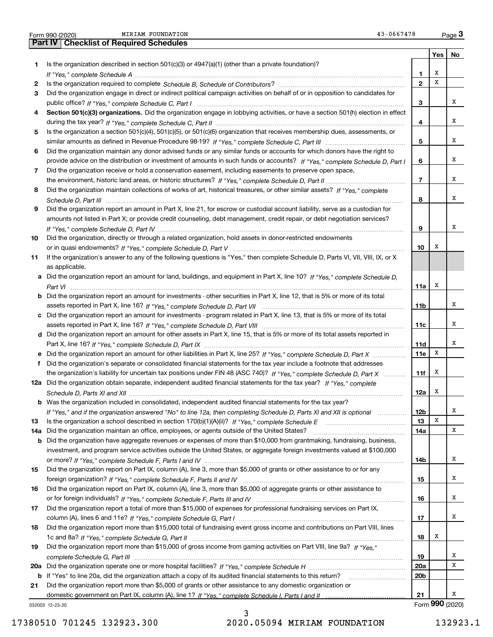|  | Form 990 (2020) |
|--|-----------------|

|     | 43-0667478<br>MIRIAM FOUNDATION<br>Form 990 (2020)                                                                                    |                 |     | Page $3$ |
|-----|---------------------------------------------------------------------------------------------------------------------------------------|-----------------|-----|----------|
|     | <b>Checklist of Required Schedules</b><br>  Part IV                                                                                   |                 |     |          |
|     |                                                                                                                                       |                 | Yes | No       |
| 1.  | Is the organization described in section $501(c)(3)$ or $4947(a)(1)$ (other than a private foundation)?                               |                 |     |          |
|     |                                                                                                                                       | 1               | х   |          |
| 2   |                                                                                                                                       | $\mathbf{2}$    | x   |          |
| 3   | Did the organization engage in direct or indirect political campaign activities on behalf of or in opposition to candidates for       |                 |     |          |
|     |                                                                                                                                       | 3               |     | x        |
| 4   | Section 501(c)(3) organizations. Did the organization engage in lobbying activities, or have a section 501(h) election in effect      |                 |     |          |
|     |                                                                                                                                       | 4               |     | х        |
|     | Is the organization a section 501(c)(4), 501(c)(5), or 501(c)(6) organization that receives membership dues, assessments, or          |                 |     |          |
| 5   |                                                                                                                                       |                 |     | х        |
|     |                                                                                                                                       | 5               |     |          |
| 6   | Did the organization maintain any donor advised funds or any similar funds or accounts for which donors have the right to             |                 |     |          |
|     | provide advice on the distribution or investment of amounts in such funds or accounts? If "Yes," complete Schedule D, Part I          | 6               |     | х        |
| 7   | Did the organization receive or hold a conservation easement, including easements to preserve open space,                             |                 |     |          |
|     |                                                                                                                                       | $\overline{7}$  |     | x        |
| 8   | Did the organization maintain collections of works of art, historical treasures, or other similar assets? If "Yes," complete          |                 |     |          |
|     |                                                                                                                                       | 8               |     | х        |
| 9   | Did the organization report an amount in Part X, line 21, for escrow or custodial account liability, serve as a custodian for         |                 |     |          |
|     | amounts not listed in Part X; or provide credit counseling, debt management, credit repair, or debt negotiation services?             |                 |     |          |
|     |                                                                                                                                       | 9               |     | х        |
| 10  | Did the organization, directly or through a related organization, hold assets in donor-restricted endowments                          |                 |     |          |
|     |                                                                                                                                       | 10              | х   |          |
| 11  | If the organization's answer to any of the following questions is "Yes," then complete Schedule D, Parts VI, VII, VIII, IX, or X      |                 |     |          |
|     | as applicable.                                                                                                                        |                 |     |          |
|     | Did the organization report an amount for land, buildings, and equipment in Part X, line 10? If "Yes," complete Schedule D.           |                 |     |          |
|     |                                                                                                                                       | 11a             | х   |          |
|     | <b>b</b> Did the organization report an amount for investments - other securities in Part X, line 12, that is 5% or more of its total |                 |     |          |
|     |                                                                                                                                       | 11b             |     | х        |
|     |                                                                                                                                       |                 |     |          |
|     | c Did the organization report an amount for investments - program related in Part X, line 13, that is 5% or more of its total         |                 |     | х        |
|     |                                                                                                                                       | 11c             |     |          |
|     | d Did the organization report an amount for other assets in Part X, line 15, that is 5% or more of its total assets reported in       |                 |     |          |
|     |                                                                                                                                       | 11d             |     | x        |
|     | e Did the organization report an amount for other liabilities in Part X, line 25? If "Yes," complete Schedule D, Part X               | <b>11e</b>      | Х   |          |
| f.  | Did the organization's separate or consolidated financial statements for the tax year include a footnote that addresses               |                 |     |          |
|     | the organization's liability for uncertain tax positions under FIN 48 (ASC 740)? If "Yes," complete Schedule D, Part X                | 11f             | x   |          |
|     | 12a Did the organization obtain separate, independent audited financial statements for the tax year? If "Yes," complete               |                 |     |          |
|     |                                                                                                                                       | 12a             | х   |          |
| b   | Was the organization included in consolidated, independent audited financial statements for the tax year?                             |                 |     |          |
|     | If "Yes," and if the organization answered "No" to line 12a, then completing Schedule D, Parts XI and XII is optional                 | 12 <sub>b</sub> |     | х        |
| 13  |                                                                                                                                       | 13              | X   |          |
| 14a | Did the organization maintain an office, employees, or agents outside of the United States?                                           | 14a             |     | X        |
| b   | Did the organization have aggregate revenues or expenses of more than \$10,000 from grantmaking, fundraising, business,               |                 |     |          |
|     | investment, and program service activities outside the United States, or aggregate foreign investments valued at \$100,000            |                 |     |          |
|     |                                                                                                                                       | 14b             |     | х        |
| 15  | Did the organization report on Part IX, column (A), line 3, more than \$5,000 of grants or other assistance to or for any             |                 |     |          |
|     |                                                                                                                                       | 15              |     | х        |
| 16  | Did the organization report on Part IX, column (A), line 3, more than \$5,000 of aggregate grants or other assistance to              |                 |     |          |
|     |                                                                                                                                       | 16              |     | х        |
| 17  | Did the organization report a total of more than \$15,000 of expenses for professional fundraising services on Part IX,               |                 |     |          |
|     |                                                                                                                                       |                 |     | х        |
|     |                                                                                                                                       | 17              |     |          |
| 18  | Did the organization report more than \$15,000 total of fundraising event gross income and contributions on Part VIII, lines          |                 |     |          |
|     |                                                                                                                                       | 18              | x   |          |
| 19  | Did the organization report more than \$15,000 of gross income from gaming activities on Part VIII, line 9a? If "Yes."                |                 |     |          |
|     |                                                                                                                                       | 19              |     | x        |
| 20a |                                                                                                                                       | 20a             |     | X        |
| b   | If "Yes" to line 20a, did the organization attach a copy of its audited financial statements to this return?                          | 20 <sub>b</sub> |     |          |
| 21  | Did the organization report more than \$5,000 of grants or other assistance to any domestic organization or                           |                 |     |          |
|     |                                                                                                                                       | 21              |     | х        |

032003 12-23-20

Form (2020) **990**

17380510 701245 132923.300 2020.05094 MIRIAM FOUNDATION 132923.1

3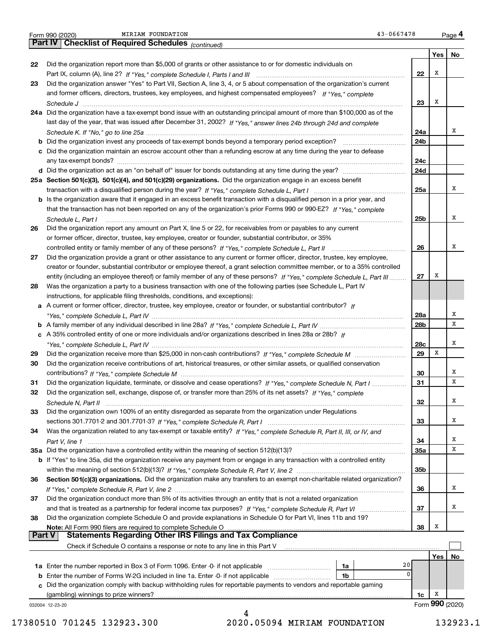|  | Form 990 (2020) |
|--|-----------------|
|  |                 |

MIRIAM FOUNDATION 43-0667478

|               | 43-0667478<br>MIRIAM FOUNDATION<br>Form 990 (2020)                                                                           |                 |     | Page 4          |
|---------------|------------------------------------------------------------------------------------------------------------------------------|-----------------|-----|-----------------|
|               | Part IV   Checklist of Required Schedules (continued)                                                                        |                 |     |                 |
|               |                                                                                                                              |                 | Yes | No              |
| 22            | Did the organization report more than \$5,000 of grants or other assistance to or for domestic individuals on                |                 |     |                 |
|               |                                                                                                                              | 22              | Х   |                 |
| 23            | Did the organization answer "Yes" to Part VII, Section A, line 3, 4, or 5 about compensation of the organization's current   |                 |     |                 |
|               | and former officers, directors, trustees, key employees, and highest compensated employees? If "Yes," complete               |                 |     |                 |
|               |                                                                                                                              | 23              | X   |                 |
|               | 24a Did the organization have a tax-exempt bond issue with an outstanding principal amount of more than \$100,000 as of the  |                 |     |                 |
|               | last day of the year, that was issued after December 31, 2002? If "Yes," answer lines 24b through 24d and complete           |                 |     |                 |
|               |                                                                                                                              | 24a             |     | х               |
|               |                                                                                                                              | 24b             |     |                 |
|               | c Did the organization maintain an escrow account other than a refunding escrow at any time during the year to defease       |                 |     |                 |
|               |                                                                                                                              | 24c             |     |                 |
|               |                                                                                                                              | 24d             |     |                 |
|               | 25a Section 501(c)(3), 501(c)(4), and 501(c)(29) organizations. Did the organization engage in an excess benefit             |                 |     |                 |
|               |                                                                                                                              | 25a             |     | х               |
|               | b Is the organization aware that it engaged in an excess benefit transaction with a disqualified person in a prior year, and |                 |     |                 |
|               | that the transaction has not been reported on any of the organization's prior Forms 990 or 990-EZ? If "Yes," complete        |                 |     |                 |
|               | Schedule L, Part I                                                                                                           | 25 <sub>b</sub> |     | х               |
| 26            | Did the organization report any amount on Part X, line 5 or 22, for receivables from or payables to any current              |                 |     |                 |
|               | or former officer, director, trustee, key employee, creator or founder, substantial contributor, or 35%                      |                 |     |                 |
|               |                                                                                                                              | 26              |     | х               |
| 27            | Did the organization provide a grant or other assistance to any current or former officer, director, trustee, key employee,  |                 |     |                 |
|               | creator or founder, substantial contributor or employee thereof, a grant selection committee member, or to a 35% controlled  |                 |     |                 |
|               | entity (including an employee thereof) or family member of any of these persons? If "Yes," complete Schedule L, Part III     | 27              | X   |                 |
| 28            | Was the organization a party to a business transaction with one of the following parties (see Schedule L, Part IV            |                 |     |                 |
|               | instructions, for applicable filing thresholds, conditions, and exceptions):                                                 |                 |     |                 |
|               | a A current or former officer, director, trustee, key employee, creator or founder, or substantial contributor? If           |                 |     | х               |
|               |                                                                                                                              | 28a             |     | х               |
|               | c A 35% controlled entity of one or more individuals and/or organizations described in lines 28a or 28b? If                  | 28b             |     |                 |
|               |                                                                                                                              | 28c             |     | х               |
| 29            |                                                                                                                              | 29              | х   |                 |
| 30            | Did the organization receive contributions of art, historical treasures, or other similar assets, or qualified conservation  |                 |     |                 |
|               |                                                                                                                              | 30              |     | х               |
| 31            | Did the organization liquidate, terminate, or dissolve and cease operations? If "Yes," complete Schedule N, Part I           | 31              |     | x               |
| 32            | Did the organization sell, exchange, dispose of, or transfer more than 25% of its net assets? If "Yes," complete             |                 |     |                 |
|               |                                                                                                                              | 32              |     | x               |
| 33            | Did the organization own 100% of an entity disregarded as separate from the organization under Regulations                   |                 |     |                 |
|               |                                                                                                                              | 33              |     | x               |
| 34            | Was the organization related to any tax-exempt or taxable entity? If "Yes," complete Schedule R, Part II, III, or IV, and    |                 |     |                 |
|               |                                                                                                                              | 34              |     | х               |
|               | 35a Did the organization have a controlled entity within the meaning of section 512(b)(13)?                                  | 35a             |     | х               |
|               | b If "Yes" to line 35a, did the organization receive any payment from or engage in any transaction with a controlled entity  |                 |     |                 |
|               |                                                                                                                              | 35b             |     |                 |
| 36            | Section 501(c)(3) organizations. Did the organization make any transfers to an exempt non-charitable related organization?   |                 |     |                 |
|               |                                                                                                                              | 36              |     | х               |
| 37            | Did the organization conduct more than 5% of its activities through an entity that is not a related organization             |                 |     |                 |
|               |                                                                                                                              | 37              |     | х               |
| 38            | Did the organization complete Schedule O and provide explanations in Schedule O for Part VI, lines 11b and 19?               |                 |     |                 |
|               | Note: All Form 990 filers are required to complete Schedule O                                                                | 38              | x   |                 |
| <b>Part V</b> | <b>Statements Regarding Other IRS Filings and Tax Compliance</b>                                                             |                 |     |                 |
|               | Check if Schedule O contains a response or note to any line in this Part V                                                   |                 |     |                 |
|               |                                                                                                                              |                 | Yes | No              |
|               | 20<br>1a                                                                                                                     |                 |     |                 |
|               | 0<br><b>b</b> Enter the number of Forms W-2G included in line 1a. Enter -0- if not applicable<br>1b                          |                 |     |                 |
| c.            | Did the organization comply with backup withholding rules for reportable payments to vendors and reportable gaming           |                 |     |                 |
|               | (gambling) winnings to prize winners?                                                                                        | 1c              | x   |                 |
|               | 032004 12-23-20                                                                                                              |                 |     | Form 990 (2020) |
|               | 4                                                                                                                            |                 |     |                 |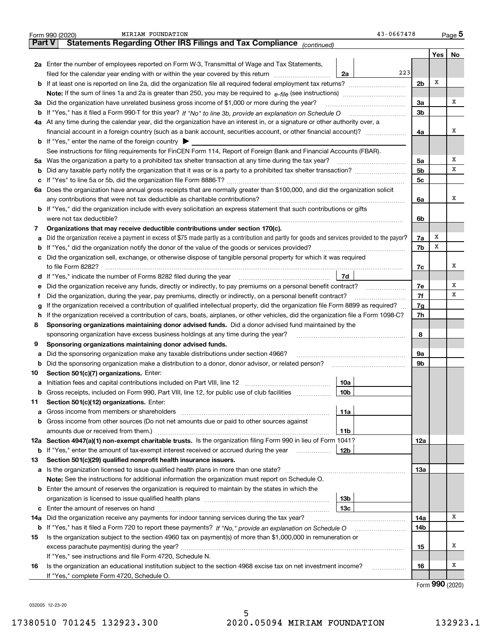|        | 43-0667478<br>MIRIAM FOUNDATION<br>Form 990 (2020)                                                                                                                                                                                    |                |     | $_{\text{Page}}$ 5 |
|--------|---------------------------------------------------------------------------------------------------------------------------------------------------------------------------------------------------------------------------------------|----------------|-----|--------------------|
| Part V | Statements Regarding Other IRS Filings and Tax Compliance (continued)                                                                                                                                                                 |                |     |                    |
|        |                                                                                                                                                                                                                                       |                | Yes | No                 |
|        | 2a Enter the number of employees reported on Form W-3, Transmittal of Wage and Tax Statements,                                                                                                                                        |                |     |                    |
|        | 223<br>filed for the calendar year ending with or within the year covered by this return<br>2a                                                                                                                                        |                |     |                    |
|        | <b>b</b> If at least one is reported on line 2a, did the organization file all required federal employment tax returns?                                                                                                               | 2 <sub>b</sub> | Х   |                    |
|        | <b>Note:</b> If the sum of lines 1a and 2a is greater than 250, you may be required to $e$ -file (see instructions) <i>manimummmmmm</i>                                                                                               |                |     |                    |
|        | 3a Did the organization have unrelated business gross income of \$1,000 or more during the year?                                                                                                                                      | 3a             |     | х                  |
|        | <b>b</b> If "Yes," has it filed a Form 990-T for this year? If "No" to line 3b, provide an explanation on Schedule O                                                                                                                  | 3 <sub>b</sub> |     |                    |
|        | 4a At any time during the calendar year, did the organization have an interest in, or a signature or other authority over, a                                                                                                          |                |     |                    |
|        |                                                                                                                                                                                                                                       | 4a             |     | х                  |
|        | <b>b</b> If "Yes," enter the name of the foreign country $\triangleright$                                                                                                                                                             |                |     |                    |
|        | See instructions for filing requirements for FinCEN Form 114, Report of Foreign Bank and Financial Accounts (FBAR).                                                                                                                   |                |     |                    |
|        | 5a Was the organization a party to a prohibited tax shelter transaction at any time during the tax year?                                                                                                                              | 5a             |     | х                  |
|        |                                                                                                                                                                                                                                       | 5 <sub>b</sub> |     | х                  |
|        |                                                                                                                                                                                                                                       | 5c             |     |                    |
|        | 6a Does the organization have annual gross receipts that are normally greater than \$100,000, and did the organization solicit                                                                                                        |                |     |                    |
|        | any contributions that were not tax deductible as charitable contributions?                                                                                                                                                           | 6a             |     | x                  |
|        | <b>b</b> If "Yes," did the organization include with every solicitation an express statement that such contributions or gifts                                                                                                         |                |     |                    |
|        | were not tax deductible?                                                                                                                                                                                                              | 6b             |     |                    |
| 7      | Organizations that may receive deductible contributions under section 170(c).                                                                                                                                                         |                |     |                    |
| а      | Did the organization receive a payment in excess of \$75 made partly as a contribution and partly for goods and services provided to the payor?                                                                                       | 7a             | х   |                    |
|        | <b>b</b> If "Yes," did the organization notify the donor of the value of the goods or services provided?                                                                                                                              | 7b             | х   |                    |
|        | c Did the organization sell, exchange, or otherwise dispose of tangible personal property for which it was required                                                                                                                   |                |     |                    |
|        | to file Form 8282?                                                                                                                                                                                                                    | 7с             |     | x                  |
|        | 7d                                                                                                                                                                                                                                    |                |     |                    |
| е      | Did the organization receive any funds, directly or indirectly, to pay premiums on a personal benefit contract?                                                                                                                       | 7e             |     | х                  |
| Ť      | Did the organization, during the year, pay premiums, directly or indirectly, on a personal benefit contract?                                                                                                                          | 7f             |     | х                  |
| g      | If the organization received a contribution of qualified intellectual property, did the organization file Form 8899 as required?                                                                                                      | 7g             |     |                    |
| h.     | If the organization received a contribution of cars, boats, airplanes, or other vehicles, did the organization file a Form 1098-C?                                                                                                    | 7h             |     |                    |
| 8      | Sponsoring organizations maintaining donor advised funds. Did a donor advised fund maintained by the                                                                                                                                  |                |     |                    |
|        | sponsoring organization have excess business holdings at any time during the year?                                                                                                                                                    | 8              |     |                    |
| 9      | Sponsoring organizations maintaining donor advised funds.                                                                                                                                                                             |                |     |                    |
| а      | Did the sponsoring organization make any taxable distributions under section 4966?                                                                                                                                                    | 9а             |     |                    |
| b      | Did the sponsoring organization make a distribution to a donor, donor advisor, or related person?                                                                                                                                     | 9b             |     |                    |
| 10     | Section 501(c)(7) organizations. Enter:                                                                                                                                                                                               |                |     |                    |
|        | 10a                                                                                                                                                                                                                                   |                |     |                    |
|        | <b>b</b> Gross receipts, included on Form 990, Part VIII, line 12, for public use of club facilities <i>manument</i><br>10b                                                                                                           |                |     |                    |
| 11     | Section 501(c)(12) organizations. Enter:                                                                                                                                                                                              |                |     |                    |
| а      | 11a<br>Gross income from members or shareholders [111] [12] content to the state of the state of the state of the state of the state of the state of the state of the state of the state of the state of the state of the state of th |                |     |                    |
|        | <b>b</b> Gross income from other sources (Do not net amounts due or paid to other sources against                                                                                                                                     |                |     |                    |
|        | amounts due or received from them.)<br>11b                                                                                                                                                                                            |                |     |                    |
|        | 12a Section 4947(a)(1) non-exempt charitable trusts. Is the organization filing Form 990 in lieu of Form 1041?                                                                                                                        | 12a            |     |                    |
|        | <b>b</b> If "Yes," enter the amount of tax-exempt interest received or accrued during the year<br>12b                                                                                                                                 |                |     |                    |
| 13     | Section 501(c)(29) qualified nonprofit health insurance issuers.                                                                                                                                                                      |                |     |                    |
|        |                                                                                                                                                                                                                                       | 13а            |     |                    |
|        | Note: See the instructions for additional information the organization must report on Schedule O.                                                                                                                                     |                |     |                    |
|        | <b>b</b> Enter the amount of reserves the organization is required to maintain by the states in which the                                                                                                                             |                |     |                    |
|        | 13b                                                                                                                                                                                                                                   |                |     |                    |
|        | 13с                                                                                                                                                                                                                                   |                |     |                    |
| 14a    | Did the organization receive any payments for indoor tanning services during the tax year?                                                                                                                                            | 14a            |     | Χ                  |
|        |                                                                                                                                                                                                                                       | 14b            |     |                    |
| 15     | Is the organization subject to the section 4960 tax on payment(s) of more than \$1,000,000 in remuneration or                                                                                                                         |                |     |                    |
|        |                                                                                                                                                                                                                                       | 15             |     | Х                  |
|        | If "Yes," see instructions and file Form 4720, Schedule N.                                                                                                                                                                            |                |     |                    |
| 16     | Is the organization an educational institution subject to the section 4968 excise tax on net investment income?<br>.                                                                                                                  | 16             |     | х                  |
|        | If "Yes," complete Form 4720, Schedule O.                                                                                                                                                                                             |                |     |                    |

Form (2020) **990**

032005 12-23-20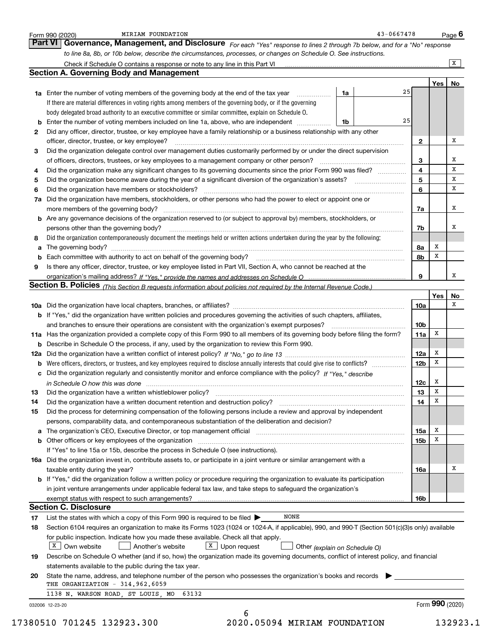|    | to line 8a, 8b, or 10b below, describe the circumstances, processes, or changes on Schedule O. See instructions.                                                                                                     |                 |                 | $\overline{X}$ |
|----|----------------------------------------------------------------------------------------------------------------------------------------------------------------------------------------------------------------------|-----------------|-----------------|----------------|
|    | Check if Schedule O contains a response or note to any line in this Part VI [11] [12] Check if Schedule O contains a response or note to any line in this Part VI<br><b>Section A. Governing Body and Management</b> |                 |                 |                |
|    |                                                                                                                                                                                                                      |                 | <b>Yes</b>      |                |
|    | 25<br>1a<br>1a Enter the number of voting members of the governing body at the end of the tax year <i>manumum</i>                                                                                                    |                 |                 | No             |
|    | If there are material differences in voting rights among members of the governing body, or if the governing                                                                                                          |                 |                 |                |
|    | body delegated broad authority to an executive committee or similar committee, explain on Schedule O.                                                                                                                |                 |                 |                |
|    | 25<br>Enter the number of voting members included on line 1a, above, who are independent                                                                                                                             |                 |                 |                |
| b  | - 1b<br>Did any officer, director, trustee, or key employee have a family relationship or a business relationship with any other                                                                                     |                 |                 |                |
| 2  |                                                                                                                                                                                                                      |                 |                 | x              |
|    | officer, director, trustee, or key employee?<br>Did the organization delegate control over management duties customarily performed by or under the direct supervision                                                | $\mathbf{2}$    |                 |                |
| з  |                                                                                                                                                                                                                      |                 |                 | x              |
|    | of officers, directors, trustees, or key employees to a management company or other person?                                                                                                                          | з<br>4          |                 | X              |
| 4  | Did the organization make any significant changes to its governing documents since the prior Form 990 was filed?                                                                                                     |                 |                 | х              |
| 5  |                                                                                                                                                                                                                      | 5               |                 | х              |
| 6  | Did the organization have members or stockholders?                                                                                                                                                                   | 6               |                 |                |
| 7a | Did the organization have members, stockholders, or other persons who had the power to elect or appoint one or                                                                                                       |                 |                 |                |
|    |                                                                                                                                                                                                                      | 7a              |                 | x              |
|    | b Are any governance decisions of the organization reserved to (or subject to approval by) members, stockholders, or                                                                                                 |                 |                 |                |
|    | persons other than the governing body?                                                                                                                                                                               | 7b              |                 | х              |
| 8  | Did the organization contemporaneously document the meetings held or written actions undertaken during the year by the following:                                                                                    |                 |                 |                |
|    |                                                                                                                                                                                                                      | 8a              | x               |                |
|    |                                                                                                                                                                                                                      | 8b              | X               |                |
| 9  | Is there any officer, director, trustee, or key employee listed in Part VII, Section A, who cannot be reached at the                                                                                                 |                 |                 |                |
|    |                                                                                                                                                                                                                      | 9               |                 | x              |
|    | Section B. Policies (This Section B requests information about policies not required by the Internal Revenue Code.)                                                                                                  |                 |                 |                |
|    |                                                                                                                                                                                                                      |                 | Yes             | No             |
|    |                                                                                                                                                                                                                      | 10a             |                 | х              |
|    | b If "Yes," did the organization have written policies and procedures governing the activities of such chapters, affiliates,                                                                                         |                 |                 |                |
|    | and branches to ensure their operations are consistent with the organization's exempt purposes?                                                                                                                      | 10 <sub>b</sub> |                 |                |
|    | 11a Has the organization provided a complete copy of this Form 990 to all members of its governing body before filing the form?                                                                                      | 11a             | x               |                |
|    | <b>b</b> Describe in Schedule O the process, if any, used by the organization to review this Form 990.                                                                                                               |                 |                 |                |
|    |                                                                                                                                                                                                                      | 12a             | x               |                |
| b  |                                                                                                                                                                                                                      | 12 <sub>b</sub> | X               |                |
|    | c Did the organization regularly and consistently monitor and enforce compliance with the policy? If "Yes," describe                                                                                                 |                 |                 |                |
|    | in Schedule O how this was done manufactured and continuum control of the state of the state of the state of t                                                                                                       | 12c             | x               |                |
| 13 | Did the organization have a written whistleblower policy?                                                                                                                                                            | 13              | $\mathbf x$     |                |
| 14 | Did the organization have a written document retention and destruction policy?                                                                                                                                       | 14              | X               |                |
| 15 | Did the process for determining compensation of the following persons include a review and approval by independent                                                                                                   |                 |                 |                |
|    | persons, comparability data, and contemporaneous substantiation of the deliberation and decision?                                                                                                                    |                 |                 |                |
|    | a The organization's CEO, Executive Director, or top management official manufactured content of the organization's CEO, Executive Director, or top management official                                              | 15a             | х               |                |
|    | <b>b</b> Other officers or key employees of the organization                                                                                                                                                         | 15b             | X               |                |
|    |                                                                                                                                                                                                                      |                 |                 |                |
|    |                                                                                                                                                                                                                      |                 |                 |                |
|    | If "Yes" to line 15a or 15b, describe the process in Schedule O (see instructions).                                                                                                                                  |                 |                 | х              |
|    | 16a Did the organization invest in, contribute assets to, or participate in a joint venture or similar arrangement with a                                                                                            |                 |                 |                |
|    | taxable entity during the year?                                                                                                                                                                                      | 16a             |                 |                |
|    | <b>b</b> If "Yes," did the organization follow a written policy or procedure requiring the organization to evaluate its participation                                                                                |                 |                 |                |
|    | in joint venture arrangements under applicable federal tax law, and take steps to safeguard the organization's                                                                                                       |                 |                 |                |
|    | exempt status with respect to such arrangements?                                                                                                                                                                     | 16b             |                 |                |
|    | <b>Section C. Disclosure</b>                                                                                                                                                                                         |                 |                 |                |
| 17 | NONE<br>List the states with which a copy of this Form 990 is required to be filed $\blacktriangleright$                                                                                                             |                 |                 |                |
| 18 | Section 6104 requires an organization to make its Forms 1023 (1024 or 1024-A, if applicable), 990, and 990-T (Section 501(c)(3)s only) available                                                                     |                 |                 |                |
|    | for public inspection. Indicate how you made these available. Check all that apply.                                                                                                                                  |                 |                 |                |
|    | $X \mid$ Own website<br>$X$ Upon request<br>Another's website<br>Other (explain on Schedule O)                                                                                                                       |                 |                 |                |
| 19 | Describe on Schedule O whether (and if so, how) the organization made its governing documents, conflict of interest policy, and financial                                                                            |                 |                 |                |
|    | statements available to the public during the tax year.                                                                                                                                                              |                 |                 |                |
| 20 | State the name, address, and telephone number of the person who possesses the organization's books and records                                                                                                       |                 |                 |                |
|    | THE ORGANIZATION - 314.962.6059                                                                                                                                                                                      |                 |                 |                |
|    | 1138 N. WARSON ROAD, ST LOUIS, MO<br>63132                                                                                                                                                                           |                 | Form 990 (2020) |                |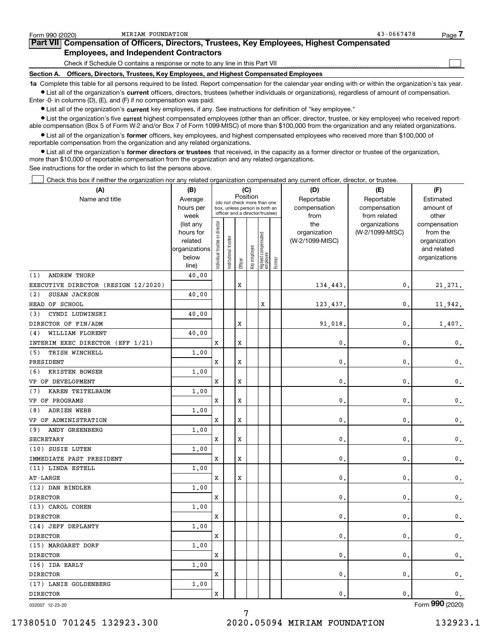| Form 990 (2020)                                                                                                                                            | MIRIAM FOUNDATION                                                                          | $43 - 0667478$ | Page - |  |  |  |  |  |  |
|------------------------------------------------------------------------------------------------------------------------------------------------------------|--------------------------------------------------------------------------------------------|----------------|--------|--|--|--|--|--|--|
|                                                                                                                                                            | Part VII Compensation of Officers, Directors, Trustees, Key Employees, Highest Compensated |                |        |  |  |  |  |  |  |
|                                                                                                                                                            | <b>Employees, and Independent Contractors</b>                                              |                |        |  |  |  |  |  |  |
|                                                                                                                                                            | Check if Schedule O contains a response or note to any line in this Part VII               |                |        |  |  |  |  |  |  |
| <b>Section A.</b>                                                                                                                                          | Officers, Directors, Trustees, Key Employees, and Highest Compensated Employees            |                |        |  |  |  |  |  |  |
| 1a Complete this table for all persons required to be listed. Report compensation for the calendar year ending with or within the organization's tax year. |                                                                                            |                |        |  |  |  |  |  |  |

MIRIAM FOUNDATION 43-0667478

**•** List all of the organization's current officers, directors, trustees (whether individuals or organizations), regardless of amount of compensation. Enter -0- in columns (D), (E), and (F) if no compensation was paid.

 $\bullet$  List all of the organization's  $\,$ current key employees, if any. See instructions for definition of "key employee."

**•** List the organization's five current highest compensated employees (other than an officer, director, trustee, or key employee) who received reportable compensation (Box 5 of Form W-2 and/or Box 7 of Form 1099-MISC) of more than \$100,000 from the organization and any related organizations.

**•** List all of the organization's former officers, key employees, and highest compensated employees who received more than \$100,000 of reportable compensation from the organization and any related organizations.

**former directors or trustees**  ¥ List all of the organization's that received, in the capacity as a former director or trustee of the organization, more than \$10,000 of reportable compensation from the organization and any related organizations.

See instructions for the order in which to list the persons above.

Check this box if neither the organization nor any related organization compensated any current officer, director, or trustee.  $\mathcal{L}^{\text{max}}$ 

| (A)                                 | (B)               |                                |                                                                  |             | (C)          |                                 |        | (D)                  | (E)                          | (F)                |
|-------------------------------------|-------------------|--------------------------------|------------------------------------------------------------------|-------------|--------------|---------------------------------|--------|----------------------|------------------------------|--------------------|
| Name and title                      | Average           |                                | (do not check more than one                                      |             | Position     |                                 |        | Reportable           | Reportable                   | Estimated          |
|                                     | hours per<br>week |                                | box, unless person is both an<br>officer and a director/trustee) |             |              |                                 |        | compensation<br>from | compensation<br>from related | amount of<br>other |
|                                     | (list any         |                                |                                                                  |             |              |                                 |        | the                  | organizations                | compensation       |
|                                     | hours for         |                                |                                                                  |             |              |                                 |        | organization         | (W-2/1099-MISC)              | from the           |
|                                     | related           |                                | trustee                                                          |             |              |                                 |        | (W-2/1099-MISC)      |                              | organization       |
|                                     | organizations     |                                |                                                                  |             |              |                                 |        |                      |                              | and related        |
|                                     | below             | Individual trustee or director | Institutional t                                                  | Officer     | Key employee | Highest compensated<br>employee | Former |                      |                              | organizations      |
| <b>ANDREW THORP</b><br>(1)          | line)<br>40.00    |                                |                                                                  |             |              |                                 |        |                      |                              |                    |
| EXECUTIVE DIRECTOR (RESIGN 12/2020) |                   |                                |                                                                  | X           |              |                                 |        | 134,443.             | 0.                           | 21, 271.           |
| (2)<br>SUSAN JACKSON                | 40.00             |                                |                                                                  |             |              |                                 |        |                      |                              |                    |
| HEAD OF SCHOOL                      |                   |                                |                                                                  |             |              | $\mathbf x$                     |        | 123,437.             | $\mathbf 0$ .                | 11,942.            |
| CYNDI LUDWINSKI<br>(3)              | 40.00             |                                |                                                                  |             |              |                                 |        |                      |                              |                    |
| DIRECTOR OF FIN/ADM                 |                   |                                |                                                                  | X           |              |                                 |        | 91,018               | $\mathbf 0$ .                | 1,407.             |
| WILLIAM FLORENT<br>(4)              | 40.00             |                                |                                                                  |             |              |                                 |        |                      |                              |                    |
| INTERIM EXEC DIRECTOR (EFF 1/21)    |                   | X                              |                                                                  | X           |              |                                 |        | 0.                   | $\mathbf{0}$ .               | $\mathfrak{o}$ .   |
| TRISH WINCHELL<br>(5)               | 1,00              |                                |                                                                  |             |              |                                 |        |                      |                              |                    |
| PRESIDENT                           |                   | X                              |                                                                  | $\mathbf x$ |              |                                 |        | 0.                   | $\mathbf{0}$ .               | $\mathbf 0$ .      |
| KRISTEN BOWSER<br>(6)               | 1,00              |                                |                                                                  |             |              |                                 |        |                      |                              |                    |
| VP OF DEVELOPMENT                   |                   | X                              |                                                                  | X           |              |                                 |        | 0.                   | $\mathbf{0}$ .               | $\mathbf{0}$ .     |
| KAREN TEITELBAUM<br>(7)             | 1,00              |                                |                                                                  |             |              |                                 |        |                      |                              |                    |
| VP OF PROGRAMS                      |                   | X                              |                                                                  | X           |              |                                 |        | 0.                   | $\mathbf{0}$ .               | $\mathbf{0}$ .     |
| <b>ADRIEN WEBB</b><br>(8)           | 1.00              |                                |                                                                  |             |              |                                 |        |                      |                              |                    |
| VP OF ADMINISTRATION                |                   | X                              |                                                                  | X           |              |                                 |        | 0.                   | $\mathbf{0}$ .               | $\mathbf{0}$ .     |
| ANDY GREENBERG<br>(9)               | 1.00              |                                |                                                                  |             |              |                                 |        |                      |                              |                    |
| <b>SECRETARY</b>                    |                   | X                              |                                                                  | X           |              |                                 |        | 0.                   | $\mathbf{0}$ .               | $\mathbf 0$ .      |
| (10) SUSIE LUTEN                    | 1.00              |                                |                                                                  |             |              |                                 |        |                      |                              |                    |
| IMMEDIATE PAST PRESIDENT            |                   | X                              |                                                                  | X           |              |                                 |        | $\mathbf{0}$         | $\mathbf{0}$ .               | 0.                 |
| (11) LINDA ESTELL                   | 1.00              |                                |                                                                  |             |              |                                 |        |                      |                              |                    |
| $AT-LARGE$                          |                   | X                              |                                                                  | X           |              |                                 |        | 0.                   | $\mathbf{0}$ .               | $\mathsf{0}\,.$    |
| (12) DAN BINDLER                    | 1.00              |                                |                                                                  |             |              |                                 |        |                      |                              |                    |
| <b>DIRECTOR</b>                     |                   | X                              |                                                                  |             |              |                                 |        | $\mathbf{0}$ .       | $\mathbf{0}$ .               | 0.                 |
| (13) CAROL COHEN                    | 1.00              |                                |                                                                  |             |              |                                 |        |                      |                              |                    |
| <b>DIRECTOR</b>                     |                   | X                              |                                                                  |             |              |                                 |        | $\mathbf{0}$ .       | $\mathbf{0}$ .               | 0.                 |
| (14) JEFF DEPLANTY                  | 1.00              |                                |                                                                  |             |              |                                 |        |                      |                              |                    |
| <b>DIRECTOR</b>                     |                   | X                              |                                                                  |             |              |                                 |        | $\mathbf{0}$         | $\mathbf{0}$ .               | $\mathbf{0}$ .     |
| (15) MARGARET DORF                  | 1.00              |                                |                                                                  |             |              |                                 |        |                      |                              |                    |
| <b>DIRECTOR</b>                     |                   | X                              |                                                                  |             |              |                                 |        | $\mathbf{0}$ .       | $\mathbf{0}$ .               | $\mathbf 0$ .      |
| (16) IDA EARLY                      | 1.00              |                                |                                                                  |             |              |                                 |        |                      |                              |                    |
| <b>DIRECTOR</b>                     |                   | X                              |                                                                  |             |              |                                 |        | $\mathbf{0}$ .       | $\mathbf{0}$ .               | $\mathbf 0$ .      |
| (17) LANIE GOLDENBERG               | 1.00              |                                |                                                                  |             |              |                                 |        |                      |                              |                    |
| <b>DIRECTOR</b>                     |                   | X                              |                                                                  |             |              |                                 |        | 0.                   | $\mathbf{0}$ .               | $\mathbf 0$ .      |

7

032007 12-23-20

Form (2020) **990**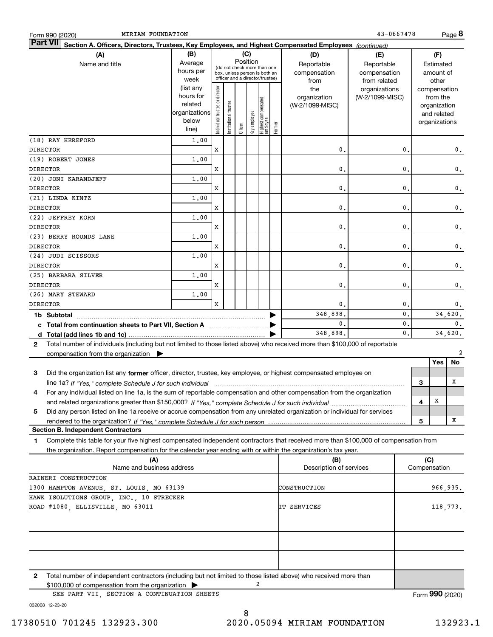| MIRIAM FOUNDATION<br>Form 990 (2020)                                                                                                              |                                                                      |                                |                                                                                                 |          |              |                                 |        |                                           | 43-0667478                                        |                    |     |                                                                          | Page 8         |
|---------------------------------------------------------------------------------------------------------------------------------------------------|----------------------------------------------------------------------|--------------------------------|-------------------------------------------------------------------------------------------------|----------|--------------|---------------------------------|--------|-------------------------------------------|---------------------------------------------------|--------------------|-----|--------------------------------------------------------------------------|----------------|
| <b>Part VII</b><br>Section A. Officers, Directors, Trustees, Key Employees, and Highest Compensated Employees (continued)                         |                                                                      |                                |                                                                                                 |          |              |                                 |        |                                           |                                                   |                    |     |                                                                          |                |
| (A)<br>Name and title                                                                                                                             | (B)<br>Average<br>hours per<br>week                                  |                                | (do not check more than one<br>box, unless person is both an<br>officer and a director/trustee) | Position | (C)          |                                 |        | (D)<br>Reportable<br>compensation<br>from | (E)<br>Reportable<br>compensation<br>from related |                    |     | (F)<br>Estimated<br>amount of<br>other                                   |                |
|                                                                                                                                                   | (list any<br>hours for<br>related<br>organizations<br>below<br>line) | Individual trustee or director | Institutional trustee                                                                           | Officer  | key employee | Highest compensated<br>employee | Former | the<br>organization<br>(W-2/1099-MISC)    | organizations<br>(W-2/1099-MISC)                  |                    |     | compensation<br>from the<br>organization<br>and related<br>organizations |                |
| (18) RAY HEREFORD<br><b>DIRECTOR</b>                                                                                                              | 1,00                                                                 | x                              |                                                                                                 |          |              |                                 |        | 0                                         |                                                   | $\mathbf{0}$       |     |                                                                          |                |
| (19) ROBERT JONES                                                                                                                                 | 1,00                                                                 |                                |                                                                                                 |          |              |                                 |        |                                           |                                                   |                    |     |                                                                          | $\mathbf{0}$ . |
| <b>DIRECTOR</b>                                                                                                                                   |                                                                      | x                              |                                                                                                 |          |              |                                 |        | 0.                                        |                                                   | 0                  |     |                                                                          | 0.             |
| (20) JONI KARANDJEFF                                                                                                                              | 1,00                                                                 |                                |                                                                                                 |          |              |                                 |        |                                           |                                                   |                    |     |                                                                          |                |
| <b>DIRECTOR</b>                                                                                                                                   |                                                                      | x                              |                                                                                                 |          |              |                                 |        | $\mathbf{0}$                              |                                                   | 0                  |     |                                                                          | $\mathbf 0$ .  |
| (21) LINDA KINTZ                                                                                                                                  | 1,00                                                                 |                                |                                                                                                 |          |              |                                 |        |                                           |                                                   |                    |     |                                                                          |                |
| <b>DIRECTOR</b>                                                                                                                                   |                                                                      | x                              |                                                                                                 |          |              |                                 |        | 0.                                        |                                                   | 0                  |     |                                                                          | 0.             |
| (22) JEFFREY KORN                                                                                                                                 | 1,00                                                                 |                                |                                                                                                 |          |              |                                 |        |                                           |                                                   |                    |     |                                                                          |                |
| <b>DIRECTOR</b><br>(23) BERRY ROUNDS LANE                                                                                                         | 1,00                                                                 | X                              |                                                                                                 |          |              |                                 |        | 0.                                        |                                                   | 0                  |     |                                                                          | 0.             |
| <b>DIRECTOR</b>                                                                                                                                   |                                                                      | X                              |                                                                                                 |          |              |                                 |        | 0.                                        |                                                   | 0                  |     |                                                                          | 0.             |
| (24) JUDI SCISSORS                                                                                                                                | 1,00                                                                 |                                |                                                                                                 |          |              |                                 |        |                                           |                                                   |                    |     |                                                                          |                |
| <b>DIRECTOR</b>                                                                                                                                   |                                                                      | X                              |                                                                                                 |          |              |                                 |        | 0.                                        |                                                   | 0                  |     |                                                                          | $\mathbf 0$ .  |
| (25) BARBARA SILVER                                                                                                                               | 1,00                                                                 |                                |                                                                                                 |          |              |                                 |        |                                           |                                                   |                    |     |                                                                          |                |
| <b>DIRECTOR</b>                                                                                                                                   |                                                                      | x                              |                                                                                                 |          |              |                                 |        | $\mathbf{0}$                              |                                                   | 0                  |     |                                                                          | 0.             |
| (26) MARY STEWARD                                                                                                                                 | 1,00                                                                 |                                |                                                                                                 |          |              |                                 |        |                                           |                                                   |                    |     |                                                                          |                |
| <b>DIRECTOR</b>                                                                                                                                   |                                                                      | X                              |                                                                                                 |          |              |                                 |        | 0.<br>348,898.                            |                                                   | $\mathbf{0}$<br>0. |     | 34,620.                                                                  | 0.             |
| 1b Subtotal<br>c Total from continuation sheets to Part VII, Section A manufactured and response Total from extension                             |                                                                      |                                |                                                                                                 |          |              |                                 |        | 0.                                        |                                                   | 0.                 |     |                                                                          | 0.             |
|                                                                                                                                                   |                                                                      |                                |                                                                                                 |          |              |                                 |        | 348,898.                                  |                                                   | $\mathbf{0}$       |     | 34,620.                                                                  |                |
| Total number of individuals (including but not limited to those listed above) who received more than \$100,000 of reportable<br>2                 |                                                                      |                                |                                                                                                 |          |              |                                 |        |                                           |                                                   |                    |     |                                                                          |                |
| compensation from the organization $\blacktriangleright$                                                                                          |                                                                      |                                |                                                                                                 |          |              |                                 |        |                                           |                                                   |                    |     | Yes                                                                      | 2<br>No        |
| Did the organization list any former officer, director, trustee, key employee, or highest compensated employee on<br>3                            |                                                                      |                                |                                                                                                 |          |              |                                 |        |                                           |                                                   |                    |     |                                                                          |                |
| line 1a? If "Yes," complete Schedule J for such individual material content content to the content of the complete Schedule J for such individual |                                                                      |                                |                                                                                                 |          |              |                                 |        |                                           |                                                   |                    | 3   |                                                                          | x              |
| For any individual listed on line 1a, is the sum of reportable compensation and other compensation from the organization<br>4                     |                                                                      |                                |                                                                                                 |          |              |                                 |        |                                           |                                                   |                    | 4   | X                                                                        |                |
| Did any person listed on line 1a receive or accrue compensation from any unrelated organization or individual for services<br>5                   |                                                                      |                                |                                                                                                 |          |              |                                 |        |                                           |                                                   |                    |     |                                                                          |                |
|                                                                                                                                                   |                                                                      |                                |                                                                                                 |          |              |                                 |        |                                           |                                                   |                    | 5   |                                                                          | x              |
| <b>Section B. Independent Contractors</b>                                                                                                         |                                                                      |                                |                                                                                                 |          |              |                                 |        |                                           |                                                   |                    |     |                                                                          |                |
| Complete this table for your five highest compensated independent contractors that received more than \$100,000 of compensation from<br>1         |                                                                      |                                |                                                                                                 |          |              |                                 |        |                                           |                                                   |                    |     |                                                                          |                |
| the organization. Report compensation for the calendar year ending with or within the organization's tax year.                                    |                                                                      |                                |                                                                                                 |          |              |                                 |        |                                           |                                                   |                    |     |                                                                          |                |
| (A)<br>Name and business address                                                                                                                  |                                                                      |                                |                                                                                                 |          |              |                                 |        | (B)<br>Description of services            |                                                   |                    | (C) | Compensation                                                             |                |
| RAINERI CONSTRUCTION                                                                                                                              |                                                                      |                                |                                                                                                 |          |              |                                 |        |                                           |                                                   |                    |     |                                                                          |                |
| 1300 HAMPTON AVENUE, ST. LOUIS, MO 63139                                                                                                          |                                                                      |                                |                                                                                                 |          |              |                                 |        | CONSTRUCTION                              |                                                   |                    |     | 966,935.                                                                 |                |
| HAWK ISOLUTIONS GROUP, INC., 10 STRECKER                                                                                                          |                                                                      |                                |                                                                                                 |          |              |                                 |        |                                           |                                                   |                    |     |                                                                          |                |
| ROAD #1080, ELLISVILLE, MO 63011                                                                                                                  |                                                                      |                                |                                                                                                 |          |              |                                 |        | IT SERVICES                               |                                                   |                    |     | 118,773.                                                                 |                |
|                                                                                                                                                   |                                                                      |                                |                                                                                                 |          |              |                                 |        |                                           |                                                   |                    |     |                                                                          |                |
|                                                                                                                                                   |                                                                      |                                |                                                                                                 |          |              |                                 |        |                                           |                                                   |                    |     |                                                                          |                |
|                                                                                                                                                   |                                                                      |                                |                                                                                                 |          |              |                                 |        |                                           |                                                   |                    |     |                                                                          |                |
|                                                                                                                                                   |                                                                      |                                |                                                                                                 |          |              |                                 |        |                                           |                                                   |                    |     |                                                                          |                |
|                                                                                                                                                   |                                                                      |                                |                                                                                                 |          |              |                                 |        |                                           |                                                   |                    |     |                                                                          |                |
| 2<br>Total number of independent contractors (including but not limited to those listed above) who received more than                             |                                                                      |                                |                                                                                                 |          |              | 2                               |        |                                           |                                                   |                    |     |                                                                          |                |
| \$100,000 of compensation from the organization<br>SEE PART VII, SECTION A CONTINUATION SHEETS                                                    |                                                                      |                                |                                                                                                 |          |              |                                 |        |                                           |                                                   |                    |     | Form 990 (2020)                                                          |                |
|                                                                                                                                                   |                                                                      |                                |                                                                                                 |          |              |                                 |        |                                           |                                                   |                    |     |                                                                          |                |

032008 12-23-20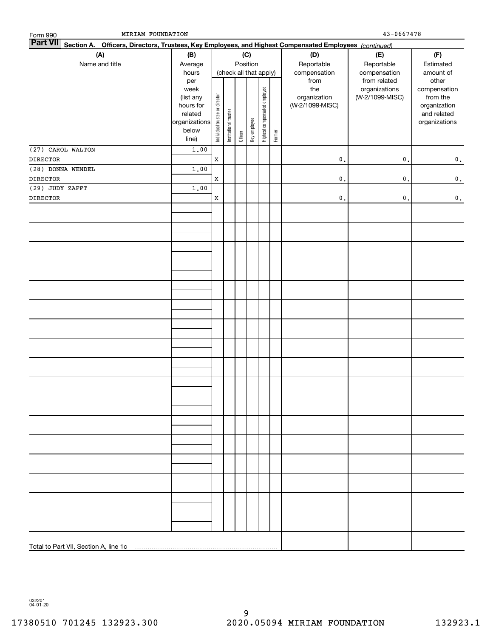| MIRIAM FOUNDATION<br>Form 990                                                                                             |                      |                                |                       |         |                        |                              |        |                 | 43-0667478      |                             |
|---------------------------------------------------------------------------------------------------------------------------|----------------------|--------------------------------|-----------------------|---------|------------------------|------------------------------|--------|-----------------|-----------------|-----------------------------|
| <b>Part VII</b><br>Section A. Officers, Directors, Trustees, Key Employees, and Highest Compensated Employees (continued) |                      |                                |                       |         |                        |                              |        |                 |                 |                             |
| (A)                                                                                                                       | (B)                  |                                |                       |         | (C)                    |                              |        | (D)             | (E)             | (F)                         |
| Name and title                                                                                                            | Average              |                                |                       |         | Position               |                              |        | Reportable      | Reportable      | Estimated                   |
|                                                                                                                           | hours                |                                |                       |         | (check all that apply) |                              |        | compensation    | compensation    | amount of                   |
|                                                                                                                           | per                  |                                |                       |         |                        |                              |        | from            | from related    | other                       |
|                                                                                                                           | week                 |                                |                       |         |                        |                              |        | the             | organizations   | compensation                |
|                                                                                                                           | (list any            |                                |                       |         |                        |                              |        | organization    | (W-2/1099-MISC) | from the                    |
|                                                                                                                           | hours for<br>related |                                |                       |         |                        |                              |        | (W-2/1099-MISC) |                 | organization<br>and related |
|                                                                                                                           | organizations        | Individual trustee or director | Institutional trustee |         |                        | Highest compensated employee |        |                 |                 | organizations               |
|                                                                                                                           | below                |                                |                       |         | Key employee           |                              |        |                 |                 |                             |
|                                                                                                                           | line)                |                                |                       | Officer |                        |                              | Former |                 |                 |                             |
| (27) CAROL WALTON                                                                                                         | 1.00                 |                                |                       |         |                        |                              |        |                 |                 |                             |
| <b>DIRECTOR</b>                                                                                                           |                      | $\mathbf X$                    |                       |         |                        |                              |        | $\mathsf{0}$ .  | $\mathfrak o$ . | $\mathbf 0$ .               |
| (28) DONNA WENDEL                                                                                                         | 1.00                 |                                |                       |         |                        |                              |        |                 |                 |                             |
| <b>DIRECTOR</b>                                                                                                           |                      | $\mathbf X$                    |                       |         |                        |                              |        | $\mathsf{0}$ .  | $\mathbf{0}$ .  | $\mathbf 0$ .               |
| (29) JUDY ZAFFT                                                                                                           | 1.00                 |                                |                       |         |                        |                              |        |                 |                 |                             |
| <b>DIRECTOR</b>                                                                                                           |                      | $\mathbf X$                    |                       |         |                        |                              |        | $\mathsf{0}$ .  | $\mathfrak o$ . | $\mathbf 0$ .               |
|                                                                                                                           |                      |                                |                       |         |                        |                              |        |                 |                 |                             |
|                                                                                                                           |                      |                                |                       |         |                        |                              |        |                 |                 |                             |
|                                                                                                                           |                      |                                |                       |         |                        |                              |        |                 |                 |                             |
|                                                                                                                           |                      |                                |                       |         |                        |                              |        |                 |                 |                             |
|                                                                                                                           |                      |                                |                       |         |                        |                              |        |                 |                 |                             |
|                                                                                                                           |                      |                                |                       |         |                        |                              |        |                 |                 |                             |
|                                                                                                                           |                      |                                |                       |         |                        |                              |        |                 |                 |                             |
|                                                                                                                           |                      |                                |                       |         |                        |                              |        |                 |                 |                             |
|                                                                                                                           |                      |                                |                       |         |                        |                              |        |                 |                 |                             |
|                                                                                                                           |                      |                                |                       |         |                        |                              |        |                 |                 |                             |
|                                                                                                                           |                      |                                |                       |         |                        |                              |        |                 |                 |                             |
|                                                                                                                           |                      |                                |                       |         |                        |                              |        |                 |                 |                             |
|                                                                                                                           |                      |                                |                       |         |                        |                              |        |                 |                 |                             |
|                                                                                                                           |                      |                                |                       |         |                        |                              |        |                 |                 |                             |
|                                                                                                                           |                      |                                |                       |         |                        |                              |        |                 |                 |                             |
|                                                                                                                           |                      |                                |                       |         |                        |                              |        |                 |                 |                             |
|                                                                                                                           |                      |                                |                       |         |                        |                              |        |                 |                 |                             |
|                                                                                                                           |                      |                                |                       |         |                        |                              |        |                 |                 |                             |
|                                                                                                                           |                      |                                |                       |         |                        |                              |        |                 |                 |                             |
|                                                                                                                           |                      |                                |                       |         |                        |                              |        |                 |                 |                             |
|                                                                                                                           |                      |                                |                       |         |                        |                              |        |                 |                 |                             |
|                                                                                                                           |                      |                                |                       |         |                        |                              |        |                 |                 |                             |
|                                                                                                                           |                      |                                |                       |         |                        |                              |        |                 |                 |                             |
|                                                                                                                           |                      |                                |                       |         |                        |                              |        |                 |                 |                             |
|                                                                                                                           |                      |                                |                       |         |                        |                              |        |                 |                 |                             |
|                                                                                                                           |                      |                                |                       |         |                        |                              |        |                 |                 |                             |
|                                                                                                                           |                      |                                |                       |         |                        |                              |        |                 |                 |                             |
|                                                                                                                           |                      |                                |                       |         |                        |                              |        |                 |                 |                             |
|                                                                                                                           |                      |                                |                       |         |                        |                              |        |                 |                 |                             |
|                                                                                                                           |                      |                                |                       |         |                        |                              |        |                 |                 |                             |
|                                                                                                                           |                      |                                |                       |         |                        |                              |        |                 |                 |                             |
|                                                                                                                           |                      |                                |                       |         |                        |                              |        |                 |                 |                             |
| Total to Part VII, Section A, line 1c                                                                                     |                      |                                |                       |         |                        |                              |        |                 |                 |                             |

032201 04-01-20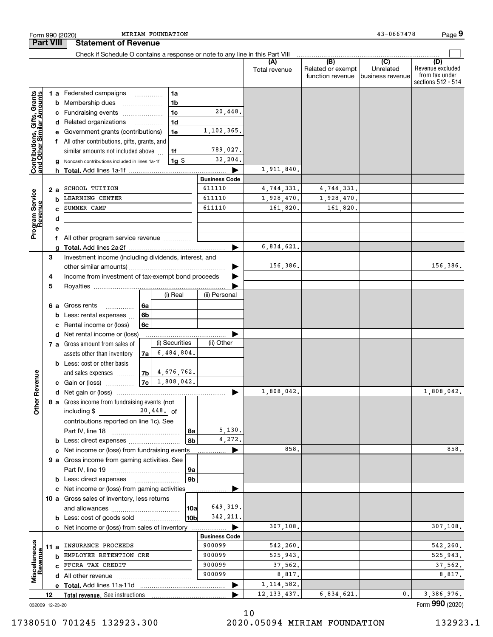| <b>Part VIII</b><br>Check if Schedule O contains a response or note to any line in this Part VIII<br>$\overline{C}$<br>(B)<br>(A)<br>(D)<br>Related or exempt<br>Unrelated<br>Total revenue<br>function revenue<br>business revenue<br>Contributions, Gifts, Grants<br>and Other Similar Amounts<br>1 a Federated campaigns<br>1a<br>1 <sub>b</sub><br><b>b</b> Membership dues<br>$\ldots \ldots \ldots \ldots \ldots$<br>1 <sub>c</sub><br>20,448.<br>c Fundraising events<br>1 <sub>d</sub><br>d Related organizations<br>1,102,365.<br>1e<br>Government grants (contributions)<br>е<br>f All other contributions, gifts, grants, and<br>789,027.<br>similar amounts not included above<br>1f<br>32,204.<br>$1g$ \$<br>Noncash contributions included in lines 1a-1f<br>g<br>1,911,840.<br>h.<br><b>Business Code</b><br>611110<br>SCHOOL TUITION<br>4,744,331.<br>4,744,331.<br>2а<br>Program Service<br>Revenue<br>611110<br><b>LEARNING CENTER</b><br>1,928,470.<br>1,928,470.<br>b<br>611110<br>SUMMER CAMP<br>161,820.<br>161,820.<br>c.<br>d<br>e<br>All other program service revenue<br>f<br>6,834,621.<br>a<br>3<br>Investment income (including dividends, interest, and<br>156,386.<br>Income from investment of tax-exempt bond proceeds<br>4<br>5<br>(ii) Personal<br>(i) Real<br>6a<br>6 a Gross rents<br>6 <sub>b</sub><br>Less: rental expenses<br>b<br>Rental income or (loss)<br>6c<br>с<br>d Net rental income or (loss)<br>(i) Securities<br>(ii) Other<br>7 a Gross amount from sales of<br>6,484,804.<br>assets other than inventory<br>7a<br><b>b</b> Less: cost or other basis<br>$ 7b $ 4,676,762.<br>evenue<br>and sales expenses<br>$7c \mid 1,808,042.$<br>c Gain or (loss)<br>1,808,042.<br>1,808,042.<br>œ<br>Other<br>8 a Gross income from fundraising events (not<br>including $\frac{20,448}{\text{ of}}$<br>contributions reported on line 1c). See<br>5,130.<br>8a<br>4,272.<br>8b<br><b>b</b> Less: direct expenses <i>manually contained</i><br>858.<br>c Net income or (loss) from fundraising events<br>9 a Gross income from gaming activities. See<br> 9a<br>9b<br><b>b</b> Less: direct expenses<br>c Net income or (loss) from gaming activities<br>10 a Gross sales of inventory, less returns<br>649, 319.<br> 10a<br>342, 211.<br>10b<br><b>b</b> Less: cost of goods sold<br>307,108.<br><b>c</b> Net income or (loss) from sales of inventory<br><b>Business Code</b><br>Miscellaneous<br>900099<br>INSURANCE PROCEEDS<br>542,260.<br>11 a<br>evenue<br>900099<br><b>b</b> EMPLOYEE RETENTION CRE<br>525,943.<br>C FFCRA TAX CREDIT<br>900099<br>37,562.<br>900099<br>8,817.<br>1, 114, 582.<br>3,386,976.<br>12, 133, 437.<br>6,834,621.<br>0.<br>12<br>Total revenue. See instructions |  | MIRIAM FOUNDATION<br>Form 990 (2020) |  | 43-0667478 | Page 9                                                   |
|----------------------------------------------------------------------------------------------------------------------------------------------------------------------------------------------------------------------------------------------------------------------------------------------------------------------------------------------------------------------------------------------------------------------------------------------------------------------------------------------------------------------------------------------------------------------------------------------------------------------------------------------------------------------------------------------------------------------------------------------------------------------------------------------------------------------------------------------------------------------------------------------------------------------------------------------------------------------------------------------------------------------------------------------------------------------------------------------------------------------------------------------------------------------------------------------------------------------------------------------------------------------------------------------------------------------------------------------------------------------------------------------------------------------------------------------------------------------------------------------------------------------------------------------------------------------------------------------------------------------------------------------------------------------------------------------------------------------------------------------------------------------------------------------------------------------------------------------------------------------------------------------------------------------------------------------------------------------------------------------------------------------------------------------------------------------------------------------------------------------------------------------------------------------------------------------------------------------------------------------------------------------------------------------------------------------------------------------------------------------------------------------------------------------------------------------------------------------------------------------------------------------------------------------------------------------------------------------------------------------------------------------------------------------------------------------------------------------------------------------|--|--------------------------------------|--|------------|----------------------------------------------------------|
|                                                                                                                                                                                                                                                                                                                                                                                                                                                                                                                                                                                                                                                                                                                                                                                                                                                                                                                                                                                                                                                                                                                                                                                                                                                                                                                                                                                                                                                                                                                                                                                                                                                                                                                                                                                                                                                                                                                                                                                                                                                                                                                                                                                                                                                                                                                                                                                                                                                                                                                                                                                                                                                                                                                                              |  | <b>Statement of Revenue</b>          |  |            |                                                          |
|                                                                                                                                                                                                                                                                                                                                                                                                                                                                                                                                                                                                                                                                                                                                                                                                                                                                                                                                                                                                                                                                                                                                                                                                                                                                                                                                                                                                                                                                                                                                                                                                                                                                                                                                                                                                                                                                                                                                                                                                                                                                                                                                                                                                                                                                                                                                                                                                                                                                                                                                                                                                                                                                                                                                              |  |                                      |  |            |                                                          |
|                                                                                                                                                                                                                                                                                                                                                                                                                                                                                                                                                                                                                                                                                                                                                                                                                                                                                                                                                                                                                                                                                                                                                                                                                                                                                                                                                                                                                                                                                                                                                                                                                                                                                                                                                                                                                                                                                                                                                                                                                                                                                                                                                                                                                                                                                                                                                                                                                                                                                                                                                                                                                                                                                                                                              |  |                                      |  |            | Revenue excluded<br>from tax under<br>sections 512 - 514 |
|                                                                                                                                                                                                                                                                                                                                                                                                                                                                                                                                                                                                                                                                                                                                                                                                                                                                                                                                                                                                                                                                                                                                                                                                                                                                                                                                                                                                                                                                                                                                                                                                                                                                                                                                                                                                                                                                                                                                                                                                                                                                                                                                                                                                                                                                                                                                                                                                                                                                                                                                                                                                                                                                                                                                              |  |                                      |  |            |                                                          |
|                                                                                                                                                                                                                                                                                                                                                                                                                                                                                                                                                                                                                                                                                                                                                                                                                                                                                                                                                                                                                                                                                                                                                                                                                                                                                                                                                                                                                                                                                                                                                                                                                                                                                                                                                                                                                                                                                                                                                                                                                                                                                                                                                                                                                                                                                                                                                                                                                                                                                                                                                                                                                                                                                                                                              |  |                                      |  |            |                                                          |
|                                                                                                                                                                                                                                                                                                                                                                                                                                                                                                                                                                                                                                                                                                                                                                                                                                                                                                                                                                                                                                                                                                                                                                                                                                                                                                                                                                                                                                                                                                                                                                                                                                                                                                                                                                                                                                                                                                                                                                                                                                                                                                                                                                                                                                                                                                                                                                                                                                                                                                                                                                                                                                                                                                                                              |  |                                      |  |            |                                                          |
|                                                                                                                                                                                                                                                                                                                                                                                                                                                                                                                                                                                                                                                                                                                                                                                                                                                                                                                                                                                                                                                                                                                                                                                                                                                                                                                                                                                                                                                                                                                                                                                                                                                                                                                                                                                                                                                                                                                                                                                                                                                                                                                                                                                                                                                                                                                                                                                                                                                                                                                                                                                                                                                                                                                                              |  |                                      |  |            |                                                          |
|                                                                                                                                                                                                                                                                                                                                                                                                                                                                                                                                                                                                                                                                                                                                                                                                                                                                                                                                                                                                                                                                                                                                                                                                                                                                                                                                                                                                                                                                                                                                                                                                                                                                                                                                                                                                                                                                                                                                                                                                                                                                                                                                                                                                                                                                                                                                                                                                                                                                                                                                                                                                                                                                                                                                              |  |                                      |  |            |                                                          |
|                                                                                                                                                                                                                                                                                                                                                                                                                                                                                                                                                                                                                                                                                                                                                                                                                                                                                                                                                                                                                                                                                                                                                                                                                                                                                                                                                                                                                                                                                                                                                                                                                                                                                                                                                                                                                                                                                                                                                                                                                                                                                                                                                                                                                                                                                                                                                                                                                                                                                                                                                                                                                                                                                                                                              |  |                                      |  |            |                                                          |
|                                                                                                                                                                                                                                                                                                                                                                                                                                                                                                                                                                                                                                                                                                                                                                                                                                                                                                                                                                                                                                                                                                                                                                                                                                                                                                                                                                                                                                                                                                                                                                                                                                                                                                                                                                                                                                                                                                                                                                                                                                                                                                                                                                                                                                                                                                                                                                                                                                                                                                                                                                                                                                                                                                                                              |  |                                      |  |            |                                                          |
|                                                                                                                                                                                                                                                                                                                                                                                                                                                                                                                                                                                                                                                                                                                                                                                                                                                                                                                                                                                                                                                                                                                                                                                                                                                                                                                                                                                                                                                                                                                                                                                                                                                                                                                                                                                                                                                                                                                                                                                                                                                                                                                                                                                                                                                                                                                                                                                                                                                                                                                                                                                                                                                                                                                                              |  |                                      |  |            |                                                          |
|                                                                                                                                                                                                                                                                                                                                                                                                                                                                                                                                                                                                                                                                                                                                                                                                                                                                                                                                                                                                                                                                                                                                                                                                                                                                                                                                                                                                                                                                                                                                                                                                                                                                                                                                                                                                                                                                                                                                                                                                                                                                                                                                                                                                                                                                                                                                                                                                                                                                                                                                                                                                                                                                                                                                              |  |                                      |  |            |                                                          |
|                                                                                                                                                                                                                                                                                                                                                                                                                                                                                                                                                                                                                                                                                                                                                                                                                                                                                                                                                                                                                                                                                                                                                                                                                                                                                                                                                                                                                                                                                                                                                                                                                                                                                                                                                                                                                                                                                                                                                                                                                                                                                                                                                                                                                                                                                                                                                                                                                                                                                                                                                                                                                                                                                                                                              |  |                                      |  |            |                                                          |
|                                                                                                                                                                                                                                                                                                                                                                                                                                                                                                                                                                                                                                                                                                                                                                                                                                                                                                                                                                                                                                                                                                                                                                                                                                                                                                                                                                                                                                                                                                                                                                                                                                                                                                                                                                                                                                                                                                                                                                                                                                                                                                                                                                                                                                                                                                                                                                                                                                                                                                                                                                                                                                                                                                                                              |  |                                      |  |            |                                                          |
|                                                                                                                                                                                                                                                                                                                                                                                                                                                                                                                                                                                                                                                                                                                                                                                                                                                                                                                                                                                                                                                                                                                                                                                                                                                                                                                                                                                                                                                                                                                                                                                                                                                                                                                                                                                                                                                                                                                                                                                                                                                                                                                                                                                                                                                                                                                                                                                                                                                                                                                                                                                                                                                                                                                                              |  |                                      |  |            |                                                          |
|                                                                                                                                                                                                                                                                                                                                                                                                                                                                                                                                                                                                                                                                                                                                                                                                                                                                                                                                                                                                                                                                                                                                                                                                                                                                                                                                                                                                                                                                                                                                                                                                                                                                                                                                                                                                                                                                                                                                                                                                                                                                                                                                                                                                                                                                                                                                                                                                                                                                                                                                                                                                                                                                                                                                              |  |                                      |  |            |                                                          |
|                                                                                                                                                                                                                                                                                                                                                                                                                                                                                                                                                                                                                                                                                                                                                                                                                                                                                                                                                                                                                                                                                                                                                                                                                                                                                                                                                                                                                                                                                                                                                                                                                                                                                                                                                                                                                                                                                                                                                                                                                                                                                                                                                                                                                                                                                                                                                                                                                                                                                                                                                                                                                                                                                                                                              |  |                                      |  |            |                                                          |
|                                                                                                                                                                                                                                                                                                                                                                                                                                                                                                                                                                                                                                                                                                                                                                                                                                                                                                                                                                                                                                                                                                                                                                                                                                                                                                                                                                                                                                                                                                                                                                                                                                                                                                                                                                                                                                                                                                                                                                                                                                                                                                                                                                                                                                                                                                                                                                                                                                                                                                                                                                                                                                                                                                                                              |  |                                      |  |            |                                                          |
|                                                                                                                                                                                                                                                                                                                                                                                                                                                                                                                                                                                                                                                                                                                                                                                                                                                                                                                                                                                                                                                                                                                                                                                                                                                                                                                                                                                                                                                                                                                                                                                                                                                                                                                                                                                                                                                                                                                                                                                                                                                                                                                                                                                                                                                                                                                                                                                                                                                                                                                                                                                                                                                                                                                                              |  |                                      |  |            |                                                          |
|                                                                                                                                                                                                                                                                                                                                                                                                                                                                                                                                                                                                                                                                                                                                                                                                                                                                                                                                                                                                                                                                                                                                                                                                                                                                                                                                                                                                                                                                                                                                                                                                                                                                                                                                                                                                                                                                                                                                                                                                                                                                                                                                                                                                                                                                                                                                                                                                                                                                                                                                                                                                                                                                                                                                              |  |                                      |  |            |                                                          |
|                                                                                                                                                                                                                                                                                                                                                                                                                                                                                                                                                                                                                                                                                                                                                                                                                                                                                                                                                                                                                                                                                                                                                                                                                                                                                                                                                                                                                                                                                                                                                                                                                                                                                                                                                                                                                                                                                                                                                                                                                                                                                                                                                                                                                                                                                                                                                                                                                                                                                                                                                                                                                                                                                                                                              |  |                                      |  |            | 156,386.                                                 |
|                                                                                                                                                                                                                                                                                                                                                                                                                                                                                                                                                                                                                                                                                                                                                                                                                                                                                                                                                                                                                                                                                                                                                                                                                                                                                                                                                                                                                                                                                                                                                                                                                                                                                                                                                                                                                                                                                                                                                                                                                                                                                                                                                                                                                                                                                                                                                                                                                                                                                                                                                                                                                                                                                                                                              |  |                                      |  |            |                                                          |
|                                                                                                                                                                                                                                                                                                                                                                                                                                                                                                                                                                                                                                                                                                                                                                                                                                                                                                                                                                                                                                                                                                                                                                                                                                                                                                                                                                                                                                                                                                                                                                                                                                                                                                                                                                                                                                                                                                                                                                                                                                                                                                                                                                                                                                                                                                                                                                                                                                                                                                                                                                                                                                                                                                                                              |  |                                      |  |            |                                                          |
|                                                                                                                                                                                                                                                                                                                                                                                                                                                                                                                                                                                                                                                                                                                                                                                                                                                                                                                                                                                                                                                                                                                                                                                                                                                                                                                                                                                                                                                                                                                                                                                                                                                                                                                                                                                                                                                                                                                                                                                                                                                                                                                                                                                                                                                                                                                                                                                                                                                                                                                                                                                                                                                                                                                                              |  |                                      |  |            |                                                          |
|                                                                                                                                                                                                                                                                                                                                                                                                                                                                                                                                                                                                                                                                                                                                                                                                                                                                                                                                                                                                                                                                                                                                                                                                                                                                                                                                                                                                                                                                                                                                                                                                                                                                                                                                                                                                                                                                                                                                                                                                                                                                                                                                                                                                                                                                                                                                                                                                                                                                                                                                                                                                                                                                                                                                              |  |                                      |  |            |                                                          |
|                                                                                                                                                                                                                                                                                                                                                                                                                                                                                                                                                                                                                                                                                                                                                                                                                                                                                                                                                                                                                                                                                                                                                                                                                                                                                                                                                                                                                                                                                                                                                                                                                                                                                                                                                                                                                                                                                                                                                                                                                                                                                                                                                                                                                                                                                                                                                                                                                                                                                                                                                                                                                                                                                                                                              |  |                                      |  |            |                                                          |
|                                                                                                                                                                                                                                                                                                                                                                                                                                                                                                                                                                                                                                                                                                                                                                                                                                                                                                                                                                                                                                                                                                                                                                                                                                                                                                                                                                                                                                                                                                                                                                                                                                                                                                                                                                                                                                                                                                                                                                                                                                                                                                                                                                                                                                                                                                                                                                                                                                                                                                                                                                                                                                                                                                                                              |  |                                      |  |            |                                                          |
|                                                                                                                                                                                                                                                                                                                                                                                                                                                                                                                                                                                                                                                                                                                                                                                                                                                                                                                                                                                                                                                                                                                                                                                                                                                                                                                                                                                                                                                                                                                                                                                                                                                                                                                                                                                                                                                                                                                                                                                                                                                                                                                                                                                                                                                                                                                                                                                                                                                                                                                                                                                                                                                                                                                                              |  |                                      |  |            |                                                          |
|                                                                                                                                                                                                                                                                                                                                                                                                                                                                                                                                                                                                                                                                                                                                                                                                                                                                                                                                                                                                                                                                                                                                                                                                                                                                                                                                                                                                                                                                                                                                                                                                                                                                                                                                                                                                                                                                                                                                                                                                                                                                                                                                                                                                                                                                                                                                                                                                                                                                                                                                                                                                                                                                                                                                              |  |                                      |  |            |                                                          |
|                                                                                                                                                                                                                                                                                                                                                                                                                                                                                                                                                                                                                                                                                                                                                                                                                                                                                                                                                                                                                                                                                                                                                                                                                                                                                                                                                                                                                                                                                                                                                                                                                                                                                                                                                                                                                                                                                                                                                                                                                                                                                                                                                                                                                                                                                                                                                                                                                                                                                                                                                                                                                                                                                                                                              |  |                                      |  |            |                                                          |
|                                                                                                                                                                                                                                                                                                                                                                                                                                                                                                                                                                                                                                                                                                                                                                                                                                                                                                                                                                                                                                                                                                                                                                                                                                                                                                                                                                                                                                                                                                                                                                                                                                                                                                                                                                                                                                                                                                                                                                                                                                                                                                                                                                                                                                                                                                                                                                                                                                                                                                                                                                                                                                                                                                                                              |  |                                      |  |            |                                                          |
|                                                                                                                                                                                                                                                                                                                                                                                                                                                                                                                                                                                                                                                                                                                                                                                                                                                                                                                                                                                                                                                                                                                                                                                                                                                                                                                                                                                                                                                                                                                                                                                                                                                                                                                                                                                                                                                                                                                                                                                                                                                                                                                                                                                                                                                                                                                                                                                                                                                                                                                                                                                                                                                                                                                                              |  |                                      |  |            |                                                          |
|                                                                                                                                                                                                                                                                                                                                                                                                                                                                                                                                                                                                                                                                                                                                                                                                                                                                                                                                                                                                                                                                                                                                                                                                                                                                                                                                                                                                                                                                                                                                                                                                                                                                                                                                                                                                                                                                                                                                                                                                                                                                                                                                                                                                                                                                                                                                                                                                                                                                                                                                                                                                                                                                                                                                              |  |                                      |  |            |                                                          |
|                                                                                                                                                                                                                                                                                                                                                                                                                                                                                                                                                                                                                                                                                                                                                                                                                                                                                                                                                                                                                                                                                                                                                                                                                                                                                                                                                                                                                                                                                                                                                                                                                                                                                                                                                                                                                                                                                                                                                                                                                                                                                                                                                                                                                                                                                                                                                                                                                                                                                                                                                                                                                                                                                                                                              |  |                                      |  |            |                                                          |
|                                                                                                                                                                                                                                                                                                                                                                                                                                                                                                                                                                                                                                                                                                                                                                                                                                                                                                                                                                                                                                                                                                                                                                                                                                                                                                                                                                                                                                                                                                                                                                                                                                                                                                                                                                                                                                                                                                                                                                                                                                                                                                                                                                                                                                                                                                                                                                                                                                                                                                                                                                                                                                                                                                                                              |  |                                      |  |            |                                                          |
|                                                                                                                                                                                                                                                                                                                                                                                                                                                                                                                                                                                                                                                                                                                                                                                                                                                                                                                                                                                                                                                                                                                                                                                                                                                                                                                                                                                                                                                                                                                                                                                                                                                                                                                                                                                                                                                                                                                                                                                                                                                                                                                                                                                                                                                                                                                                                                                                                                                                                                                                                                                                                                                                                                                                              |  |                                      |  |            |                                                          |
|                                                                                                                                                                                                                                                                                                                                                                                                                                                                                                                                                                                                                                                                                                                                                                                                                                                                                                                                                                                                                                                                                                                                                                                                                                                                                                                                                                                                                                                                                                                                                                                                                                                                                                                                                                                                                                                                                                                                                                                                                                                                                                                                                                                                                                                                                                                                                                                                                                                                                                                                                                                                                                                                                                                                              |  |                                      |  |            |                                                          |
|                                                                                                                                                                                                                                                                                                                                                                                                                                                                                                                                                                                                                                                                                                                                                                                                                                                                                                                                                                                                                                                                                                                                                                                                                                                                                                                                                                                                                                                                                                                                                                                                                                                                                                                                                                                                                                                                                                                                                                                                                                                                                                                                                                                                                                                                                                                                                                                                                                                                                                                                                                                                                                                                                                                                              |  |                                      |  |            |                                                          |
|                                                                                                                                                                                                                                                                                                                                                                                                                                                                                                                                                                                                                                                                                                                                                                                                                                                                                                                                                                                                                                                                                                                                                                                                                                                                                                                                                                                                                                                                                                                                                                                                                                                                                                                                                                                                                                                                                                                                                                                                                                                                                                                                                                                                                                                                                                                                                                                                                                                                                                                                                                                                                                                                                                                                              |  |                                      |  |            | 858.                                                     |
|                                                                                                                                                                                                                                                                                                                                                                                                                                                                                                                                                                                                                                                                                                                                                                                                                                                                                                                                                                                                                                                                                                                                                                                                                                                                                                                                                                                                                                                                                                                                                                                                                                                                                                                                                                                                                                                                                                                                                                                                                                                                                                                                                                                                                                                                                                                                                                                                                                                                                                                                                                                                                                                                                                                                              |  |                                      |  |            |                                                          |
|                                                                                                                                                                                                                                                                                                                                                                                                                                                                                                                                                                                                                                                                                                                                                                                                                                                                                                                                                                                                                                                                                                                                                                                                                                                                                                                                                                                                                                                                                                                                                                                                                                                                                                                                                                                                                                                                                                                                                                                                                                                                                                                                                                                                                                                                                                                                                                                                                                                                                                                                                                                                                                                                                                                                              |  |                                      |  |            |                                                          |
|                                                                                                                                                                                                                                                                                                                                                                                                                                                                                                                                                                                                                                                                                                                                                                                                                                                                                                                                                                                                                                                                                                                                                                                                                                                                                                                                                                                                                                                                                                                                                                                                                                                                                                                                                                                                                                                                                                                                                                                                                                                                                                                                                                                                                                                                                                                                                                                                                                                                                                                                                                                                                                                                                                                                              |  |                                      |  |            |                                                          |
|                                                                                                                                                                                                                                                                                                                                                                                                                                                                                                                                                                                                                                                                                                                                                                                                                                                                                                                                                                                                                                                                                                                                                                                                                                                                                                                                                                                                                                                                                                                                                                                                                                                                                                                                                                                                                                                                                                                                                                                                                                                                                                                                                                                                                                                                                                                                                                                                                                                                                                                                                                                                                                                                                                                                              |  |                                      |  |            |                                                          |
|                                                                                                                                                                                                                                                                                                                                                                                                                                                                                                                                                                                                                                                                                                                                                                                                                                                                                                                                                                                                                                                                                                                                                                                                                                                                                                                                                                                                                                                                                                                                                                                                                                                                                                                                                                                                                                                                                                                                                                                                                                                                                                                                                                                                                                                                                                                                                                                                                                                                                                                                                                                                                                                                                                                                              |  |                                      |  |            |                                                          |
|                                                                                                                                                                                                                                                                                                                                                                                                                                                                                                                                                                                                                                                                                                                                                                                                                                                                                                                                                                                                                                                                                                                                                                                                                                                                                                                                                                                                                                                                                                                                                                                                                                                                                                                                                                                                                                                                                                                                                                                                                                                                                                                                                                                                                                                                                                                                                                                                                                                                                                                                                                                                                                                                                                                                              |  |                                      |  |            |                                                          |
|                                                                                                                                                                                                                                                                                                                                                                                                                                                                                                                                                                                                                                                                                                                                                                                                                                                                                                                                                                                                                                                                                                                                                                                                                                                                                                                                                                                                                                                                                                                                                                                                                                                                                                                                                                                                                                                                                                                                                                                                                                                                                                                                                                                                                                                                                                                                                                                                                                                                                                                                                                                                                                                                                                                                              |  |                                      |  |            |                                                          |
|                                                                                                                                                                                                                                                                                                                                                                                                                                                                                                                                                                                                                                                                                                                                                                                                                                                                                                                                                                                                                                                                                                                                                                                                                                                                                                                                                                                                                                                                                                                                                                                                                                                                                                                                                                                                                                                                                                                                                                                                                                                                                                                                                                                                                                                                                                                                                                                                                                                                                                                                                                                                                                                                                                                                              |  |                                      |  |            | 307, 108.                                                |
|                                                                                                                                                                                                                                                                                                                                                                                                                                                                                                                                                                                                                                                                                                                                                                                                                                                                                                                                                                                                                                                                                                                                                                                                                                                                                                                                                                                                                                                                                                                                                                                                                                                                                                                                                                                                                                                                                                                                                                                                                                                                                                                                                                                                                                                                                                                                                                                                                                                                                                                                                                                                                                                                                                                                              |  |                                      |  |            |                                                          |
|                                                                                                                                                                                                                                                                                                                                                                                                                                                                                                                                                                                                                                                                                                                                                                                                                                                                                                                                                                                                                                                                                                                                                                                                                                                                                                                                                                                                                                                                                                                                                                                                                                                                                                                                                                                                                                                                                                                                                                                                                                                                                                                                                                                                                                                                                                                                                                                                                                                                                                                                                                                                                                                                                                                                              |  |                                      |  |            | 542,260.                                                 |
|                                                                                                                                                                                                                                                                                                                                                                                                                                                                                                                                                                                                                                                                                                                                                                                                                                                                                                                                                                                                                                                                                                                                                                                                                                                                                                                                                                                                                                                                                                                                                                                                                                                                                                                                                                                                                                                                                                                                                                                                                                                                                                                                                                                                                                                                                                                                                                                                                                                                                                                                                                                                                                                                                                                                              |  |                                      |  |            | 525,943.                                                 |
|                                                                                                                                                                                                                                                                                                                                                                                                                                                                                                                                                                                                                                                                                                                                                                                                                                                                                                                                                                                                                                                                                                                                                                                                                                                                                                                                                                                                                                                                                                                                                                                                                                                                                                                                                                                                                                                                                                                                                                                                                                                                                                                                                                                                                                                                                                                                                                                                                                                                                                                                                                                                                                                                                                                                              |  |                                      |  |            | 37,562.                                                  |
|                                                                                                                                                                                                                                                                                                                                                                                                                                                                                                                                                                                                                                                                                                                                                                                                                                                                                                                                                                                                                                                                                                                                                                                                                                                                                                                                                                                                                                                                                                                                                                                                                                                                                                                                                                                                                                                                                                                                                                                                                                                                                                                                                                                                                                                                                                                                                                                                                                                                                                                                                                                                                                                                                                                                              |  |                                      |  |            | 8,817.                                                   |
|                                                                                                                                                                                                                                                                                                                                                                                                                                                                                                                                                                                                                                                                                                                                                                                                                                                                                                                                                                                                                                                                                                                                                                                                                                                                                                                                                                                                                                                                                                                                                                                                                                                                                                                                                                                                                                                                                                                                                                                                                                                                                                                                                                                                                                                                                                                                                                                                                                                                                                                                                                                                                                                                                                                                              |  |                                      |  |            |                                                          |
| 032009 12-23-20                                                                                                                                                                                                                                                                                                                                                                                                                                                                                                                                                                                                                                                                                                                                                                                                                                                                                                                                                                                                                                                                                                                                                                                                                                                                                                                                                                                                                                                                                                                                                                                                                                                                                                                                                                                                                                                                                                                                                                                                                                                                                                                                                                                                                                                                                                                                                                                                                                                                                                                                                                                                                                                                                                                              |  |                                      |  |            | Form 990 (2020)                                          |

032009 12-23-20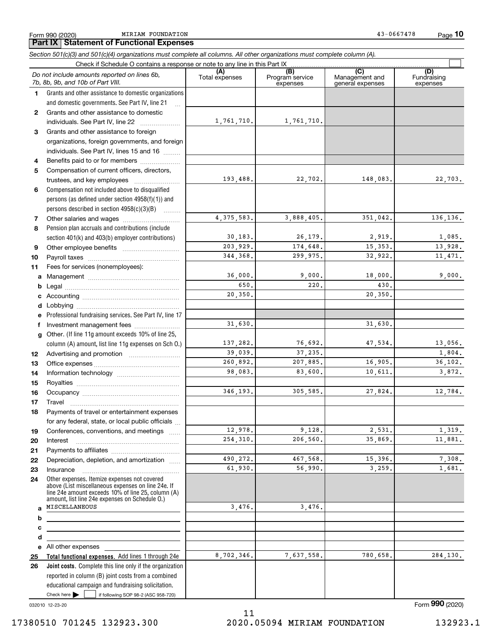MIRIAM FOUNDATION 43-0667478

**10**

|          | Form 990 (2020)<br>MIRIAM FOUNDATION<br>Part IX   Statement of Functional Expenses                                                                         |                       |                                    | 43-0667478                                | Page 10                        |
|----------|------------------------------------------------------------------------------------------------------------------------------------------------------------|-----------------------|------------------------------------|-------------------------------------------|--------------------------------|
|          | Section 501(c)(3) and 501(c)(4) organizations must complete all columns. All other organizations must complete column (A).                                 |                       |                                    |                                           |                                |
|          | Check if Schedule O contains a response or note to any line in this Part IX                                                                                |                       |                                    |                                           |                                |
|          | Do not include amounts reported on lines 6b,<br>7b, 8b, 9b, and 10b of Part VIII.                                                                          | (A)<br>Total expenses | (B)<br>Program service<br>expenses | (C)<br>Management and<br>general expenses | (D)<br>Fundraising<br>expenses |
| 1        | Grants and other assistance to domestic organizations                                                                                                      |                       |                                    |                                           |                                |
|          | and domestic governments. See Part IV, line 21<br>$\ddotsc$                                                                                                |                       |                                    |                                           |                                |
| 2        | Grants and other assistance to domestic                                                                                                                    |                       |                                    |                                           |                                |
|          | individuals. See Part IV, line 22                                                                                                                          | 1,761,710.            | 1,761,710.                         |                                           |                                |
| 3        | Grants and other assistance to foreign                                                                                                                     |                       |                                    |                                           |                                |
|          | organizations, foreign governments, and foreign                                                                                                            |                       |                                    |                                           |                                |
|          | individuals. See Part IV, lines 15 and 16                                                                                                                  |                       |                                    |                                           |                                |
| 4        | Benefits paid to or for members                                                                                                                            |                       |                                    |                                           |                                |
| 5        | Compensation of current officers, directors,                                                                                                               | 193,488.              | 22,702.                            | 148,083.                                  | 22,703.                        |
|          | trustees, and key employees                                                                                                                                |                       |                                    |                                           |                                |
| 6        | Compensation not included above to disqualified<br>persons (as defined under section 4958(f)(1)) and                                                       |                       |                                    |                                           |                                |
|          | persons described in section 4958(c)(3)(B)                                                                                                                 |                       |                                    |                                           |                                |
| 7        |                                                                                                                                                            | 4, 375, 583.          | 3,888,405.                         | 351,042.                                  | 136, 136.                      |
| 8        | Pension plan accruals and contributions (include                                                                                                           |                       |                                    |                                           |                                |
|          | section 401(k) and 403(b) employer contributions)                                                                                                          | 30, 183.              | 26.179.                            | 2,919.                                    | 1,085.                         |
| 9        |                                                                                                                                                            | 203,929.              | 174,648.                           | 15,353.                                   | 13,928.                        |
| 10       |                                                                                                                                                            | 344, 368.             | 299,975.                           | 32,922.                                   | 11,471.                        |
| 11       | Fees for services (nonemployees):                                                                                                                          |                       |                                    |                                           |                                |
|          |                                                                                                                                                            | 36,000.               | 9,000.                             | 18,000.                                   | 9,000.                         |
| b        |                                                                                                                                                            | 650.                  | 220.                               | 430.                                      |                                |
|          |                                                                                                                                                            | 20,350.               |                                    | 20,350.                                   |                                |
|          |                                                                                                                                                            |                       |                                    |                                           |                                |
|          | e Professional fundraising services. See Part IV, line 17                                                                                                  |                       |                                    |                                           |                                |
|          |                                                                                                                                                            | 31,630.               |                                    | 31,630.                                   |                                |
|          | g Other. (If line 11g amount exceeds 10% of line 25,                                                                                                       |                       |                                    |                                           |                                |
|          | column (A) amount, list line 11g expenses on Sch O.)                                                                                                       | 137,282.              | 76,692.                            | 47,534.                                   | 13,056.                        |
| 12       |                                                                                                                                                            | 39,039.               | 37,235.                            |                                           | 1,804.                         |
| 13       |                                                                                                                                                            | 260,892.              | 207,885.                           | 16,905.                                   | 36,102.                        |
| 14       |                                                                                                                                                            | 98,083.               | 83,600.                            | 10,611.                                   | 3,872.                         |
| 15       |                                                                                                                                                            |                       |                                    |                                           |                                |
| 16       | Occupancy                                                                                                                                                  | 346.193.              | 305,585.                           | 27,824.                                   | 12,784.                        |
| 17       | Travel                                                                                                                                                     |                       |                                    |                                           |                                |
| 18       | Payments of travel or entertainment expenses                                                                                                               |                       |                                    |                                           |                                |
|          | for any federal, state, or local public officials                                                                                                          | 12,978.               | 9,128.                             | 2,531.                                    | 1.319.                         |
| 19       | Conferences, conventions, and meetings                                                                                                                     | 254,310.              | 206,560.                           | 35,869.                                   | 11,881.                        |
| 20       | Interest                                                                                                                                                   |                       |                                    |                                           |                                |
| 21       | Depreciation, depletion, and amortization                                                                                                                  | 490,272.              | 467,568.                           | 15,396.                                   | 7,308.                         |
| 22<br>23 | Insurance                                                                                                                                                  | 61,930.               | 56,990.                            | 3,259.                                    | 1,681.                         |
| 24       | Other expenses. Itemize expenses not covered                                                                                                               |                       |                                    |                                           |                                |
|          | above (List miscellaneous expenses on line 24e. If<br>line 24e amount exceeds 10% of line 25, column (A)<br>amount, list line 24e expenses on Schedule 0.) |                       |                                    |                                           |                                |
| a        | MISCELLANEOUS                                                                                                                                              | 3,476.                | 3,476.                             |                                           |                                |
| b        |                                                                                                                                                            |                       |                                    |                                           |                                |
| c        |                                                                                                                                                            |                       |                                    |                                           |                                |
| d        |                                                                                                                                                            |                       |                                    |                                           |                                |
|          | e All other expenses                                                                                                                                       |                       |                                    |                                           |                                |
| 25       | Total functional expenses. Add lines 1 through 24e                                                                                                         | 8,702,346.            | 7,637,558.                         | 780,658.                                  | 284,130.                       |

Check here  $\bullet$  if following SOP 98-2 (ASC 958-720) reported in column (B) joint costs from a combined educational campaign and fundraising solicitation. Check here  $\blacktriangleright$ 

**Joint costs.** Complete this line only if the organization

032010 12-23-20

**26**

Form (2020) **990**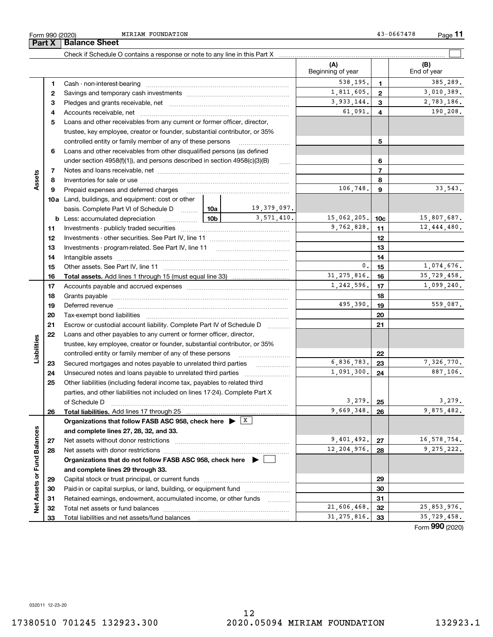| ŦΔ                   |  |
|----------------------|--|
| 2020.05094 MIRIAM FO |  |

|                             |          | Check if Schedule O contains a response or note to any line in this Part X                                                                                                                                                     |          |                |                          |                 |                    |
|-----------------------------|----------|--------------------------------------------------------------------------------------------------------------------------------------------------------------------------------------------------------------------------------|----------|----------------|--------------------------|-----------------|--------------------|
|                             |          |                                                                                                                                                                                                                                |          |                | (A)<br>Beginning of year |                 | (B)<br>End of year |
|                             | 1        |                                                                                                                                                                                                                                |          |                | 538,195.                 | $\mathbf{1}$    | 385,289.           |
|                             | 2        |                                                                                                                                                                                                                                |          |                | 1,811,605.               | $\mathbf{2}$    | 3,010,389.         |
|                             | 3        |                                                                                                                                                                                                                                |          |                | 3,933,144.               | 3               | 2,783,186.         |
|                             | 4        |                                                                                                                                                                                                                                |          | 61,091.        | $\overline{\mathbf{4}}$  | 190,208.        |                    |
|                             | 5        | Loans and other receivables from any current or former officer, director,                                                                                                                                                      |          |                |                          |                 |                    |
|                             |          | trustee, key employee, creator or founder, substantial contributor, or 35%                                                                                                                                                     |          |                |                          |                 |                    |
|                             |          | controlled entity or family member of any of these persons                                                                                                                                                                     |          |                |                          | 5               |                    |
|                             | 6        | Loans and other receivables from other disqualified persons (as defined                                                                                                                                                        |          |                |                          |                 |                    |
|                             |          | under section $4958(f)(1)$ , and persons described in section $4958(c)(3)(B)$                                                                                                                                                  |          | $\sim$         |                          | 6               |                    |
|                             | 7        |                                                                                                                                                                                                                                |          |                |                          | $\overline{7}$  |                    |
| Assets                      | 8        |                                                                                                                                                                                                                                |          |                |                          | 8               |                    |
|                             | 9        | Prepaid expenses and deferred charges                                                                                                                                                                                          |          |                | 106,748.                 | 9               | 33,543.            |
|                             |          | <b>10a</b> Land, buildings, and equipment: cost or other                                                                                                                                                                       |          |                |                          |                 |                    |
|                             |          | basis. Complete Part VI of Schedule D  10a                                                                                                                                                                                     |          | 19,379,097.    |                          |                 |                    |
|                             |          | <b>b</b> Less: accumulated depreciation                                                                                                                                                                                        |          | 3, 571, 410.   | 15,062,205.              | 10 <sub>c</sub> | 15,807,687.        |
|                             | 11       |                                                                                                                                                                                                                                |          |                | 9,762,828.               | 11              | 12,444,480.        |
|                             | 12       |                                                                                                                                                                                                                                |          |                |                          | 12              |                    |
|                             | 13       |                                                                                                                                                                                                                                |          |                |                          | 13              |                    |
|                             | 14       |                                                                                                                                                                                                                                |          | 14             |                          |                 |                    |
|                             | 15       |                                                                                                                                                                                                                                |          | $\mathbf{0}$ . | 15                       | 1,074,676.      |                    |
|                             | 16       |                                                                                                                                                                                                                                |          |                | 31, 275, 816.            | 16              | 35,729,458.        |
|                             | 17       |                                                                                                                                                                                                                                |          |                | 1,242,596.               | 17              | 1,099,240.         |
|                             | 18       |                                                                                                                                                                                                                                |          |                |                          | 18              |                    |
|                             | 19       | Deferred revenue manual contracts and contracts are contracted and contract and contract are contracted and contract are contracted and contract are contracted and contract are contracted and contract are contracted and co | 495,390. | 19             | 559,087.                 |                 |                    |
|                             | 20       |                                                                                                                                                                                                                                |          | 20             |                          |                 |                    |
|                             | 21       | Escrow or custodial account liability. Complete Part IV of Schedule D                                                                                                                                                          |          | 21             |                          |                 |                    |
|                             | 22       | Loans and other payables to any current or former officer, director,                                                                                                                                                           |          |                |                          |                 |                    |
| Liabilities                 |          | trustee, key employee, creator or founder, substantial contributor, or 35%                                                                                                                                                     |          |                |                          |                 |                    |
|                             |          | controlled entity or family member of any of these persons                                                                                                                                                                     |          |                |                          | 22              |                    |
|                             | 23       | Secured mortgages and notes payable to unrelated third parties                                                                                                                                                                 |          |                | 6,836,783.               | 23              | 7,326,770.         |
|                             | 24       |                                                                                                                                                                                                                                |          |                | 1,091,300.               | 24              | 887,106.           |
|                             | 25       | Other liabilities (including federal income tax, payables to related third                                                                                                                                                     |          |                |                          |                 |                    |
|                             |          | parties, and other liabilities not included on lines 17-24). Complete Part X                                                                                                                                                   |          |                | 3,279.                   |                 | 3,279.             |
|                             |          | of Schedule D                                                                                                                                                                                                                  |          |                | 9,669,348.               | 25<br>26        | 9,875,482.         |
|                             | 26       | Organizations that follow FASB ASC 958, check here $\blacktriangleright \lfloor X \rfloor$                                                                                                                                     |          |                |                          |                 |                    |
|                             |          | and complete lines 27, 28, 32, and 33.                                                                                                                                                                                         |          |                |                          |                 |                    |
|                             |          |                                                                                                                                                                                                                                |          |                | 9,401,492.               | 27              | 16,578,754.        |
|                             | 27<br>28 |                                                                                                                                                                                                                                |          |                | 12,204,976.              | 28              | 9, 275, 222.       |
|                             |          | Organizations that do not follow FASB ASC 958, check here ▶ □                                                                                                                                                                  |          |                |                          |                 |                    |
|                             |          | and complete lines 29 through 33.                                                                                                                                                                                              |          |                |                          |                 |                    |
|                             | 29       |                                                                                                                                                                                                                                |          |                |                          | 29              |                    |
|                             | 30       | Paid-in or capital surplus, or land, building, or equipment fund                                                                                                                                                               |          |                |                          | 30              |                    |
|                             | 31       | Retained earnings, endowment, accumulated income, or other funds                                                                                                                                                               |          |                |                          | 31              |                    |
| Net Assets or Fund Balances | 32       |                                                                                                                                                                                                                                |          |                | 21,606,468.              | 32              | 25,853,976.        |
|                             | 33       |                                                                                                                                                                                                                                |          |                | 31, 275, 816.            | 33              | 35,729,458.        |
|                             |          |                                                                                                                                                                                                                                |          |                |                          |                 | Form 990 (2020)    |

**Part X Balance Sheet**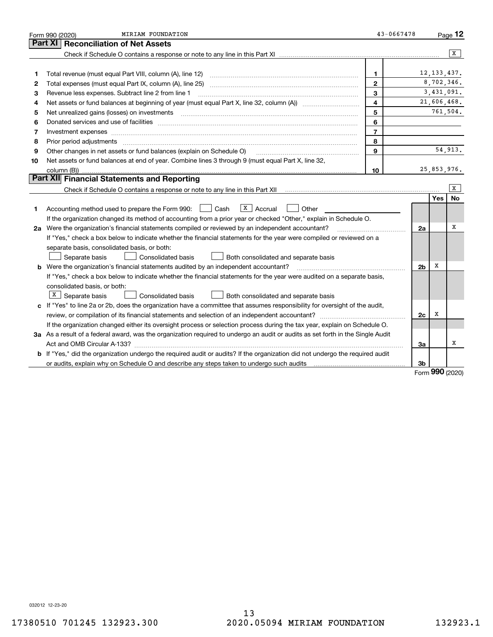| <b>Part XI</b><br><b>Reconciliation of Net Assets</b><br>$\overline{X}$<br>12, 133, 437.<br>1<br>1<br>8,702,346.<br>$\mathbf{2}$<br>2<br>3,431,091.<br>3<br>Revenue less expenses. Subtract line 2 from line 1<br>3<br>21,606,468.<br>$\overline{4}$<br>4<br>761,504.<br>5<br>Net unrealized gains (losses) on investments [11] matter continuum matter of the state of the state of the state of the state of the state of the state of the state of the state of the state of the state of the state of th<br>5<br>6<br>Donated services and use of facilities [111] Donated and the service of facilities [11] Donated services and use of facilities [11] Donated and the service of the service of the service of the service of the service of the<br>6<br>$\overline{7}$<br>7<br>Investment expenses www.communication.com/www.communication.com/www.communication.com/www.com<br>8<br>8<br>Prior period adjustments www.communication.communication.communication.com/<br>54,913.<br>9<br>Other changes in net assets or fund balances (explain on Schedule O)<br>9<br>Net assets or fund balances at end of year. Combine lines 3 through 9 (must equal Part X, line 32,<br>10<br>25,853,976.<br>10<br>Part XII Financial Statements and Reporting<br>x<br>No<br>Yes<br>$ X $ Accrual<br>Accounting method used to prepare the Form 990: <u>June</u> Cash<br>Other<br>1<br>If the organization changed its method of accounting from a prior year or checked "Other," explain in Schedule O.<br>х<br>2a Were the organization's financial statements compiled or reviewed by an independent accountant?<br>2a<br>If "Yes," check a box below to indicate whether the financial statements for the year were compiled or reviewed on a<br>separate basis, consolidated basis, or both:<br>Separate basis<br>Consolidated basis<br>Both consolidated and separate basis<br>х<br>2 <sub>b</sub><br><b>b</b> Were the organization's financial statements audited by an independent accountant?<br>If "Yes," check a box below to indicate whether the financial statements for the year were audited on a separate basis,<br>consolidated basis, or both:<br>$X$ Separate basis<br>Consolidated basis<br>Both consolidated and separate basis<br>c If "Yes" to line 2a or 2b, does the organization have a committee that assumes responsibility for oversight of the audit, | MIRIAM FOUNDATION<br>Form 990 (2020) | 43-0667478 |  | Page $12$ |
|------------------------------------------------------------------------------------------------------------------------------------------------------------------------------------------------------------------------------------------------------------------------------------------------------------------------------------------------------------------------------------------------------------------------------------------------------------------------------------------------------------------------------------------------------------------------------------------------------------------------------------------------------------------------------------------------------------------------------------------------------------------------------------------------------------------------------------------------------------------------------------------------------------------------------------------------------------------------------------------------------------------------------------------------------------------------------------------------------------------------------------------------------------------------------------------------------------------------------------------------------------------------------------------------------------------------------------------------------------------------------------------------------------------------------------------------------------------------------------------------------------------------------------------------------------------------------------------------------------------------------------------------------------------------------------------------------------------------------------------------------------------------------------------------------------------------------------------------------------------------------------------------------------------------------------------------------------------------------------------------------------------------------------------------------------------------------------------------------------------------------------------------------------------------------------------------------------------------------------------------------------------------------------------------------------------------------------------------------------------------------------|--------------------------------------|------------|--|-----------|
|                                                                                                                                                                                                                                                                                                                                                                                                                                                                                                                                                                                                                                                                                                                                                                                                                                                                                                                                                                                                                                                                                                                                                                                                                                                                                                                                                                                                                                                                                                                                                                                                                                                                                                                                                                                                                                                                                                                                                                                                                                                                                                                                                                                                                                                                                                                                                                                    |                                      |            |  |           |
|                                                                                                                                                                                                                                                                                                                                                                                                                                                                                                                                                                                                                                                                                                                                                                                                                                                                                                                                                                                                                                                                                                                                                                                                                                                                                                                                                                                                                                                                                                                                                                                                                                                                                                                                                                                                                                                                                                                                                                                                                                                                                                                                                                                                                                                                                                                                                                                    |                                      |            |  |           |
|                                                                                                                                                                                                                                                                                                                                                                                                                                                                                                                                                                                                                                                                                                                                                                                                                                                                                                                                                                                                                                                                                                                                                                                                                                                                                                                                                                                                                                                                                                                                                                                                                                                                                                                                                                                                                                                                                                                                                                                                                                                                                                                                                                                                                                                                                                                                                                                    |                                      |            |  |           |
|                                                                                                                                                                                                                                                                                                                                                                                                                                                                                                                                                                                                                                                                                                                                                                                                                                                                                                                                                                                                                                                                                                                                                                                                                                                                                                                                                                                                                                                                                                                                                                                                                                                                                                                                                                                                                                                                                                                                                                                                                                                                                                                                                                                                                                                                                                                                                                                    |                                      |            |  |           |
|                                                                                                                                                                                                                                                                                                                                                                                                                                                                                                                                                                                                                                                                                                                                                                                                                                                                                                                                                                                                                                                                                                                                                                                                                                                                                                                                                                                                                                                                                                                                                                                                                                                                                                                                                                                                                                                                                                                                                                                                                                                                                                                                                                                                                                                                                                                                                                                    |                                      |            |  |           |
|                                                                                                                                                                                                                                                                                                                                                                                                                                                                                                                                                                                                                                                                                                                                                                                                                                                                                                                                                                                                                                                                                                                                                                                                                                                                                                                                                                                                                                                                                                                                                                                                                                                                                                                                                                                                                                                                                                                                                                                                                                                                                                                                                                                                                                                                                                                                                                                    |                                      |            |  |           |
|                                                                                                                                                                                                                                                                                                                                                                                                                                                                                                                                                                                                                                                                                                                                                                                                                                                                                                                                                                                                                                                                                                                                                                                                                                                                                                                                                                                                                                                                                                                                                                                                                                                                                                                                                                                                                                                                                                                                                                                                                                                                                                                                                                                                                                                                                                                                                                                    |                                      |            |  |           |
|                                                                                                                                                                                                                                                                                                                                                                                                                                                                                                                                                                                                                                                                                                                                                                                                                                                                                                                                                                                                                                                                                                                                                                                                                                                                                                                                                                                                                                                                                                                                                                                                                                                                                                                                                                                                                                                                                                                                                                                                                                                                                                                                                                                                                                                                                                                                                                                    |                                      |            |  |           |
|                                                                                                                                                                                                                                                                                                                                                                                                                                                                                                                                                                                                                                                                                                                                                                                                                                                                                                                                                                                                                                                                                                                                                                                                                                                                                                                                                                                                                                                                                                                                                                                                                                                                                                                                                                                                                                                                                                                                                                                                                                                                                                                                                                                                                                                                                                                                                                                    |                                      |            |  |           |
|                                                                                                                                                                                                                                                                                                                                                                                                                                                                                                                                                                                                                                                                                                                                                                                                                                                                                                                                                                                                                                                                                                                                                                                                                                                                                                                                                                                                                                                                                                                                                                                                                                                                                                                                                                                                                                                                                                                                                                                                                                                                                                                                                                                                                                                                                                                                                                                    |                                      |            |  |           |
|                                                                                                                                                                                                                                                                                                                                                                                                                                                                                                                                                                                                                                                                                                                                                                                                                                                                                                                                                                                                                                                                                                                                                                                                                                                                                                                                                                                                                                                                                                                                                                                                                                                                                                                                                                                                                                                                                                                                                                                                                                                                                                                                                                                                                                                                                                                                                                                    |                                      |            |  |           |
|                                                                                                                                                                                                                                                                                                                                                                                                                                                                                                                                                                                                                                                                                                                                                                                                                                                                                                                                                                                                                                                                                                                                                                                                                                                                                                                                                                                                                                                                                                                                                                                                                                                                                                                                                                                                                                                                                                                                                                                                                                                                                                                                                                                                                                                                                                                                                                                    |                                      |            |  |           |
|                                                                                                                                                                                                                                                                                                                                                                                                                                                                                                                                                                                                                                                                                                                                                                                                                                                                                                                                                                                                                                                                                                                                                                                                                                                                                                                                                                                                                                                                                                                                                                                                                                                                                                                                                                                                                                                                                                                                                                                                                                                                                                                                                                                                                                                                                                                                                                                    |                                      |            |  |           |
|                                                                                                                                                                                                                                                                                                                                                                                                                                                                                                                                                                                                                                                                                                                                                                                                                                                                                                                                                                                                                                                                                                                                                                                                                                                                                                                                                                                                                                                                                                                                                                                                                                                                                                                                                                                                                                                                                                                                                                                                                                                                                                                                                                                                                                                                                                                                                                                    |                                      |            |  |           |
|                                                                                                                                                                                                                                                                                                                                                                                                                                                                                                                                                                                                                                                                                                                                                                                                                                                                                                                                                                                                                                                                                                                                                                                                                                                                                                                                                                                                                                                                                                                                                                                                                                                                                                                                                                                                                                                                                                                                                                                                                                                                                                                                                                                                                                                                                                                                                                                    |                                      |            |  |           |
|                                                                                                                                                                                                                                                                                                                                                                                                                                                                                                                                                                                                                                                                                                                                                                                                                                                                                                                                                                                                                                                                                                                                                                                                                                                                                                                                                                                                                                                                                                                                                                                                                                                                                                                                                                                                                                                                                                                                                                                                                                                                                                                                                                                                                                                                                                                                                                                    |                                      |            |  |           |
|                                                                                                                                                                                                                                                                                                                                                                                                                                                                                                                                                                                                                                                                                                                                                                                                                                                                                                                                                                                                                                                                                                                                                                                                                                                                                                                                                                                                                                                                                                                                                                                                                                                                                                                                                                                                                                                                                                                                                                                                                                                                                                                                                                                                                                                                                                                                                                                    |                                      |            |  |           |
|                                                                                                                                                                                                                                                                                                                                                                                                                                                                                                                                                                                                                                                                                                                                                                                                                                                                                                                                                                                                                                                                                                                                                                                                                                                                                                                                                                                                                                                                                                                                                                                                                                                                                                                                                                                                                                                                                                                                                                                                                                                                                                                                                                                                                                                                                                                                                                                    |                                      |            |  |           |
|                                                                                                                                                                                                                                                                                                                                                                                                                                                                                                                                                                                                                                                                                                                                                                                                                                                                                                                                                                                                                                                                                                                                                                                                                                                                                                                                                                                                                                                                                                                                                                                                                                                                                                                                                                                                                                                                                                                                                                                                                                                                                                                                                                                                                                                                                                                                                                                    |                                      |            |  |           |
|                                                                                                                                                                                                                                                                                                                                                                                                                                                                                                                                                                                                                                                                                                                                                                                                                                                                                                                                                                                                                                                                                                                                                                                                                                                                                                                                                                                                                                                                                                                                                                                                                                                                                                                                                                                                                                                                                                                                                                                                                                                                                                                                                                                                                                                                                                                                                                                    |                                      |            |  |           |
|                                                                                                                                                                                                                                                                                                                                                                                                                                                                                                                                                                                                                                                                                                                                                                                                                                                                                                                                                                                                                                                                                                                                                                                                                                                                                                                                                                                                                                                                                                                                                                                                                                                                                                                                                                                                                                                                                                                                                                                                                                                                                                                                                                                                                                                                                                                                                                                    |                                      |            |  |           |
|                                                                                                                                                                                                                                                                                                                                                                                                                                                                                                                                                                                                                                                                                                                                                                                                                                                                                                                                                                                                                                                                                                                                                                                                                                                                                                                                                                                                                                                                                                                                                                                                                                                                                                                                                                                                                                                                                                                                                                                                                                                                                                                                                                                                                                                                                                                                                                                    |                                      |            |  |           |
|                                                                                                                                                                                                                                                                                                                                                                                                                                                                                                                                                                                                                                                                                                                                                                                                                                                                                                                                                                                                                                                                                                                                                                                                                                                                                                                                                                                                                                                                                                                                                                                                                                                                                                                                                                                                                                                                                                                                                                                                                                                                                                                                                                                                                                                                                                                                                                                    |                                      |            |  |           |
|                                                                                                                                                                                                                                                                                                                                                                                                                                                                                                                                                                                                                                                                                                                                                                                                                                                                                                                                                                                                                                                                                                                                                                                                                                                                                                                                                                                                                                                                                                                                                                                                                                                                                                                                                                                                                                                                                                                                                                                                                                                                                                                                                                                                                                                                                                                                                                                    |                                      |            |  |           |
|                                                                                                                                                                                                                                                                                                                                                                                                                                                                                                                                                                                                                                                                                                                                                                                                                                                                                                                                                                                                                                                                                                                                                                                                                                                                                                                                                                                                                                                                                                                                                                                                                                                                                                                                                                                                                                                                                                                                                                                                                                                                                                                                                                                                                                                                                                                                                                                    |                                      |            |  |           |
|                                                                                                                                                                                                                                                                                                                                                                                                                                                                                                                                                                                                                                                                                                                                                                                                                                                                                                                                                                                                                                                                                                                                                                                                                                                                                                                                                                                                                                                                                                                                                                                                                                                                                                                                                                                                                                                                                                                                                                                                                                                                                                                                                                                                                                                                                                                                                                                    |                                      |            |  |           |
|                                                                                                                                                                                                                                                                                                                                                                                                                                                                                                                                                                                                                                                                                                                                                                                                                                                                                                                                                                                                                                                                                                                                                                                                                                                                                                                                                                                                                                                                                                                                                                                                                                                                                                                                                                                                                                                                                                                                                                                                                                                                                                                                                                                                                                                                                                                                                                                    |                                      |            |  |           |
|                                                                                                                                                                                                                                                                                                                                                                                                                                                                                                                                                                                                                                                                                                                                                                                                                                                                                                                                                                                                                                                                                                                                                                                                                                                                                                                                                                                                                                                                                                                                                                                                                                                                                                                                                                                                                                                                                                                                                                                                                                                                                                                                                                                                                                                                                                                                                                                    |                                      |            |  |           |
| х<br>2c<br>review, or compilation of its financial statements and selection of an independent accountant?                                                                                                                                                                                                                                                                                                                                                                                                                                                                                                                                                                                                                                                                                                                                                                                                                                                                                                                                                                                                                                                                                                                                                                                                                                                                                                                                                                                                                                                                                                                                                                                                                                                                                                                                                                                                                                                                                                                                                                                                                                                                                                                                                                                                                                                                          |                                      |            |  |           |
| If the organization changed either its oversight process or selection process during the tax year, explain on Schedule O.                                                                                                                                                                                                                                                                                                                                                                                                                                                                                                                                                                                                                                                                                                                                                                                                                                                                                                                                                                                                                                                                                                                                                                                                                                                                                                                                                                                                                                                                                                                                                                                                                                                                                                                                                                                                                                                                                                                                                                                                                                                                                                                                                                                                                                                          |                                      |            |  |           |
| 3a As a result of a federal award, was the organization required to undergo an audit or audits as set forth in the Single Audit                                                                                                                                                                                                                                                                                                                                                                                                                                                                                                                                                                                                                                                                                                                                                                                                                                                                                                                                                                                                                                                                                                                                                                                                                                                                                                                                                                                                                                                                                                                                                                                                                                                                                                                                                                                                                                                                                                                                                                                                                                                                                                                                                                                                                                                    |                                      |            |  |           |
| х<br>За                                                                                                                                                                                                                                                                                                                                                                                                                                                                                                                                                                                                                                                                                                                                                                                                                                                                                                                                                                                                                                                                                                                                                                                                                                                                                                                                                                                                                                                                                                                                                                                                                                                                                                                                                                                                                                                                                                                                                                                                                                                                                                                                                                                                                                                                                                                                                                            |                                      |            |  |           |
| b If "Yes," did the organization undergo the required audit or audits? If the organization did not undergo the required audit                                                                                                                                                                                                                                                                                                                                                                                                                                                                                                                                                                                                                                                                                                                                                                                                                                                                                                                                                                                                                                                                                                                                                                                                                                                                                                                                                                                                                                                                                                                                                                                                                                                                                                                                                                                                                                                                                                                                                                                                                                                                                                                                                                                                                                                      |                                      |            |  |           |
| 3b<br>or audits, explain why on Schedule O and describe any steps taken to undergo such audits manufactured university<br>$\Omega$                                                                                                                                                                                                                                                                                                                                                                                                                                                                                                                                                                                                                                                                                                                                                                                                                                                                                                                                                                                                                                                                                                                                                                                                                                                                                                                                                                                                                                                                                                                                                                                                                                                                                                                                                                                                                                                                                                                                                                                                                                                                                                                                                                                                                                                 |                                      |            |  |           |

Form (2020) **990**

032012 12-23-20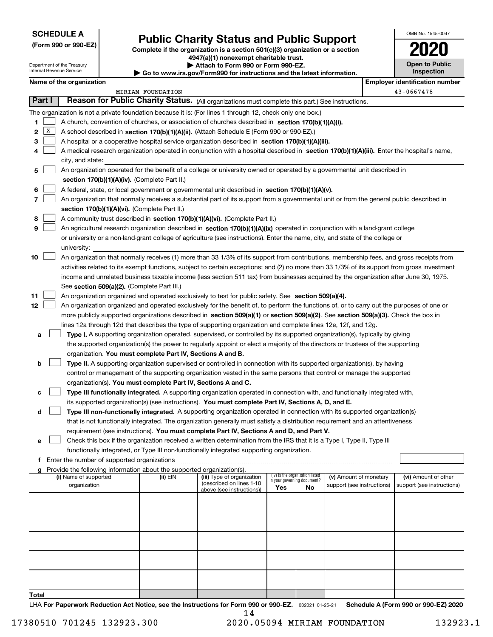| <b>SCHEDULE A</b> |  |
|-------------------|--|
|-------------------|--|

**(Form 990 or 990-EZ)**

# Department of the Treasury

Internal Revenue Service

# **Public Charity Status and Public Support**

**Complete if the organization is a section 501(c)(3) organization or a section 4947(a)(1) nonexempt charitable trust. | Attach to Form 990 or Form 990-EZ. | Go to www.irs.gov/Form990 for instructions and the latest information.**

| 020                                 |  |
|-------------------------------------|--|
| <b>Open to Public</b><br>Inspection |  |

OMB No. 1545-0047

|                 | Name of the organization                                                                                                                     |                   | ad to www.morgown ormood for modiablionid and the fattor miorination. |     |                                                                |                            |  | <b>Employer identification number</b> |  |  |  |
|-----------------|----------------------------------------------------------------------------------------------------------------------------------------------|-------------------|-----------------------------------------------------------------------|-----|----------------------------------------------------------------|----------------------------|--|---------------------------------------|--|--|--|
|                 |                                                                                                                                              | MIRIAM FOUNDATION |                                                                       |     |                                                                |                            |  | 43-0667478                            |  |  |  |
| Part I          | Reason for Public Charity Status. (All organizations must complete this part.) See instructions.                                             |                   |                                                                       |     |                                                                |                            |  |                                       |  |  |  |
|                 | The organization is not a private foundation because it is: (For lines 1 through 12, check only one box.)                                    |                   |                                                                       |     |                                                                |                            |  |                                       |  |  |  |
| 1               | A church, convention of churches, or association of churches described in section 170(b)(1)(A)(i).                                           |                   |                                                                       |     |                                                                |                            |  |                                       |  |  |  |
| x<br>2          | A school described in section 170(b)(1)(A)(ii). (Attach Schedule E (Form 990 or 990-EZ).)                                                    |                   |                                                                       |     |                                                                |                            |  |                                       |  |  |  |
| 3               | A hospital or a cooperative hospital service organization described in section 170(b)(1)(A)(iii).                                            |                   |                                                                       |     |                                                                |                            |  |                                       |  |  |  |
| 4               | A medical research organization operated in conjunction with a hospital described in section 170(b)(1)(A)(iii). Enter the hospital's name,   |                   |                                                                       |     |                                                                |                            |  |                                       |  |  |  |
|                 | city, and state:                                                                                                                             |                   |                                                                       |     |                                                                |                            |  |                                       |  |  |  |
| 5               | An organization operated for the benefit of a college or university owned or operated by a governmental unit described in                    |                   |                                                                       |     |                                                                |                            |  |                                       |  |  |  |
|                 | section 170(b)(1)(A)(iv). (Complete Part II.)                                                                                                |                   |                                                                       |     |                                                                |                            |  |                                       |  |  |  |
| 6               | A federal, state, or local government or governmental unit described in section 170(b)(1)(A)(v).                                             |                   |                                                                       |     |                                                                |                            |  |                                       |  |  |  |
| 7               | An organization that normally receives a substantial part of its support from a governmental unit or from the general public described in    |                   |                                                                       |     |                                                                |                            |  |                                       |  |  |  |
|                 | section 170(b)(1)(A)(vi). (Complete Part II.)                                                                                                |                   |                                                                       |     |                                                                |                            |  |                                       |  |  |  |
| 8               | A community trust described in section 170(b)(1)(A)(vi). (Complete Part II.)                                                                 |                   |                                                                       |     |                                                                |                            |  |                                       |  |  |  |
| 9               | An agricultural research organization described in section 170(b)(1)(A)(ix) operated in conjunction with a land-grant college                |                   |                                                                       |     |                                                                |                            |  |                                       |  |  |  |
|                 | or university or a non-land-grant college of agriculture (see instructions). Enter the name, city, and state of the college or               |                   |                                                                       |     |                                                                |                            |  |                                       |  |  |  |
|                 | university:                                                                                                                                  |                   |                                                                       |     |                                                                |                            |  |                                       |  |  |  |
| 10              | An organization that normally receives (1) more than 33 1/3% of its support from contributions, membership fees, and gross receipts from     |                   |                                                                       |     |                                                                |                            |  |                                       |  |  |  |
|                 | activities related to its exempt functions, subject to certain exceptions; and (2) no more than 33 1/3% of its support from gross investment |                   |                                                                       |     |                                                                |                            |  |                                       |  |  |  |
|                 | income and unrelated business taxable income (less section 511 tax) from businesses acquired by the organization after June 30, 1975.        |                   |                                                                       |     |                                                                |                            |  |                                       |  |  |  |
|                 | See section 509(a)(2). (Complete Part III.)                                                                                                  |                   |                                                                       |     |                                                                |                            |  |                                       |  |  |  |
| 11              | An organization organized and operated exclusively to test for public safety. See section 509(a)(4).                                         |                   |                                                                       |     |                                                                |                            |  |                                       |  |  |  |
| 12 <sub>2</sub> | An organization organized and operated exclusively for the benefit of, to perform the functions of, or to carry out the purposes of one or   |                   |                                                                       |     |                                                                |                            |  |                                       |  |  |  |
|                 | more publicly supported organizations described in section 509(a)(1) or section 509(a)(2). See section 509(a)(3). Check the box in           |                   |                                                                       |     |                                                                |                            |  |                                       |  |  |  |
|                 | lines 12a through 12d that describes the type of supporting organization and complete lines 12e, 12f, and 12g.                               |                   |                                                                       |     |                                                                |                            |  |                                       |  |  |  |
| a               | Type I. A supporting organization operated, supervised, or controlled by its supported organization(s), typically by giving                  |                   |                                                                       |     |                                                                |                            |  |                                       |  |  |  |
|                 | the supported organization(s) the power to regularly appoint or elect a majority of the directors or trustees of the supporting              |                   |                                                                       |     |                                                                |                            |  |                                       |  |  |  |
|                 | organization. You must complete Part IV, Sections A and B.                                                                                   |                   |                                                                       |     |                                                                |                            |  |                                       |  |  |  |
| b               | Type II. A supporting organization supervised or controlled in connection with its supported organization(s), by having                      |                   |                                                                       |     |                                                                |                            |  |                                       |  |  |  |
|                 | control or management of the supporting organization vested in the same persons that control or manage the supported                         |                   |                                                                       |     |                                                                |                            |  |                                       |  |  |  |
|                 | organization(s). You must complete Part IV, Sections A and C.                                                                                |                   |                                                                       |     |                                                                |                            |  |                                       |  |  |  |
| c               | Type III functionally integrated. A supporting organization operated in connection with, and functionally integrated with,                   |                   |                                                                       |     |                                                                |                            |  |                                       |  |  |  |
|                 | its supported organization(s) (see instructions). You must complete Part IV, Sections A, D, and E.                                           |                   |                                                                       |     |                                                                |                            |  |                                       |  |  |  |
| d               | Type III non-functionally integrated. A supporting organization operated in connection with its supported organization(s)                    |                   |                                                                       |     |                                                                |                            |  |                                       |  |  |  |
|                 | that is not functionally integrated. The organization generally must satisfy a distribution requirement and an attentiveness                 |                   |                                                                       |     |                                                                |                            |  |                                       |  |  |  |
|                 | requirement (see instructions). You must complete Part IV, Sections A and D, and Part V.                                                     |                   |                                                                       |     |                                                                |                            |  |                                       |  |  |  |
| е               | Check this box if the organization received a written determination from the IRS that it is a Type I, Type II, Type III                      |                   |                                                                       |     |                                                                |                            |  |                                       |  |  |  |
|                 | functionally integrated, or Type III non-functionally integrated supporting organization.                                                    |                   |                                                                       |     |                                                                |                            |  |                                       |  |  |  |
|                 | f Enter the number of supported organizations                                                                                                |                   |                                                                       |     |                                                                |                            |  |                                       |  |  |  |
| a               | Provide the following information about the supported organization(s).                                                                       |                   |                                                                       |     |                                                                |                            |  |                                       |  |  |  |
|                 | (i) Name of supported                                                                                                                        | (ii) EIN          | (iii) Type of organization                                            |     | (iv) Is the organization listed<br>in your governing document? | (v) Amount of monetary     |  | (vi) Amount of other                  |  |  |  |
|                 | organization                                                                                                                                 |                   | (described on lines 1-10<br>above (see instructions))                 | Yes | No                                                             | support (see instructions) |  | support (see instructions)            |  |  |  |
|                 |                                                                                                                                              |                   |                                                                       |     |                                                                |                            |  |                                       |  |  |  |
|                 |                                                                                                                                              |                   |                                                                       |     |                                                                |                            |  |                                       |  |  |  |
|                 |                                                                                                                                              |                   |                                                                       |     |                                                                |                            |  |                                       |  |  |  |
|                 |                                                                                                                                              |                   |                                                                       |     |                                                                |                            |  |                                       |  |  |  |
|                 |                                                                                                                                              |                   |                                                                       |     |                                                                |                            |  |                                       |  |  |  |
|                 |                                                                                                                                              |                   |                                                                       |     |                                                                |                            |  |                                       |  |  |  |
|                 |                                                                                                                                              |                   |                                                                       |     |                                                                |                            |  |                                       |  |  |  |
|                 |                                                                                                                                              |                   |                                                                       |     |                                                                |                            |  |                                       |  |  |  |
|                 |                                                                                                                                              |                   |                                                                       |     |                                                                |                            |  |                                       |  |  |  |
|                 |                                                                                                                                              |                   |                                                                       |     |                                                                |                            |  |                                       |  |  |  |

**Total**

LHA For Paperwork Reduction Act Notice, see the Instructions for Form 990 or 990-EZ. <sub>032021</sub> o1-25-21 Schedule A (Form 990 or 990-EZ) 2020 14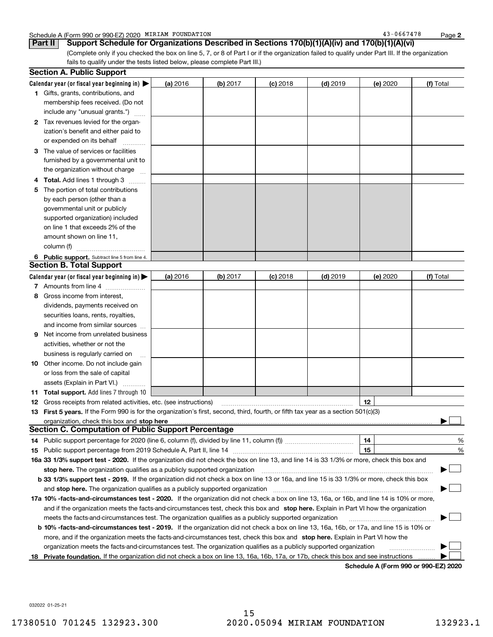| Schedule A | A (Form 990 or 990-EZ) 2020 | MIRIAM FOUNDATION | $-0667478$ | Page |  |
|------------|-----------------------------|-------------------|------------|------|--|
|------------|-----------------------------|-------------------|------------|------|--|

 $M<sub>43-0667478</sub>$ 

**2**

(Complete only if you checked the box on line 5, 7, or 8 of Part I or if the organization failed to qualify under Part III. If the organization fails to qualify under the tests listed below, please complete Part III.) **Part II Support Schedule for Organizations Described in Sections 170(b)(1)(A)(iv) and 170(b)(1)(A)(vi)**

| Calendar year (or fiscal year beginning in) $\blacktriangleright$<br>$(d)$ 2019<br>(e) 2020<br>(a) 2016<br>(b) 2017<br>$(c)$ 2018<br>(f) Total<br>1 Gifts, grants, contributions, and<br>membership fees received. (Do not<br>include any "unusual grants.")<br>2 Tax revenues levied for the organ-<br>ization's benefit and either paid to<br>or expended on its behalf<br>3 The value of services or facilities<br>furnished by a governmental unit to<br>the organization without charge<br>4 Total. Add lines 1 through 3<br>The portion of total contributions<br>5.<br>by each person (other than a<br>governmental unit or publicly<br>supported organization) included<br>on line 1 that exceeds 2% of the<br>amount shown on line 11,<br>column (f)<br>6 Public support. Subtract line 5 from line 4.<br><b>Section B. Total Support</b><br>Calendar year (or fiscal year beginning in) $\blacktriangleright$<br>$(d)$ 2019<br>(a) 2016<br>(b) 2017<br>$(c)$ 2018<br>(e) 2020<br>(f) Total<br>7 Amounts from line 4<br>Gross income from interest,<br>8<br>dividends, payments received on<br>securities loans, rents, royalties,<br>and income from similar sources<br>Net income from unrelated business<br>9.<br>activities, whether or not the<br>business is regularly carried on<br><b>10</b> Other income. Do not include gain<br>or loss from the sale of capital<br>assets (Explain in Part VI.)<br><b>11 Total support.</b> Add lines 7 through 10<br>12<br><b>12</b> Gross receipts from related activities, etc. (see instructions)<br>13 First 5 years. If the Form 990 is for the organization's first, second, third, fourth, or fifth tax year as a section 501(c)(3)<br>organization, check this box and stop here manufactured and the content of the state of the content of the content of the content of the content of the content of the content of the content of the content of the content of<br><b>Section C. Computation of Public Support Percentage</b><br>14<br>%<br>15<br>%<br>16a 33 1/3% support test - 2020. If the organization did not check the box on line 13, and line 14 is 33 1/3% or more, check this box and<br>$\sim$<br>stop here. The organization qualifies as a publicly supported organization<br>b 33 1/3% support test - 2019. If the organization did not check a box on line 13 or 16a, and line 15 is 33 1/3% or more, check this box<br>and stop here. The organization qualifies as a publicly supported organization<br>17a 10% -facts-and-circumstances test - 2020. If the organization did not check a box on line 13, 16a, or 16b, and line 14 is 10% or more,<br>and if the organization meets the facts and circumstances test, check this box and stop here. Explain in Part VI how the organization<br>meets the facts-and-circumstances test. The organization qualifies as a publicly supported organization<br><b>b 10% -facts-and-circumstances test - 2019.</b> If the organization did not check a box on line 13, 16a, 16b, or 17a, and line 15 is 10% or<br>more, and if the organization meets the facts-and-circumstances test, check this box and stop here. Explain in Part VI how the<br>organization meets the facts-and-circumstances test. The organization qualifies as a publicly supported organization<br>18 Private foundation. If the organization did not check a box on line 13, 16a, 16b, 17a, or 17b, check this box and see instructions | <b>Section A. Public Support</b> |  |  |  |
|-------------------------------------------------------------------------------------------------------------------------------------------------------------------------------------------------------------------------------------------------------------------------------------------------------------------------------------------------------------------------------------------------------------------------------------------------------------------------------------------------------------------------------------------------------------------------------------------------------------------------------------------------------------------------------------------------------------------------------------------------------------------------------------------------------------------------------------------------------------------------------------------------------------------------------------------------------------------------------------------------------------------------------------------------------------------------------------------------------------------------------------------------------------------------------------------------------------------------------------------------------------------------------------------------------------------------------------------------------------------------------------------------------------------------------------------------------------------------------------------------------------------------------------------------------------------------------------------------------------------------------------------------------------------------------------------------------------------------------------------------------------------------------------------------------------------------------------------------------------------------------------------------------------------------------------------------------------------------------------------------------------------------------------------------------------------------------------------------------------------------------------------------------------------------------------------------------------------------------------------------------------------------------------------------------------------------------------------------------------------------------------------------------------------------------------------------------------------------------------------------------------------------------------------------------------------------------------------------------------------------------------------------------------------------------------------------------------------------------------------------------------------------------------------------------------------------------------------------------------------------------------------------------------------------------------------------------------------------------------------------------------------------------------------------------------------------------------------------------------------------------------------------------------------------------------------------------------------------------------------------------------------------------------------------------------------------------------------------------------------------------------------------------------------------------------------------|----------------------------------|--|--|--|
|                                                                                                                                                                                                                                                                                                                                                                                                                                                                                                                                                                                                                                                                                                                                                                                                                                                                                                                                                                                                                                                                                                                                                                                                                                                                                                                                                                                                                                                                                                                                                                                                                                                                                                                                                                                                                                                                                                                                                                                                                                                                                                                                                                                                                                                                                                                                                                                                                                                                                                                                                                                                                                                                                                                                                                                                                                                                                                                                                                                                                                                                                                                                                                                                                                                                                                                                                                                                                                                 |                                  |  |  |  |
|                                                                                                                                                                                                                                                                                                                                                                                                                                                                                                                                                                                                                                                                                                                                                                                                                                                                                                                                                                                                                                                                                                                                                                                                                                                                                                                                                                                                                                                                                                                                                                                                                                                                                                                                                                                                                                                                                                                                                                                                                                                                                                                                                                                                                                                                                                                                                                                                                                                                                                                                                                                                                                                                                                                                                                                                                                                                                                                                                                                                                                                                                                                                                                                                                                                                                                                                                                                                                                                 |                                  |  |  |  |
|                                                                                                                                                                                                                                                                                                                                                                                                                                                                                                                                                                                                                                                                                                                                                                                                                                                                                                                                                                                                                                                                                                                                                                                                                                                                                                                                                                                                                                                                                                                                                                                                                                                                                                                                                                                                                                                                                                                                                                                                                                                                                                                                                                                                                                                                                                                                                                                                                                                                                                                                                                                                                                                                                                                                                                                                                                                                                                                                                                                                                                                                                                                                                                                                                                                                                                                                                                                                                                                 |                                  |  |  |  |
|                                                                                                                                                                                                                                                                                                                                                                                                                                                                                                                                                                                                                                                                                                                                                                                                                                                                                                                                                                                                                                                                                                                                                                                                                                                                                                                                                                                                                                                                                                                                                                                                                                                                                                                                                                                                                                                                                                                                                                                                                                                                                                                                                                                                                                                                                                                                                                                                                                                                                                                                                                                                                                                                                                                                                                                                                                                                                                                                                                                                                                                                                                                                                                                                                                                                                                                                                                                                                                                 |                                  |  |  |  |
|                                                                                                                                                                                                                                                                                                                                                                                                                                                                                                                                                                                                                                                                                                                                                                                                                                                                                                                                                                                                                                                                                                                                                                                                                                                                                                                                                                                                                                                                                                                                                                                                                                                                                                                                                                                                                                                                                                                                                                                                                                                                                                                                                                                                                                                                                                                                                                                                                                                                                                                                                                                                                                                                                                                                                                                                                                                                                                                                                                                                                                                                                                                                                                                                                                                                                                                                                                                                                                                 |                                  |  |  |  |
|                                                                                                                                                                                                                                                                                                                                                                                                                                                                                                                                                                                                                                                                                                                                                                                                                                                                                                                                                                                                                                                                                                                                                                                                                                                                                                                                                                                                                                                                                                                                                                                                                                                                                                                                                                                                                                                                                                                                                                                                                                                                                                                                                                                                                                                                                                                                                                                                                                                                                                                                                                                                                                                                                                                                                                                                                                                                                                                                                                                                                                                                                                                                                                                                                                                                                                                                                                                                                                                 |                                  |  |  |  |
|                                                                                                                                                                                                                                                                                                                                                                                                                                                                                                                                                                                                                                                                                                                                                                                                                                                                                                                                                                                                                                                                                                                                                                                                                                                                                                                                                                                                                                                                                                                                                                                                                                                                                                                                                                                                                                                                                                                                                                                                                                                                                                                                                                                                                                                                                                                                                                                                                                                                                                                                                                                                                                                                                                                                                                                                                                                                                                                                                                                                                                                                                                                                                                                                                                                                                                                                                                                                                                                 |                                  |  |  |  |
|                                                                                                                                                                                                                                                                                                                                                                                                                                                                                                                                                                                                                                                                                                                                                                                                                                                                                                                                                                                                                                                                                                                                                                                                                                                                                                                                                                                                                                                                                                                                                                                                                                                                                                                                                                                                                                                                                                                                                                                                                                                                                                                                                                                                                                                                                                                                                                                                                                                                                                                                                                                                                                                                                                                                                                                                                                                                                                                                                                                                                                                                                                                                                                                                                                                                                                                                                                                                                                                 |                                  |  |  |  |
|                                                                                                                                                                                                                                                                                                                                                                                                                                                                                                                                                                                                                                                                                                                                                                                                                                                                                                                                                                                                                                                                                                                                                                                                                                                                                                                                                                                                                                                                                                                                                                                                                                                                                                                                                                                                                                                                                                                                                                                                                                                                                                                                                                                                                                                                                                                                                                                                                                                                                                                                                                                                                                                                                                                                                                                                                                                                                                                                                                                                                                                                                                                                                                                                                                                                                                                                                                                                                                                 |                                  |  |  |  |
|                                                                                                                                                                                                                                                                                                                                                                                                                                                                                                                                                                                                                                                                                                                                                                                                                                                                                                                                                                                                                                                                                                                                                                                                                                                                                                                                                                                                                                                                                                                                                                                                                                                                                                                                                                                                                                                                                                                                                                                                                                                                                                                                                                                                                                                                                                                                                                                                                                                                                                                                                                                                                                                                                                                                                                                                                                                                                                                                                                                                                                                                                                                                                                                                                                                                                                                                                                                                                                                 |                                  |  |  |  |
|                                                                                                                                                                                                                                                                                                                                                                                                                                                                                                                                                                                                                                                                                                                                                                                                                                                                                                                                                                                                                                                                                                                                                                                                                                                                                                                                                                                                                                                                                                                                                                                                                                                                                                                                                                                                                                                                                                                                                                                                                                                                                                                                                                                                                                                                                                                                                                                                                                                                                                                                                                                                                                                                                                                                                                                                                                                                                                                                                                                                                                                                                                                                                                                                                                                                                                                                                                                                                                                 |                                  |  |  |  |
|                                                                                                                                                                                                                                                                                                                                                                                                                                                                                                                                                                                                                                                                                                                                                                                                                                                                                                                                                                                                                                                                                                                                                                                                                                                                                                                                                                                                                                                                                                                                                                                                                                                                                                                                                                                                                                                                                                                                                                                                                                                                                                                                                                                                                                                                                                                                                                                                                                                                                                                                                                                                                                                                                                                                                                                                                                                                                                                                                                                                                                                                                                                                                                                                                                                                                                                                                                                                                                                 |                                  |  |  |  |
|                                                                                                                                                                                                                                                                                                                                                                                                                                                                                                                                                                                                                                                                                                                                                                                                                                                                                                                                                                                                                                                                                                                                                                                                                                                                                                                                                                                                                                                                                                                                                                                                                                                                                                                                                                                                                                                                                                                                                                                                                                                                                                                                                                                                                                                                                                                                                                                                                                                                                                                                                                                                                                                                                                                                                                                                                                                                                                                                                                                                                                                                                                                                                                                                                                                                                                                                                                                                                                                 |                                  |  |  |  |
|                                                                                                                                                                                                                                                                                                                                                                                                                                                                                                                                                                                                                                                                                                                                                                                                                                                                                                                                                                                                                                                                                                                                                                                                                                                                                                                                                                                                                                                                                                                                                                                                                                                                                                                                                                                                                                                                                                                                                                                                                                                                                                                                                                                                                                                                                                                                                                                                                                                                                                                                                                                                                                                                                                                                                                                                                                                                                                                                                                                                                                                                                                                                                                                                                                                                                                                                                                                                                                                 |                                  |  |  |  |
|                                                                                                                                                                                                                                                                                                                                                                                                                                                                                                                                                                                                                                                                                                                                                                                                                                                                                                                                                                                                                                                                                                                                                                                                                                                                                                                                                                                                                                                                                                                                                                                                                                                                                                                                                                                                                                                                                                                                                                                                                                                                                                                                                                                                                                                                                                                                                                                                                                                                                                                                                                                                                                                                                                                                                                                                                                                                                                                                                                                                                                                                                                                                                                                                                                                                                                                                                                                                                                                 |                                  |  |  |  |
|                                                                                                                                                                                                                                                                                                                                                                                                                                                                                                                                                                                                                                                                                                                                                                                                                                                                                                                                                                                                                                                                                                                                                                                                                                                                                                                                                                                                                                                                                                                                                                                                                                                                                                                                                                                                                                                                                                                                                                                                                                                                                                                                                                                                                                                                                                                                                                                                                                                                                                                                                                                                                                                                                                                                                                                                                                                                                                                                                                                                                                                                                                                                                                                                                                                                                                                                                                                                                                                 |                                  |  |  |  |
|                                                                                                                                                                                                                                                                                                                                                                                                                                                                                                                                                                                                                                                                                                                                                                                                                                                                                                                                                                                                                                                                                                                                                                                                                                                                                                                                                                                                                                                                                                                                                                                                                                                                                                                                                                                                                                                                                                                                                                                                                                                                                                                                                                                                                                                                                                                                                                                                                                                                                                                                                                                                                                                                                                                                                                                                                                                                                                                                                                                                                                                                                                                                                                                                                                                                                                                                                                                                                                                 |                                  |  |  |  |
|                                                                                                                                                                                                                                                                                                                                                                                                                                                                                                                                                                                                                                                                                                                                                                                                                                                                                                                                                                                                                                                                                                                                                                                                                                                                                                                                                                                                                                                                                                                                                                                                                                                                                                                                                                                                                                                                                                                                                                                                                                                                                                                                                                                                                                                                                                                                                                                                                                                                                                                                                                                                                                                                                                                                                                                                                                                                                                                                                                                                                                                                                                                                                                                                                                                                                                                                                                                                                                                 |                                  |  |  |  |
|                                                                                                                                                                                                                                                                                                                                                                                                                                                                                                                                                                                                                                                                                                                                                                                                                                                                                                                                                                                                                                                                                                                                                                                                                                                                                                                                                                                                                                                                                                                                                                                                                                                                                                                                                                                                                                                                                                                                                                                                                                                                                                                                                                                                                                                                                                                                                                                                                                                                                                                                                                                                                                                                                                                                                                                                                                                                                                                                                                                                                                                                                                                                                                                                                                                                                                                                                                                                                                                 |                                  |  |  |  |
|                                                                                                                                                                                                                                                                                                                                                                                                                                                                                                                                                                                                                                                                                                                                                                                                                                                                                                                                                                                                                                                                                                                                                                                                                                                                                                                                                                                                                                                                                                                                                                                                                                                                                                                                                                                                                                                                                                                                                                                                                                                                                                                                                                                                                                                                                                                                                                                                                                                                                                                                                                                                                                                                                                                                                                                                                                                                                                                                                                                                                                                                                                                                                                                                                                                                                                                                                                                                                                                 |                                  |  |  |  |
|                                                                                                                                                                                                                                                                                                                                                                                                                                                                                                                                                                                                                                                                                                                                                                                                                                                                                                                                                                                                                                                                                                                                                                                                                                                                                                                                                                                                                                                                                                                                                                                                                                                                                                                                                                                                                                                                                                                                                                                                                                                                                                                                                                                                                                                                                                                                                                                                                                                                                                                                                                                                                                                                                                                                                                                                                                                                                                                                                                                                                                                                                                                                                                                                                                                                                                                                                                                                                                                 |                                  |  |  |  |
|                                                                                                                                                                                                                                                                                                                                                                                                                                                                                                                                                                                                                                                                                                                                                                                                                                                                                                                                                                                                                                                                                                                                                                                                                                                                                                                                                                                                                                                                                                                                                                                                                                                                                                                                                                                                                                                                                                                                                                                                                                                                                                                                                                                                                                                                                                                                                                                                                                                                                                                                                                                                                                                                                                                                                                                                                                                                                                                                                                                                                                                                                                                                                                                                                                                                                                                                                                                                                                                 |                                  |  |  |  |
|                                                                                                                                                                                                                                                                                                                                                                                                                                                                                                                                                                                                                                                                                                                                                                                                                                                                                                                                                                                                                                                                                                                                                                                                                                                                                                                                                                                                                                                                                                                                                                                                                                                                                                                                                                                                                                                                                                                                                                                                                                                                                                                                                                                                                                                                                                                                                                                                                                                                                                                                                                                                                                                                                                                                                                                                                                                                                                                                                                                                                                                                                                                                                                                                                                                                                                                                                                                                                                                 |                                  |  |  |  |
|                                                                                                                                                                                                                                                                                                                                                                                                                                                                                                                                                                                                                                                                                                                                                                                                                                                                                                                                                                                                                                                                                                                                                                                                                                                                                                                                                                                                                                                                                                                                                                                                                                                                                                                                                                                                                                                                                                                                                                                                                                                                                                                                                                                                                                                                                                                                                                                                                                                                                                                                                                                                                                                                                                                                                                                                                                                                                                                                                                                                                                                                                                                                                                                                                                                                                                                                                                                                                                                 |                                  |  |  |  |
|                                                                                                                                                                                                                                                                                                                                                                                                                                                                                                                                                                                                                                                                                                                                                                                                                                                                                                                                                                                                                                                                                                                                                                                                                                                                                                                                                                                                                                                                                                                                                                                                                                                                                                                                                                                                                                                                                                                                                                                                                                                                                                                                                                                                                                                                                                                                                                                                                                                                                                                                                                                                                                                                                                                                                                                                                                                                                                                                                                                                                                                                                                                                                                                                                                                                                                                                                                                                                                                 |                                  |  |  |  |
|                                                                                                                                                                                                                                                                                                                                                                                                                                                                                                                                                                                                                                                                                                                                                                                                                                                                                                                                                                                                                                                                                                                                                                                                                                                                                                                                                                                                                                                                                                                                                                                                                                                                                                                                                                                                                                                                                                                                                                                                                                                                                                                                                                                                                                                                                                                                                                                                                                                                                                                                                                                                                                                                                                                                                                                                                                                                                                                                                                                                                                                                                                                                                                                                                                                                                                                                                                                                                                                 |                                  |  |  |  |
|                                                                                                                                                                                                                                                                                                                                                                                                                                                                                                                                                                                                                                                                                                                                                                                                                                                                                                                                                                                                                                                                                                                                                                                                                                                                                                                                                                                                                                                                                                                                                                                                                                                                                                                                                                                                                                                                                                                                                                                                                                                                                                                                                                                                                                                                                                                                                                                                                                                                                                                                                                                                                                                                                                                                                                                                                                                                                                                                                                                                                                                                                                                                                                                                                                                                                                                                                                                                                                                 |                                  |  |  |  |
|                                                                                                                                                                                                                                                                                                                                                                                                                                                                                                                                                                                                                                                                                                                                                                                                                                                                                                                                                                                                                                                                                                                                                                                                                                                                                                                                                                                                                                                                                                                                                                                                                                                                                                                                                                                                                                                                                                                                                                                                                                                                                                                                                                                                                                                                                                                                                                                                                                                                                                                                                                                                                                                                                                                                                                                                                                                                                                                                                                                                                                                                                                                                                                                                                                                                                                                                                                                                                                                 |                                  |  |  |  |
|                                                                                                                                                                                                                                                                                                                                                                                                                                                                                                                                                                                                                                                                                                                                                                                                                                                                                                                                                                                                                                                                                                                                                                                                                                                                                                                                                                                                                                                                                                                                                                                                                                                                                                                                                                                                                                                                                                                                                                                                                                                                                                                                                                                                                                                                                                                                                                                                                                                                                                                                                                                                                                                                                                                                                                                                                                                                                                                                                                                                                                                                                                                                                                                                                                                                                                                                                                                                                                                 |                                  |  |  |  |
|                                                                                                                                                                                                                                                                                                                                                                                                                                                                                                                                                                                                                                                                                                                                                                                                                                                                                                                                                                                                                                                                                                                                                                                                                                                                                                                                                                                                                                                                                                                                                                                                                                                                                                                                                                                                                                                                                                                                                                                                                                                                                                                                                                                                                                                                                                                                                                                                                                                                                                                                                                                                                                                                                                                                                                                                                                                                                                                                                                                                                                                                                                                                                                                                                                                                                                                                                                                                                                                 |                                  |  |  |  |
|                                                                                                                                                                                                                                                                                                                                                                                                                                                                                                                                                                                                                                                                                                                                                                                                                                                                                                                                                                                                                                                                                                                                                                                                                                                                                                                                                                                                                                                                                                                                                                                                                                                                                                                                                                                                                                                                                                                                                                                                                                                                                                                                                                                                                                                                                                                                                                                                                                                                                                                                                                                                                                                                                                                                                                                                                                                                                                                                                                                                                                                                                                                                                                                                                                                                                                                                                                                                                                                 |                                  |  |  |  |
|                                                                                                                                                                                                                                                                                                                                                                                                                                                                                                                                                                                                                                                                                                                                                                                                                                                                                                                                                                                                                                                                                                                                                                                                                                                                                                                                                                                                                                                                                                                                                                                                                                                                                                                                                                                                                                                                                                                                                                                                                                                                                                                                                                                                                                                                                                                                                                                                                                                                                                                                                                                                                                                                                                                                                                                                                                                                                                                                                                                                                                                                                                                                                                                                                                                                                                                                                                                                                                                 |                                  |  |  |  |
|                                                                                                                                                                                                                                                                                                                                                                                                                                                                                                                                                                                                                                                                                                                                                                                                                                                                                                                                                                                                                                                                                                                                                                                                                                                                                                                                                                                                                                                                                                                                                                                                                                                                                                                                                                                                                                                                                                                                                                                                                                                                                                                                                                                                                                                                                                                                                                                                                                                                                                                                                                                                                                                                                                                                                                                                                                                                                                                                                                                                                                                                                                                                                                                                                                                                                                                                                                                                                                                 |                                  |  |  |  |
|                                                                                                                                                                                                                                                                                                                                                                                                                                                                                                                                                                                                                                                                                                                                                                                                                                                                                                                                                                                                                                                                                                                                                                                                                                                                                                                                                                                                                                                                                                                                                                                                                                                                                                                                                                                                                                                                                                                                                                                                                                                                                                                                                                                                                                                                                                                                                                                                                                                                                                                                                                                                                                                                                                                                                                                                                                                                                                                                                                                                                                                                                                                                                                                                                                                                                                                                                                                                                                                 |                                  |  |  |  |
|                                                                                                                                                                                                                                                                                                                                                                                                                                                                                                                                                                                                                                                                                                                                                                                                                                                                                                                                                                                                                                                                                                                                                                                                                                                                                                                                                                                                                                                                                                                                                                                                                                                                                                                                                                                                                                                                                                                                                                                                                                                                                                                                                                                                                                                                                                                                                                                                                                                                                                                                                                                                                                                                                                                                                                                                                                                                                                                                                                                                                                                                                                                                                                                                                                                                                                                                                                                                                                                 |                                  |  |  |  |
|                                                                                                                                                                                                                                                                                                                                                                                                                                                                                                                                                                                                                                                                                                                                                                                                                                                                                                                                                                                                                                                                                                                                                                                                                                                                                                                                                                                                                                                                                                                                                                                                                                                                                                                                                                                                                                                                                                                                                                                                                                                                                                                                                                                                                                                                                                                                                                                                                                                                                                                                                                                                                                                                                                                                                                                                                                                                                                                                                                                                                                                                                                                                                                                                                                                                                                                                                                                                                                                 |                                  |  |  |  |
|                                                                                                                                                                                                                                                                                                                                                                                                                                                                                                                                                                                                                                                                                                                                                                                                                                                                                                                                                                                                                                                                                                                                                                                                                                                                                                                                                                                                                                                                                                                                                                                                                                                                                                                                                                                                                                                                                                                                                                                                                                                                                                                                                                                                                                                                                                                                                                                                                                                                                                                                                                                                                                                                                                                                                                                                                                                                                                                                                                                                                                                                                                                                                                                                                                                                                                                                                                                                                                                 |                                  |  |  |  |
|                                                                                                                                                                                                                                                                                                                                                                                                                                                                                                                                                                                                                                                                                                                                                                                                                                                                                                                                                                                                                                                                                                                                                                                                                                                                                                                                                                                                                                                                                                                                                                                                                                                                                                                                                                                                                                                                                                                                                                                                                                                                                                                                                                                                                                                                                                                                                                                                                                                                                                                                                                                                                                                                                                                                                                                                                                                                                                                                                                                                                                                                                                                                                                                                                                                                                                                                                                                                                                                 |                                  |  |  |  |
|                                                                                                                                                                                                                                                                                                                                                                                                                                                                                                                                                                                                                                                                                                                                                                                                                                                                                                                                                                                                                                                                                                                                                                                                                                                                                                                                                                                                                                                                                                                                                                                                                                                                                                                                                                                                                                                                                                                                                                                                                                                                                                                                                                                                                                                                                                                                                                                                                                                                                                                                                                                                                                                                                                                                                                                                                                                                                                                                                                                                                                                                                                                                                                                                                                                                                                                                                                                                                                                 |                                  |  |  |  |
|                                                                                                                                                                                                                                                                                                                                                                                                                                                                                                                                                                                                                                                                                                                                                                                                                                                                                                                                                                                                                                                                                                                                                                                                                                                                                                                                                                                                                                                                                                                                                                                                                                                                                                                                                                                                                                                                                                                                                                                                                                                                                                                                                                                                                                                                                                                                                                                                                                                                                                                                                                                                                                                                                                                                                                                                                                                                                                                                                                                                                                                                                                                                                                                                                                                                                                                                                                                                                                                 |                                  |  |  |  |
|                                                                                                                                                                                                                                                                                                                                                                                                                                                                                                                                                                                                                                                                                                                                                                                                                                                                                                                                                                                                                                                                                                                                                                                                                                                                                                                                                                                                                                                                                                                                                                                                                                                                                                                                                                                                                                                                                                                                                                                                                                                                                                                                                                                                                                                                                                                                                                                                                                                                                                                                                                                                                                                                                                                                                                                                                                                                                                                                                                                                                                                                                                                                                                                                                                                                                                                                                                                                                                                 |                                  |  |  |  |
|                                                                                                                                                                                                                                                                                                                                                                                                                                                                                                                                                                                                                                                                                                                                                                                                                                                                                                                                                                                                                                                                                                                                                                                                                                                                                                                                                                                                                                                                                                                                                                                                                                                                                                                                                                                                                                                                                                                                                                                                                                                                                                                                                                                                                                                                                                                                                                                                                                                                                                                                                                                                                                                                                                                                                                                                                                                                                                                                                                                                                                                                                                                                                                                                                                                                                                                                                                                                                                                 |                                  |  |  |  |
|                                                                                                                                                                                                                                                                                                                                                                                                                                                                                                                                                                                                                                                                                                                                                                                                                                                                                                                                                                                                                                                                                                                                                                                                                                                                                                                                                                                                                                                                                                                                                                                                                                                                                                                                                                                                                                                                                                                                                                                                                                                                                                                                                                                                                                                                                                                                                                                                                                                                                                                                                                                                                                                                                                                                                                                                                                                                                                                                                                                                                                                                                                                                                                                                                                                                                                                                                                                                                                                 |                                  |  |  |  |
|                                                                                                                                                                                                                                                                                                                                                                                                                                                                                                                                                                                                                                                                                                                                                                                                                                                                                                                                                                                                                                                                                                                                                                                                                                                                                                                                                                                                                                                                                                                                                                                                                                                                                                                                                                                                                                                                                                                                                                                                                                                                                                                                                                                                                                                                                                                                                                                                                                                                                                                                                                                                                                                                                                                                                                                                                                                                                                                                                                                                                                                                                                                                                                                                                                                                                                                                                                                                                                                 |                                  |  |  |  |
|                                                                                                                                                                                                                                                                                                                                                                                                                                                                                                                                                                                                                                                                                                                                                                                                                                                                                                                                                                                                                                                                                                                                                                                                                                                                                                                                                                                                                                                                                                                                                                                                                                                                                                                                                                                                                                                                                                                                                                                                                                                                                                                                                                                                                                                                                                                                                                                                                                                                                                                                                                                                                                                                                                                                                                                                                                                                                                                                                                                                                                                                                                                                                                                                                                                                                                                                                                                                                                                 |                                  |  |  |  |
|                                                                                                                                                                                                                                                                                                                                                                                                                                                                                                                                                                                                                                                                                                                                                                                                                                                                                                                                                                                                                                                                                                                                                                                                                                                                                                                                                                                                                                                                                                                                                                                                                                                                                                                                                                                                                                                                                                                                                                                                                                                                                                                                                                                                                                                                                                                                                                                                                                                                                                                                                                                                                                                                                                                                                                                                                                                                                                                                                                                                                                                                                                                                                                                                                                                                                                                                                                                                                                                 |                                  |  |  |  |
|                                                                                                                                                                                                                                                                                                                                                                                                                                                                                                                                                                                                                                                                                                                                                                                                                                                                                                                                                                                                                                                                                                                                                                                                                                                                                                                                                                                                                                                                                                                                                                                                                                                                                                                                                                                                                                                                                                                                                                                                                                                                                                                                                                                                                                                                                                                                                                                                                                                                                                                                                                                                                                                                                                                                                                                                                                                                                                                                                                                                                                                                                                                                                                                                                                                                                                                                                                                                                                                 |                                  |  |  |  |
|                                                                                                                                                                                                                                                                                                                                                                                                                                                                                                                                                                                                                                                                                                                                                                                                                                                                                                                                                                                                                                                                                                                                                                                                                                                                                                                                                                                                                                                                                                                                                                                                                                                                                                                                                                                                                                                                                                                                                                                                                                                                                                                                                                                                                                                                                                                                                                                                                                                                                                                                                                                                                                                                                                                                                                                                                                                                                                                                                                                                                                                                                                                                                                                                                                                                                                                                                                                                                                                 |                                  |  |  |  |
|                                                                                                                                                                                                                                                                                                                                                                                                                                                                                                                                                                                                                                                                                                                                                                                                                                                                                                                                                                                                                                                                                                                                                                                                                                                                                                                                                                                                                                                                                                                                                                                                                                                                                                                                                                                                                                                                                                                                                                                                                                                                                                                                                                                                                                                                                                                                                                                                                                                                                                                                                                                                                                                                                                                                                                                                                                                                                                                                                                                                                                                                                                                                                                                                                                                                                                                                                                                                                                                 |                                  |  |  |  |
|                                                                                                                                                                                                                                                                                                                                                                                                                                                                                                                                                                                                                                                                                                                                                                                                                                                                                                                                                                                                                                                                                                                                                                                                                                                                                                                                                                                                                                                                                                                                                                                                                                                                                                                                                                                                                                                                                                                                                                                                                                                                                                                                                                                                                                                                                                                                                                                                                                                                                                                                                                                                                                                                                                                                                                                                                                                                                                                                                                                                                                                                                                                                                                                                                                                                                                                                                                                                                                                 |                                  |  |  |  |

**Schedule A (Form 990 or 990-EZ) 2020**

032022 01-25-21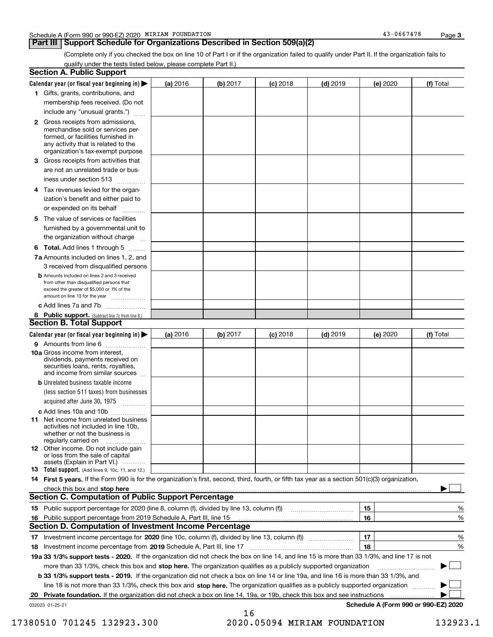#### **Part III | Support Schedule for Organizations Described in Section 509(a)(2)**

(Complete only if you checked the box on line 10 of Part I or if the organization failed to qualify under Part II. If the organization fails to qualify under the tests listed below, please complete Part II.)

| <b>Section A. Public Support</b>                                                                                                                                                                |          |          |            |            |          |                                      |
|-------------------------------------------------------------------------------------------------------------------------------------------------------------------------------------------------|----------|----------|------------|------------|----------|--------------------------------------|
| Calendar year (or fiscal year beginning in)                                                                                                                                                     | (a) 2016 | (b) 2017 | $(c)$ 2018 | $(d)$ 2019 | (e) 2020 | (f) Total                            |
| 1 Gifts, grants, contributions, and                                                                                                                                                             |          |          |            |            |          |                                      |
| membership fees received. (Do not                                                                                                                                                               |          |          |            |            |          |                                      |
| include any "unusual grants.")                                                                                                                                                                  |          |          |            |            |          |                                      |
| <b>2</b> Gross receipts from admissions,<br>merchandise sold or services per-<br>formed, or facilities furnished in<br>any activity that is related to the<br>organization's tax-exempt purpose |          |          |            |            |          |                                      |
| 3 Gross receipts from activities that<br>are not an unrelated trade or bus-                                                                                                                     |          |          |            |            |          |                                      |
| iness under section 513                                                                                                                                                                         |          |          |            |            |          |                                      |
| 4 Tax revenues levied for the organ-                                                                                                                                                            |          |          |            |            |          |                                      |
| ization's benefit and either paid to<br>or expended on its behalf                                                                                                                               |          |          |            |            |          |                                      |
| 5 The value of services or facilities                                                                                                                                                           |          |          |            |            |          |                                      |
| furnished by a governmental unit to                                                                                                                                                             |          |          |            |            |          |                                      |
| the organization without charge                                                                                                                                                                 |          |          |            |            |          |                                      |
| <b>6 Total.</b> Add lines 1 through 5                                                                                                                                                           |          |          |            |            |          |                                      |
| 7a Amounts included on lines 1, 2, and<br>3 received from disqualified persons                                                                                                                  |          |          |            |            |          |                                      |
| <b>b</b> Amounts included on lines 2 and 3 received<br>from other than disqualified persons that<br>exceed the greater of \$5,000 or 1% of the<br>amount on line 13 for the year                |          |          |            |            |          |                                      |
| c Add lines 7a and 7b                                                                                                                                                                           |          |          |            |            |          |                                      |
| 8 Public support. (Subtract line 7c from line 6.)<br><b>Section B. Total Support</b>                                                                                                            |          |          |            |            |          |                                      |
| Calendar year (or fiscal year beginning in) >                                                                                                                                                   | (a) 2016 | (b) 2017 | $(c)$ 2018 | $(d)$ 2019 | (e) 2020 | (f) Total                            |
| <b>9</b> Amounts from line 6<br>$\overline{\phantom{a}}$                                                                                                                                        |          |          |            |            |          |                                      |
| 10a Gross income from interest,<br>dividends, payments received on<br>securities loans, rents, royalties,<br>and income from similar sources                                                    |          |          |            |            |          |                                      |
| <b>b</b> Unrelated business taxable income                                                                                                                                                      |          |          |            |            |          |                                      |
| (less section 511 taxes) from businesses                                                                                                                                                        |          |          |            |            |          |                                      |
| acquired after June 30, 1975<br>1.1.1.1.1.1.1.1.1.1                                                                                                                                             |          |          |            |            |          |                                      |
| c Add lines 10a and 10b                                                                                                                                                                         |          |          |            |            |          |                                      |
| 11 Net income from unrelated business<br>activities not included in line 10b,<br>whether or not the business is<br>regularly carried on                                                         |          |          |            |            |          |                                      |
| <b>12</b> Other income. Do not include gain<br>or loss from the sale of capital<br>assets (Explain in Part VI.)                                                                                 |          |          |            |            |          |                                      |
| <b>13 Total support.</b> (Add lines 9, 10c, 11, and 12.)                                                                                                                                        |          |          |            |            |          |                                      |
| 14 First 5 years. If the Form 990 is for the organization's first, second, third, fourth, or fifth tax year as a section 501(c)(3) organization,                                                |          |          |            |            |          |                                      |
| check this box and stop here measurements are constructed as the state of the state of the state of the state o<br><b>Section C. Computation of Public Support Percentage</b>                   |          |          |            |            |          |                                      |
| 15 Public support percentage for 2020 (line 8, column (f), divided by line 13, column (f))                                                                                                      |          |          |            |            | 15       | %                                    |
| 16 Public support percentage from 2019 Schedule A, Part III, line 15                                                                                                                            |          |          |            |            | 16       | %                                    |
| <b>Section D. Computation of Investment Income Percentage</b>                                                                                                                                   |          |          |            |            |          |                                      |
| 17 Investment income percentage for 2020 (line 10c, column (f), divided by line 13, column (f))                                                                                                 |          |          |            |            | 17       | %                                    |
| 18 Investment income percentage from 2019 Schedule A, Part III, line 17                                                                                                                         |          |          |            |            | 18       | %                                    |
| 19a 33 1/3% support tests - 2020. If the organization did not check the box on line 14, and line 15 is more than 33 1/3%, and line 17 is not                                                    |          |          |            |            |          |                                      |
| more than 33 1/3%, check this box and stop here. The organization qualifies as a publicly supported organization                                                                                |          |          |            |            |          |                                      |
| b 33 1/3% support tests - 2019. If the organization did not check a box on line 14 or line 19a, and line 16 is more than 33 1/3%, and                                                           |          |          |            |            |          |                                      |
| line 18 is not more than 33 1/3%, check this box and stop here. The organization qualifies as a publicly supported organization                                                                 |          |          |            |            |          |                                      |
| 20 Private foundation. If the organization did not check a box on line 14, 19a, or 19b, check this box and see instructions                                                                     |          |          |            |            |          |                                      |
| 032023 01-25-21                                                                                                                                                                                 |          | 16       |            |            |          | Schedule A (Form 990 or 990-EZ) 2020 |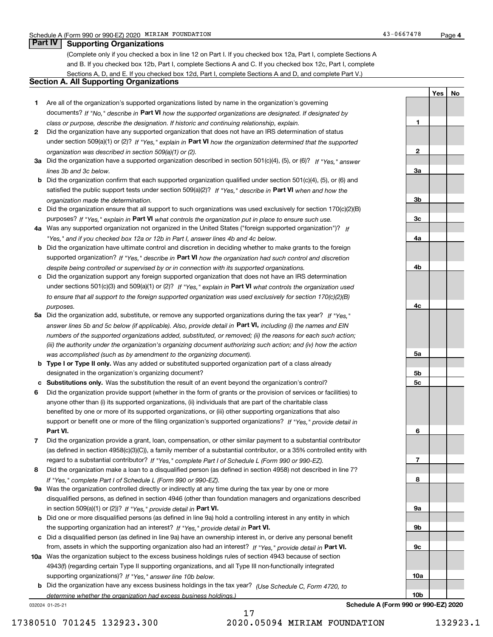(Complete only if you checked a box in line 12 on Part I. If you checked box 12a, Part I, complete Sections A and B. If you checked box 12b, Part I, complete Sections A and C. If you checked box 12c, Part I, complete Sections A, D, and E. If you checked box 12d, Part I, complete Sections A and D, and complete Part V.)

#### **Section A. All Supporting Organizations**

- **1** Are all of the organization's supported organizations listed by name in the organization's governing documents? If "No," describe in **Part VI** how the supported organizations are designated. If designated by *class or purpose, describe the designation. If historic and continuing relationship, explain.*
- **2** Did the organization have any supported organization that does not have an IRS determination of status under section 509(a)(1) or (2)? If "Yes," explain in Part VI how the organization determined that the supported *organization was described in section 509(a)(1) or (2).*
- **3a** Did the organization have a supported organization described in section 501(c)(4), (5), or (6)? If "Yes," answer *lines 3b and 3c below.*
- **b** Did the organization confirm that each supported organization qualified under section 501(c)(4), (5), or (6) and satisfied the public support tests under section 509(a)(2)? If "Yes," describe in **Part VI** when and how the *organization made the determination.*
- **c**Did the organization ensure that all support to such organizations was used exclusively for section 170(c)(2)(B) purposes? If "Yes," explain in **Part VI** what controls the organization put in place to ensure such use.
- **4a***If* Was any supported organization not organized in the United States ("foreign supported organization")? *"Yes," and if you checked box 12a or 12b in Part I, answer lines 4b and 4c below.*
- **b** Did the organization have ultimate control and discretion in deciding whether to make grants to the foreign supported organization? If "Yes," describe in **Part VI** how the organization had such control and discretion *despite being controlled or supervised by or in connection with its supported organizations.*
- **c** Did the organization support any foreign supported organization that does not have an IRS determination under sections 501(c)(3) and 509(a)(1) or (2)? If "Yes," explain in **Part VI** what controls the organization used *to ensure that all support to the foreign supported organization was used exclusively for section 170(c)(2)(B) purposes.*
- **5a** Did the organization add, substitute, or remove any supported organizations during the tax year? If "Yes," answer lines 5b and 5c below (if applicable). Also, provide detail in **Part VI,** including (i) the names and EIN *numbers of the supported organizations added, substituted, or removed; (ii) the reasons for each such action; (iii) the authority under the organization's organizing document authorizing such action; and (iv) how the action was accomplished (such as by amendment to the organizing document).*
- **b** Type I or Type II only. Was any added or substituted supported organization part of a class already designated in the organization's organizing document?
- **cSubstitutions only.**  Was the substitution the result of an event beyond the organization's control?
- **6** Did the organization provide support (whether in the form of grants or the provision of services or facilities) to **Part VI.** *If "Yes," provide detail in* support or benefit one or more of the filing organization's supported organizations? anyone other than (i) its supported organizations, (ii) individuals that are part of the charitable class benefited by one or more of its supported organizations, or (iii) other supporting organizations that also
- **7**Did the organization provide a grant, loan, compensation, or other similar payment to a substantial contributor *If "Yes," complete Part I of Schedule L (Form 990 or 990-EZ).* regard to a substantial contributor? (as defined in section 4958(c)(3)(C)), a family member of a substantial contributor, or a 35% controlled entity with
- **8** Did the organization make a loan to a disqualified person (as defined in section 4958) not described in line 7? *If "Yes," complete Part I of Schedule L (Form 990 or 990-EZ).*
- **9a** Was the organization controlled directly or indirectly at any time during the tax year by one or more in section 509(a)(1) or (2))? If "Yes," *provide detail in* <code>Part VI.</code> disqualified persons, as defined in section 4946 (other than foundation managers and organizations described
- **b** Did one or more disqualified persons (as defined in line 9a) hold a controlling interest in any entity in which the supporting organization had an interest? If "Yes," provide detail in P**art VI**.
- **c**Did a disqualified person (as defined in line 9a) have an ownership interest in, or derive any personal benefit from, assets in which the supporting organization also had an interest? If "Yes," provide detail in P**art VI.**
- **10a** Was the organization subject to the excess business holdings rules of section 4943 because of section supporting organizations)? If "Yes," answer line 10b below. 4943(f) (regarding certain Type II supporting organizations, and all Type III non-functionally integrated
- **b** Did the organization have any excess business holdings in the tax year? (Use Schedule C, Form 4720, to *determine whether the organization had excess business holdings.)*

032024 01-25-21

**Schedule A (Form 990 or 990-EZ) 2020**

**1**

**YesNo**

# **23a3b3c4a4b4c5a 5b5c6789a 9b9c10a10b**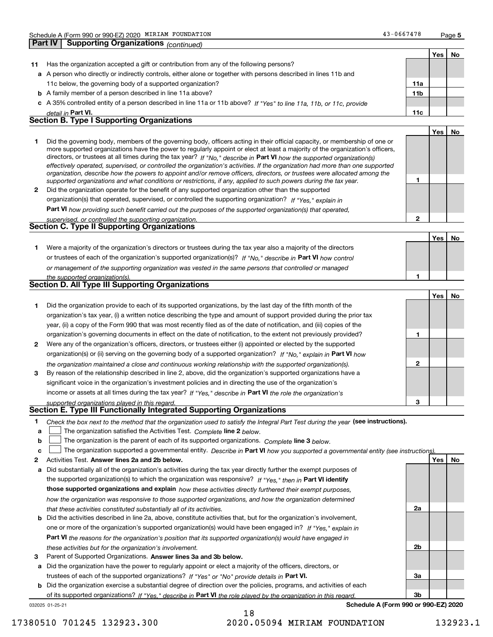|    |                                                                                                                                                                                                                                              |                 | Yes | No |  |  |
|----|----------------------------------------------------------------------------------------------------------------------------------------------------------------------------------------------------------------------------------------------|-----------------|-----|----|--|--|
| 11 | Has the organization accepted a gift or contribution from any of the following persons?                                                                                                                                                      |                 |     |    |  |  |
|    | a A person who directly or indirectly controls, either alone or together with persons described in lines 11b and                                                                                                                             |                 |     |    |  |  |
|    | 11c below, the governing body of a supported organization?                                                                                                                                                                                   | 11a             |     |    |  |  |
|    | <b>b</b> A family member of a person described in line 11a above?                                                                                                                                                                            | 11 <sub>b</sub> |     |    |  |  |
|    | c A 35% controlled entity of a person described in line 11a or 11b above? If "Yes" to line 11a, 11b, or 11c, provide                                                                                                                         |                 |     |    |  |  |
|    | detail in Part VI.                                                                                                                                                                                                                           | 11c             |     |    |  |  |
|    | <b>Section B. Type I Supporting Organizations</b>                                                                                                                                                                                            |                 |     |    |  |  |
|    |                                                                                                                                                                                                                                              |                 | Yes | No |  |  |
|    | Did the governing body, members of the governing body, officers acting in their official capacity, or membership of one or<br>area completed conceleding incoming conceledation and the configuration of the control of the completed of the |                 |     |    |  |  |

|              | more supported organizations have the power to regularly appoint or elect at least a majority of the organization's officers,  |  |
|--------------|--------------------------------------------------------------------------------------------------------------------------------|--|
|              | directors, or trustees at all times during the tax year? If "No," describe in Part VI how the supported organization(s)        |  |
|              | effectively operated, supervised, or controlled the organization's activities. If the organization had more than one supported |  |
|              | organization, describe how the powers to appoint and/or remove officers, directors, or trustees were allocated among the       |  |
|              | supported organizations and what conditions or restrictions, if any, applied to such powers during the tax year.               |  |
| $\mathbf{2}$ | Did the organization operate for the benefit of any supported organization other than the supported                            |  |
|              | organization(s) that operated, supervised, or controlled the supporting organization? If "Yes," explain in                     |  |
|              | Part VI how providing such benefit carried out the purposes of the supported organization(s) that operated,                    |  |
|              | supervised or controlled the supporting organization                                                                           |  |

#### *supervised, or controlled the supporting organization.* **Section C. Type II Supporting Organizations**

|                                                                                                                  |  | No |
|------------------------------------------------------------------------------------------------------------------|--|----|
| Were a majority of the organization's directors or trustees during the tax year also a majority of the directors |  |    |
| or trustees of each of the organization's supported organization(s)? If "No," describe in Part VI how control    |  |    |
| or management of the supporting organization was vested in the same persons that controlled or managed           |  |    |
| the supported organization(s).                                                                                   |  |    |

|  | <b>Section D. All Type III Supporting Organizations</b> |  |
|--|---------------------------------------------------------|--|
|--|---------------------------------------------------------|--|

|              |                                                                                                                        |   | Yes l | No |
|--------------|------------------------------------------------------------------------------------------------------------------------|---|-------|----|
|              | Did the organization provide to each of its supported organizations, by the last day of the fifth month of the         |   |       |    |
|              | organization's tax year, (i) a written notice describing the type and amount of support provided during the prior tax  |   |       |    |
|              | year, (ii) a copy of the Form 990 that was most recently filed as of the date of notification, and (iii) copies of the |   |       |    |
|              | organization's governing documents in effect on the date of notification, to the extent not previously provided?       |   |       |    |
| $\mathbf{2}$ | Were any of the organization's officers, directors, or trustees either (i) appointed or elected by the supported       |   |       |    |
|              | organization(s) or (ii) serving on the governing body of a supported organization? If "No," explain in Part VI how     |   |       |    |
|              | the organization maintained a close and continuous working relationship with the supported organization(s).            | 2 |       |    |
| 3            | By reason of the relationship described in line 2, above, did the organization's supported organizations have a        |   |       |    |
|              | significant voice in the organization's investment policies and in directing the use of the organization's             |   |       |    |
|              | income or assets at all times during the tax year? If "Yes," describe in Part VI the role the organization's           |   |       |    |
|              | supported organizations played in this regard.                                                                         | з |       |    |

# *supported organizations played in this regard.* **Section E. Type III Functionally Integrated Supporting Organizations**

|  | Check the box next to the method that the organization used to satisfy the Integral Part Test during the year (see instructions). |  |  |  |
|--|-----------------------------------------------------------------------------------------------------------------------------------|--|--|--|
|--|-----------------------------------------------------------------------------------------------------------------------------------|--|--|--|

**alinupy** The organization satisfied the Activities Test. Complete line 2 below.

|  |  |  | <b>b</b> $\Box$ The organization is the parent of each of its supported organizations. Complete line 3 below. |  |  |
|--|--|--|---------------------------------------------------------------------------------------------------------------|--|--|
|--|--|--|---------------------------------------------------------------------------------------------------------------|--|--|

|  |  | $\mathbf{c}$ The organization supported a governmental entity. Describe in Part VI how you supported a governmental entity (see instructions). |  |  |  |  |
|--|--|------------------------------------------------------------------------------------------------------------------------------------------------|--|--|--|--|
|--|--|------------------------------------------------------------------------------------------------------------------------------------------------|--|--|--|--|

18

#### **2Answer lines 2a and 2b below. Yes No** Activities Test.

- **a** Did substantially all of the organization's activities during the tax year directly further the exempt purposes of the supported organization(s) to which the organization was responsive? If "Yes," then in **Part VI identify those supported organizations and explain**  *how these activities directly furthered their exempt purposes, how the organization was responsive to those supported organizations, and how the organization determined that these activities constituted substantially all of its activities.*
- **b** Did the activities described in line 2a, above, constitute activities that, but for the organization's involvement, **Part VI**  *the reasons for the organization's position that its supported organization(s) would have engaged in* one or more of the organization's supported organization(s) would have been engaged in? If "Yes," e*xplain in these activities but for the organization's involvement.*
- **3** Parent of Supported Organizations. Answer lines 3a and 3b below.

**a** Did the organization have the power to regularly appoint or elect a majority of the officers, directors, or trustees of each of the supported organizations? If "Yes" or "No" provide details in **Part VI.** 

**b** Did the organization exercise a substantial degree of direction over the policies, programs, and activities of each of its supported organizations? If "Yes," describe in Part VI the role played by the organization in this regard.

032025 01-25-21

**Schedule A (Form 990 or 990-EZ) 2020**

**2a**

**2b**

**3a**

**3b**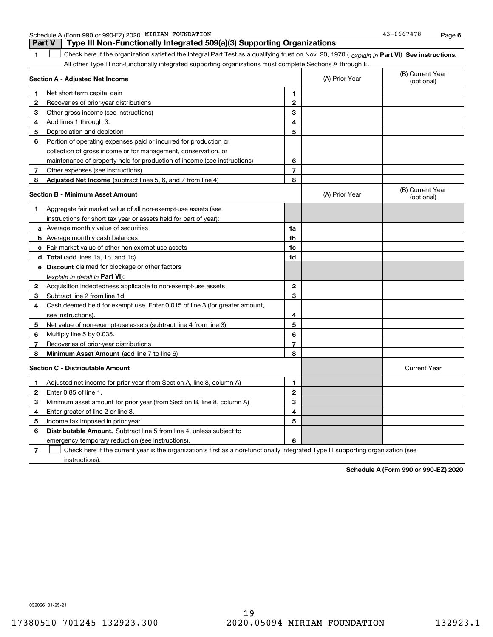|  | Schedule A (Form 990 or 990-EZ) 2020 |  | MIRIAM FOUNDATION | -0667478- | Page |  |
|--|--------------------------------------|--|-------------------|-----------|------|--|
|--|--------------------------------------|--|-------------------|-----------|------|--|

**Part V Type III Non-Functionally Integrated 509(a)(3) Supporting Organizations** 

**1Part VI** Check here if the organization satisfied the Integral Part Test as a qualifying trust on Nov. 20, 1970 ( *explain in* Part **VI**). See instructions. **Section A - Adjusted Net Income 123456** Portion of operating expenses paid or incurred for production or **7** Other expenses (see instructions) **8** Adjusted Net Income (subtract lines 5, 6, and 7 from line 4) **8 8 1234567Section B - Minimum Asset Amount 1**Aggregate fair market value of all non-exempt-use assets (see **2**Acquisition indebtedness applicable to non-exempt-use assets **3** Subtract line 2 from line 1d. **4**Cash deemed held for exempt use. Enter 0.015 of line 3 (for greater amount, **5** Net value of non-exempt-use assets (subtract line 4 from line 3) **678a** Average monthly value of securities **b** Average monthly cash balances **c**Fair market value of other non-exempt-use assets **dTotal**  (add lines 1a, 1b, and 1c) **eDiscount** claimed for blockage or other factors **1a1b1c1d2345678**(explain in detail in Part VI): **Minimum Asset Amount**  (add line 7 to line 6) **Section C - Distributable Amount 123456123456Distributable Amount.** Subtract line 5 from line 4, unless subject to All other Type III non-functionally integrated supporting organizations must complete Sections A through E. (B) Current Year (optional)(A) Prior Year Net short-term capital gain Recoveries of prior-year distributions Other gross income (see instructions) Add lines 1 through 3. Depreciation and depletion collection of gross income or for management, conservation, or maintenance of property held for production of income (see instructions) (B) Current Year (optional)(A) Prior Year instructions for short tax year or assets held for part of year): see instructions). Multiply line 5 by 0.035. Recoveries of prior-year distributions Current Year Adjusted net income for prior year (from Section A, line 8, column A) Enter 0.85 of line 1. Minimum asset amount for prior year (from Section B, line 8, column A) Enter greater of line 2 or line 3. Income tax imposed in prior year emergency temporary reduction (see instructions).  $\mathcal{L}^{\text{max}}$ 

**7**Check here if the current year is the organization's first as a non-functionally integrated Type III supporting organization (see instructions). $\mathcal{L}^{\text{max}}$ 

**Schedule A (Form 990 or 990-EZ) 2020**

032026 01-25-21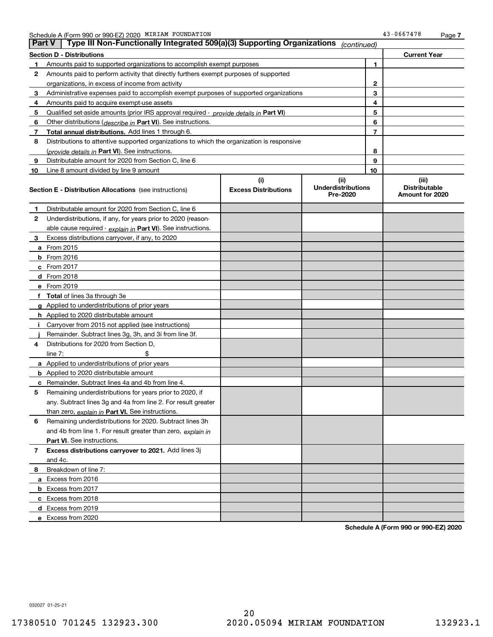| <b>Part V</b> | Type III Non-Functionally Integrated 509(a)(3) Supporting Organizations                    |                             | (continued)                           |                |                                         |
|---------------|--------------------------------------------------------------------------------------------|-----------------------------|---------------------------------------|----------------|-----------------------------------------|
|               | <b>Section D - Distributions</b>                                                           |                             |                                       |                | <b>Current Year</b>                     |
| 1             | Amounts paid to supported organizations to accomplish exempt purposes                      |                             |                                       | 1              |                                         |
| 2             | Amounts paid to perform activity that directly furthers exempt purposes of supported       |                             |                                       |                |                                         |
|               | organizations, in excess of income from activity                                           |                             | 2                                     |                |                                         |
| 3             | Administrative expenses paid to accomplish exempt purposes of supported organizations      |                             |                                       | 3              |                                         |
| 4             | Amounts paid to acquire exempt-use assets                                                  |                             |                                       | 4              |                                         |
| 5             | Qualified set-aside amounts (prior IRS approval required - provide details in Part VI)     |                             |                                       | 5              |                                         |
| 6             | Other distributions ( <i>describe in</i> Part VI). See instructions.                       |                             |                                       | 6              |                                         |
| 7             | Total annual distributions. Add lines 1 through 6.                                         |                             |                                       | $\overline{7}$ |                                         |
| 8             | Distributions to attentive supported organizations to which the organization is responsive |                             |                                       |                |                                         |
|               | (provide details in Part VI). See instructions.                                            |                             |                                       | 8              |                                         |
| 9             | Distributable amount for 2020 from Section C, line 6                                       |                             |                                       | 9              |                                         |
| 10            | Line 8 amount divided by line 9 amount                                                     |                             |                                       | 10             |                                         |
|               |                                                                                            | (i)                         | (ii)                                  |                | (iii)                                   |
|               | <b>Section E - Distribution Allocations</b> (see instructions)                             | <b>Excess Distributions</b> | <b>Underdistributions</b><br>Pre-2020 |                | <b>Distributable</b><br>Amount for 2020 |
| 1             | Distributable amount for 2020 from Section C, line 6                                       |                             |                                       |                |                                         |
| 2             | Underdistributions, if any, for years prior to 2020 (reason-                               |                             |                                       |                |                                         |
|               | able cause required - explain in Part VI). See instructions.                               |                             |                                       |                |                                         |
| 3             | Excess distributions carryover, if any, to 2020                                            |                             |                                       |                |                                         |
|               | <b>a</b> From 2015                                                                         |                             |                                       |                |                                         |
|               | <b>b</b> From 2016                                                                         |                             |                                       |                |                                         |
|               | c From 2017                                                                                |                             |                                       |                |                                         |
|               | <b>d</b> From 2018                                                                         |                             |                                       |                |                                         |
|               | e From 2019                                                                                |                             |                                       |                |                                         |
|               | f Total of lines 3a through 3e                                                             |                             |                                       |                |                                         |
|               | g Applied to underdistributions of prior years                                             |                             |                                       |                |                                         |
|               | <b>h</b> Applied to 2020 distributable amount                                              |                             |                                       |                |                                         |
|               | Carryover from 2015 not applied (see instructions)                                         |                             |                                       |                |                                         |
|               | Remainder. Subtract lines 3g, 3h, and 3i from line 3f.                                     |                             |                                       |                |                                         |
| 4             | Distributions for 2020 from Section D,                                                     |                             |                                       |                |                                         |
|               | line $7:$                                                                                  |                             |                                       |                |                                         |
|               | a Applied to underdistributions of prior years                                             |                             |                                       |                |                                         |
|               | <b>b</b> Applied to 2020 distributable amount                                              |                             |                                       |                |                                         |
|               | c Remainder. Subtract lines 4a and 4b from line 4.                                         |                             |                                       |                |                                         |
| 5             | Remaining underdistributions for years prior to 2020, if                                   |                             |                                       |                |                                         |
|               | any. Subtract lines 3g and 4a from line 2. For result greater                              |                             |                                       |                |                                         |
|               | than zero, explain in Part VI. See instructions.                                           |                             |                                       |                |                                         |
| 6             | Remaining underdistributions for 2020. Subtract lines 3h                                   |                             |                                       |                |                                         |
|               | and 4b from line 1. For result greater than zero, explain in                               |                             |                                       |                |                                         |
|               | Part VI. See instructions.                                                                 |                             |                                       |                |                                         |
| 7             | Excess distributions carryover to 2021. Add lines 3j                                       |                             |                                       |                |                                         |
|               | and 4c.                                                                                    |                             |                                       |                |                                         |
| 8             | Breakdown of line 7:                                                                       |                             |                                       |                |                                         |
|               | a Excess from 2016                                                                         |                             |                                       |                |                                         |
|               | <b>b</b> Excess from 2017                                                                  |                             |                                       |                |                                         |
|               | c Excess from 2018                                                                         |                             |                                       |                |                                         |
|               | d Excess from 2019                                                                         |                             |                                       |                |                                         |
|               | e Excess from 2020                                                                         |                             |                                       |                |                                         |
|               |                                                                                            |                             |                                       |                |                                         |

**Schedule A (Form 990 or 990-EZ) 2020**

032027 01-25-21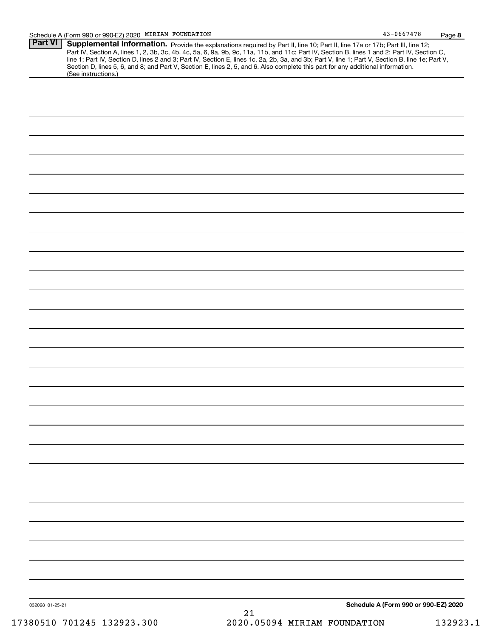| Part VI | <b>Supplemental Information.</b> Provide the explanations required by Part II, line 10; Part II, line 17a or 17b; Part III, line 12;             |
|---------|--------------------------------------------------------------------------------------------------------------------------------------------------|
|         | Part IV, Section A, lines 1, 2, 3b, 3c, 4b, 4c, 5a, 6, 9a, 9b, 9c, 11a, 11b, and 11c; Part IV, Section B, lines 1 and 2; Part IV, Section C,     |
|         | line 1; Part IV, Section D, lines 2 and 3; Part IV, Section E, lines 1c, 2a, 2b, 3a, and 3b; Part V, line 1; Part V, Section B, line 1e; Part V, |
|         | Section D, lines 5, 6, and 8; and Part V, Section E, lines 2, 5, and 6. Also complete this part for any additional information.                  |
|         | (See instructions.)                                                                                                                              |

| 032028 01-25-21 | Schedule A (Form 990 or 990-EZ) 2020 |
|-----------------|--------------------------------------|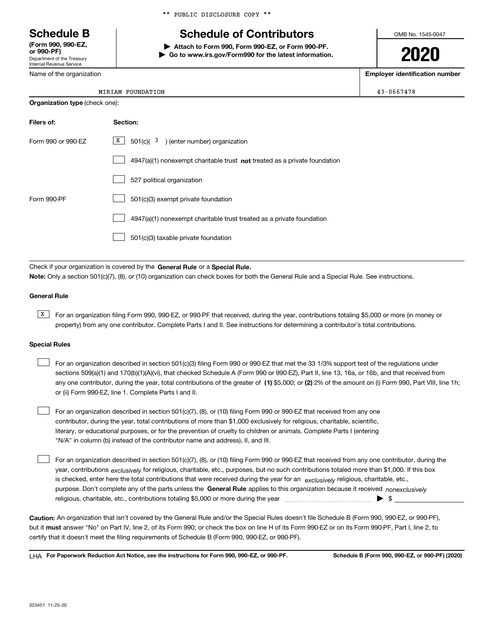Department of the Treasury Internal Revenue Service **(Form 990, 990-EZ, or 990-PF)**

Name of the organization

**Organization type** (check one):

\*\* PUBLIC DISCLOSURE COPY \*\*

# **Schedule B Schedule of Contributors**

**| Attach to Form 990, Form 990-EZ, or Form 990-PF. | Go to www.irs.gov/Form990 for the latest information.** OMB No. 1545-0047

**2020**

**Employer identification number**

 $43 - 0667478$ 

| MIRIAM FOUNDATION |
|-------------------|
|                   |

| Filers of:         | Section:                                                                           |
|--------------------|------------------------------------------------------------------------------------|
| Form 990 or 990-EZ | X  <br>$\frac{1}{2}$ 501(c)( $\frac{3}{2}$ ) (enter number) organization           |
|                    | $4947(a)(1)$ nonexempt charitable trust <b>not</b> treated as a private foundation |
|                    | 527 political organization                                                         |
| Form 990-PF        | 501(c)(3) exempt private foundation                                                |
|                    | 4947(a)(1) nonexempt charitable trust treated as a private foundation              |
|                    | 501(c)(3) taxable private foundation                                               |

Check if your organization is covered by the **General Rule** or a **Special Rule. Note:**  Only a section 501(c)(7), (8), or (10) organization can check boxes for both the General Rule and a Special Rule. See instructions.

#### **General Rule**

 $\overline{X}$  For an organization filing Form 990, 990-EZ, or 990-PF that received, during the year, contributions totaling \$5,000 or more (in money or property) from any one contributor. Complete Parts I and II. See instructions for determining a contributor's total contributions.

#### **Special Rules**

| For an organization described in section 501(c)(3) filing Form 990 or 990-EZ that met the 33 1/3% support test of the regulations under               |
|-------------------------------------------------------------------------------------------------------------------------------------------------------|
| sections 509(a)(1) and 170(b)(1)(A)(vi), that checked Schedule A (Form 990 or 990-EZ), Part II, line 13, 16a, or 16b, and that received from          |
| any one contributor, during the year, total contributions of the greater of (1) \$5,000; or (2) 2% of the amount on (i) Form 990, Part VIII, line 1h; |
| or (ii) Form 990-EZ, line 1. Complete Parts I and II.                                                                                                 |

For an organization described in section 501(c)(7), (8), or (10) filing Form 990 or 990-EZ that received from any one contributor, during the year, total contributions of more than \$1,000 exclusively for religious, charitable, scientific, literary, or educational purposes, or for the prevention of cruelty to children or animals. Complete Parts I (entering "N/A" in column (b) instead of the contributor name and address), II, and III.  $\mathcal{L}^{\text{max}}$ 

purpose. Don't complete any of the parts unless the **General Rule** applies to this organization because it received *nonexclusively* year, contributions <sub>exclusively</sub> for religious, charitable, etc., purposes, but no such contributions totaled more than \$1,000. If this box is checked, enter here the total contributions that were received during the year for an  $\;$ exclusively religious, charitable, etc., For an organization described in section 501(c)(7), (8), or (10) filing Form 990 or 990-EZ that received from any one contributor, during the religious, charitable, etc., contributions totaling \$5,000 or more during the year  $\Box$ — $\Box$   $\Box$  $\mathcal{L}^{\text{max}}$ 

**Caution:**  An organization that isn't covered by the General Rule and/or the Special Rules doesn't file Schedule B (Form 990, 990-EZ, or 990-PF),  **must** but it answer "No" on Part IV, line 2, of its Form 990; or check the box on line H of its Form 990-EZ or on its Form 990-PF, Part I, line 2, to certify that it doesn't meet the filing requirements of Schedule B (Form 990, 990-EZ, or 990-PF).

**For Paperwork Reduction Act Notice, see the instructions for Form 990, 990-EZ, or 990-PF. Schedule B (Form 990, 990-EZ, or 990-PF) (2020)** LHA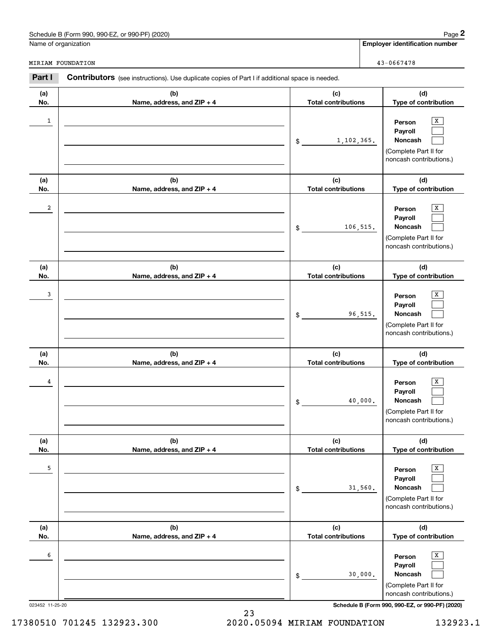| (2020)<br>. or 990-PF)<br>Schedule<br>990-EZ<br>3 (Form 990. | Page |
|--------------------------------------------------------------|------|
|--------------------------------------------------------------|------|

|              | Schedule B (Form 990, 990-EZ, or 990-PF) (2020)                                                       |                                   | Page 2                                                                                           |
|--------------|-------------------------------------------------------------------------------------------------------|-----------------------------------|--------------------------------------------------------------------------------------------------|
|              | Name of organization                                                                                  |                                   | <b>Employer identification number</b>                                                            |
|              | MIRIAM FOUNDATION                                                                                     |                                   | 43-0667478                                                                                       |
| Part I       | <b>Contributors</b> (see instructions). Use duplicate copies of Part I if additional space is needed. |                                   |                                                                                                  |
| (a)<br>No.   | (b)<br>Name, address, and ZIP + 4                                                                     | (c)<br><b>Total contributions</b> | (d)<br>Type of contribution                                                                      |
| $\mathbf{1}$ |                                                                                                       | 1, 102, 365.<br>\$                | X<br>Person<br>Payroll<br>Noncash<br>(Complete Part II for<br>noncash contributions.)            |
| (a)<br>No.   | (b)<br>Name, address, and ZIP + 4                                                                     | (c)<br><b>Total contributions</b> | (d)<br>Type of contribution                                                                      |
| 2            |                                                                                                       | 106,515.<br>\$                    | х<br>Person<br>Payroll<br>Noncash<br>(Complete Part II for<br>noncash contributions.)            |
| (a)<br>No.   | (b)<br>Name, address, and ZIP + 4                                                                     | (c)<br><b>Total contributions</b> | (d)<br>Type of contribution                                                                      |
| 3            |                                                                                                       | \$                                | x<br>Person<br>Payroll<br>Noncash<br>96,515.<br>(Complete Part II for<br>noncash contributions.) |
| (a)<br>No.   | (b)<br>Name, address, and ZIP + 4                                                                     | (c)<br><b>Total contributions</b> | (d)<br>Type of contribution                                                                      |
| 4            |                                                                                                       | \$                                | х<br>Person<br>Payroll<br>40,000.<br>Noncash<br>(Complete Part II for<br>noncash contributions.) |
| (a)<br>No.   | (b)<br>Name, address, and ZIP + 4                                                                     | (c)<br><b>Total contributions</b> | (d)<br>Type of contribution                                                                      |
| 5            |                                                                                                       | \$                                | X<br>Person<br>Payroll<br><b>Noncash</b><br>31,560.<br>(Complete Part II for                     |

**(b) Name, address, and ZIP + 4 (c) Total contributions (d) Type of contribution Person Payroll Noncash** noncash contributions.) \$(Complete Part II for noncash contributions.)  $\boxed{\mathbf{X}}$  $\mathcal{L}^{\text{max}}$  $\mathcal{L}^{\text{max}}$ <u>secondary and the secondary secondary and the secondary secondary secondary secondary secondary secondary second</u> 30,000.

023452 11-25-20 **Schedule B (Form 990, 990-EZ, or 990-PF) (2020)**

6

**(a) No.**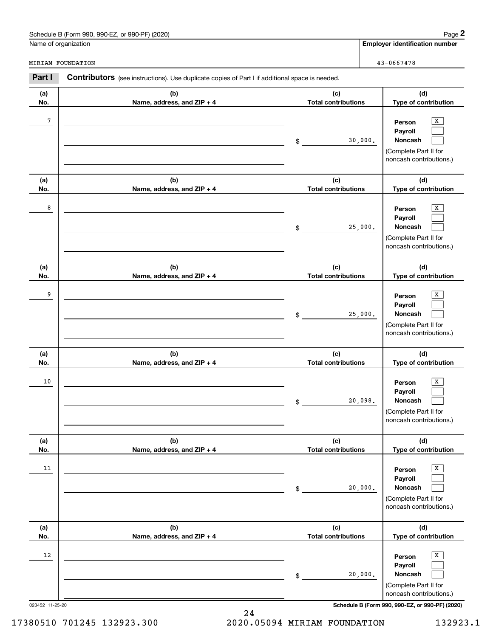|                | Schedule B (Form 990, 990-EZ, or 990-PF) (2020)                                                       |                                   | Page 2                                                                                |
|----------------|-------------------------------------------------------------------------------------------------------|-----------------------------------|---------------------------------------------------------------------------------------|
|                | Name of organization                                                                                  |                                   | <b>Employer identification number</b>                                                 |
|                | MIRIAM FOUNDATION                                                                                     |                                   | 43-0667478                                                                            |
| Part I         | <b>Contributors</b> (see instructions). Use duplicate copies of Part I if additional space is needed. |                                   |                                                                                       |
| (a)<br>No.     | (b)<br>Name, address, and ZIP + 4                                                                     | (c)<br><b>Total contributions</b> | (d)<br>Type of contribution                                                           |
| $\overline{7}$ |                                                                                                       | 30,000.<br>\$                     | х<br>Person<br>Payroll<br>Noncash<br>(Complete Part II for<br>noncash contributions.) |
| (a)<br>No.     | (b)<br>Name, address, and ZIP + 4                                                                     | (c)<br><b>Total contributions</b> | (d)<br>Type of contribution                                                           |
| 8              |                                                                                                       | 25,000.<br>\$                     | X<br>Person<br>Payroll<br>Noncash<br>(Complete Part II for<br>noncash contributions.) |
| (a)<br>No.     | (b)<br>Name, address, and ZIP + 4                                                                     | (c)<br><b>Total contributions</b> | (d)<br>Type of contribution                                                           |
| 9              |                                                                                                       | 25,000.<br>\$                     | х<br>Person<br>Payroll<br>Noncash<br>(Complete Part II for<br>noncash contributions.) |
| (a)<br>No.     | (b)<br>Name, address, and ZIP + 4                                                                     | (c)<br><b>Total contributions</b> | (d)<br>Type of contribution                                                           |
| 10             |                                                                                                       | 20,098.<br>\$                     | х<br>Person<br>Payroll<br>Noncash<br>(Complete Part II for<br>noncash contributions.) |
| (a)<br>No.     | (b)<br>Name, address, and ZIP + 4                                                                     | (c)<br><b>Total contributions</b> | (d)<br>Type of contribution                                                           |
| 11             |                                                                                                       | 20,000.<br>\$                     | X<br>Person<br>Payroll<br>Noncash<br>(Complete Part II for<br>noncash contributions.) |
| (a)<br>No.     | (b)<br>Name, address, and ZIP + 4                                                                     | (c)<br><b>Total contributions</b> | (d)<br>Type of contribution                                                           |
| 12             |                                                                                                       | 20,000.<br>\$                     | Х<br>Person<br>Payroll<br>Noncash<br>(Complete Part II for<br>noncash contributions.) |

023452 11-25-20 **Schedule B (Form 990, 990-EZ, or 990-PF) (2020)**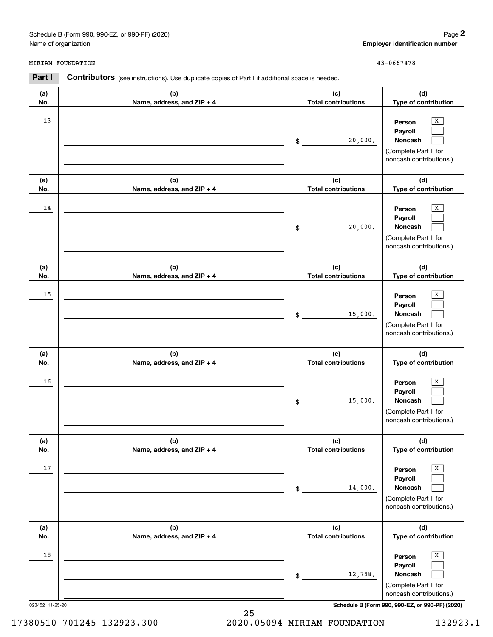|            | Schedule B (Form 990, 990-EZ, or 990-PF) (2020)                                                       |                                   |         | Page 2                                                                                       |
|------------|-------------------------------------------------------------------------------------------------------|-----------------------------------|---------|----------------------------------------------------------------------------------------------|
|            | Name of organization                                                                                  |                                   |         | <b>Employer identification number</b>                                                        |
|            | MIRIAM FOUNDATION                                                                                     |                                   |         | 43-0667478                                                                                   |
| Part I     | <b>Contributors</b> (see instructions). Use duplicate copies of Part I if additional space is needed. |                                   |         |                                                                                              |
| (a)<br>No. | (b)<br>Name, address, and ZIP + 4                                                                     | (c)<br><b>Total contributions</b> |         | (d)<br>Type of contribution                                                                  |
| 13         |                                                                                                       | \$                                | 20,000. | х<br>Person<br>Payroll<br><b>Noncash</b><br>(Complete Part II for<br>noncash contributions.) |
| (a)<br>No. | (b)<br>Name, address, and ZIP + 4                                                                     | (c)<br><b>Total contributions</b> |         | (d)<br>Type of contribution                                                                  |
| 14         |                                                                                                       | \$                                | 20,000. | X<br>Person<br>Payroll<br>Noncash<br>(Complete Part II for<br>noncash contributions.)        |
| (a)<br>No. | (b)<br>Name, address, and ZIP + 4                                                                     | (c)<br><b>Total contributions</b> |         | (d)<br>Type of contribution                                                                  |
| 15         |                                                                                                       | \$                                | 15,000. | х<br>Person<br>Payroll<br>Noncash<br>(Complete Part II for<br>noncash contributions.)        |
| (a)<br>No. | (b)<br>Name, address, and ZIP + 4                                                                     | (c)<br><b>Total contributions</b> |         | (d)<br>Type of contribution                                                                  |
| 16         |                                                                                                       | \$                                | 15,000. | х<br>Person<br>Payroll<br>Noncash<br>(Complete Part II for<br>noncash contributions.)        |
| (a)<br>No. | (b)<br>Name, address, and ZIP + 4                                                                     | (c)<br><b>Total contributions</b> |         | (d)<br>Type of contribution                                                                  |
| 17         |                                                                                                       | \$                                | 14,000. | X<br>Person<br>Payroll<br>Noncash<br>(Complete Part II for<br>noncash contributions.)        |
| (a)<br>No. | (b)<br>Name, address, and ZIP + 4                                                                     | (c)<br><b>Total contributions</b> |         | (d)<br>Type of contribution                                                                  |
| 18         |                                                                                                       | \$                                | 12,748. | Х<br>Person<br>Payroll<br>Noncash<br>(Complete Part II for<br>noncash contributions.)        |

023452 11-25-20 **Schedule B (Form 990, 990-EZ, or 990-PF) (2020)**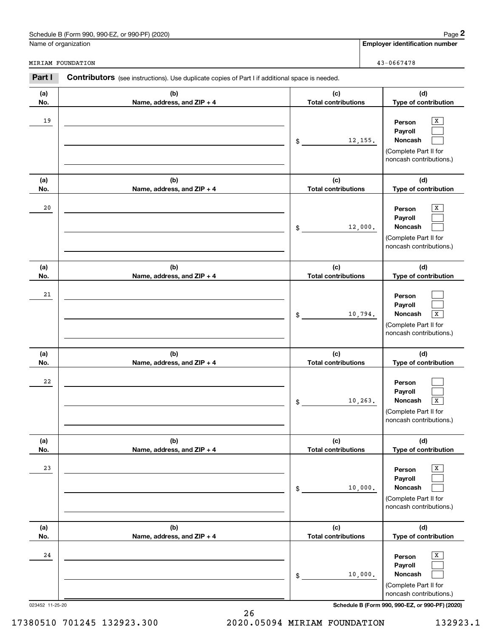|            | Schedule B (Form 990, 990-EZ, or 990-PF) (2020)                                                |                                   | Page 2                                                                                                                 |
|------------|------------------------------------------------------------------------------------------------|-----------------------------------|------------------------------------------------------------------------------------------------------------------------|
|            | Name of organization                                                                           |                                   | <b>Employer identification number</b>                                                                                  |
|            | <b>MIRIAM FOUNDATION</b>                                                                       |                                   | 43-0667478                                                                                                             |
| Part I     | Contributors (see instructions). Use duplicate copies of Part I if additional space is needed. |                                   |                                                                                                                        |
| (a)<br>No. | (b)<br>Name, address, and ZIP + 4                                                              | (c)<br><b>Total contributions</b> | (d)<br>Type of contribution                                                                                            |
| 19         |                                                                                                | \$                                | X<br>Person<br>Payroll<br>Noncash<br>12, 155.<br>(Complete Part II for<br>noncash contributions.)                      |
| (a)<br>No. | (b)<br>Name, address, and ZIP + 4                                                              | (c)<br><b>Total contributions</b> | (d)<br>Type of contribution                                                                                            |
| 20         |                                                                                                | \$                                | x<br>Person<br>Payroll<br>Noncash<br>12,000.<br>(Complete Part II for<br>noncash contributions.)                       |
| (a)<br>No. | (b)<br>Name, address, and ZIP + 4                                                              | (c)<br><b>Total contributions</b> | (d)<br>Type of contribution                                                                                            |
| 21         |                                                                                                | \$                                | Person<br>Payroll<br>Noncash<br>$\overline{\textbf{X}}$<br>10,794.<br>(Complete Part II for<br>noncash contributions.) |
| (a)<br>No. | (b)<br>Name, address, and ZIP + 4                                                              | (c)<br><b>Total contributions</b> | (d)<br>Type of contribution                                                                                            |
| 22         |                                                                                                | \$                                | Person<br>Payroll<br>10,263.<br>Noncash<br>$\overline{\mathbf{x}}$<br>(Complete Part II for<br>noncash contributions.) |
| (a)<br>No. | (b)<br>Name, address, and ZIP + 4                                                              | (c)<br><b>Total contributions</b> | (d)<br>Type of contribution                                                                                            |
| 23         |                                                                                                | \$                                | X<br>Person<br>Payroll<br>Noncash<br>10,000.<br>(Complete Part II for<br>noncash contributions.)                       |
| (a)<br>No. | (b)<br>Name, address, and ZIP + 4                                                              | (c)<br><b>Total contributions</b> | (d)<br>Type of contribution                                                                                            |
| 24         |                                                                                                | \$                                | X<br>Person<br>Payroll<br>Noncash<br>10,000.<br>(Complete Part II for<br>noncash contributions.)                       |

023452 11-25-20 **Schedule B (Form 990, 990-EZ, or 990-PF) (2020)**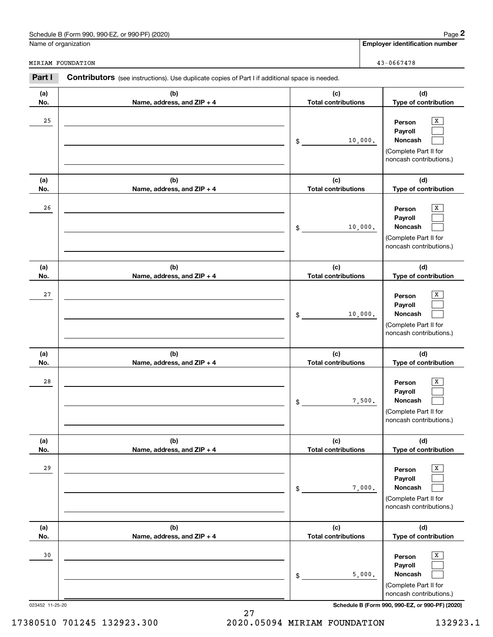|            | Schedule B (Form 990, 990-EZ, or 990-PF) (2020)                                                       |                                   |         | Page 2                                                                                       |
|------------|-------------------------------------------------------------------------------------------------------|-----------------------------------|---------|----------------------------------------------------------------------------------------------|
|            | Name of organization                                                                                  |                                   |         | <b>Employer identification number</b>                                                        |
|            | MIRIAM FOUNDATION                                                                                     |                                   |         | 43-0667478                                                                                   |
| Part I     | <b>Contributors</b> (see instructions). Use duplicate copies of Part I if additional space is needed. |                                   |         |                                                                                              |
| (a)<br>No. | (b)<br>Name, address, and ZIP + 4                                                                     | (c)<br><b>Total contributions</b> |         | (d)<br>Type of contribution                                                                  |
| 25         |                                                                                                       | \$                                | 10,000. | x<br>Person<br>Payroll<br>Noncash<br>(Complete Part II for<br>noncash contributions.)        |
| (a)<br>No. | (b)<br>Name, address, and ZIP + 4                                                                     | (c)<br><b>Total contributions</b> |         | (d)<br>Type of contribution                                                                  |
| 26         |                                                                                                       | \$                                | 10,000. | X<br>Person<br>Payroll<br>Noncash<br>(Complete Part II for<br>noncash contributions.)        |
| (a)<br>No. | (b)<br>Name, address, and ZIP + 4                                                                     | (c)<br><b>Total contributions</b> |         | (d)<br>Type of contribution                                                                  |
| 27         |                                                                                                       | \$                                | 10,000. | х<br>Person<br>Payroll<br>Noncash<br>(Complete Part II for<br>noncash contributions.)        |
| (a)<br>No. | (b)<br>Name, address, and ZIP + 4                                                                     | (c)<br><b>Total contributions</b> |         | (d)<br>Type of contribution                                                                  |
| 28         |                                                                                                       | \$                                | 7,500.  | х<br>Person<br>Payroll<br>Noncash<br>(Complete Part II for<br>noncash contributions.)        |
| (a)<br>No. | (b)<br>Name, address, and ZIP + 4                                                                     | (c)<br><b>Total contributions</b> |         | (d)<br>Type of contribution                                                                  |
| 29         |                                                                                                       | \$                                | 7,000.  | X<br>Person<br>Payroll<br><b>Noncash</b><br>(Complete Part II for<br>noncash contributions.) |
| (a)<br>No. | (b)<br>Name, address, and ZIP + 4                                                                     | (c)<br><b>Total contributions</b> |         | (d)<br>Type of contribution                                                                  |
| 30         |                                                                                                       | \$                                | 5,000.  | X<br>Person<br>Payroll<br>Noncash<br>(Complete Part II for<br>noncash contributions.)        |

023452 11-25-20 **Schedule B (Form 990, 990-EZ, or 990-PF) (2020)**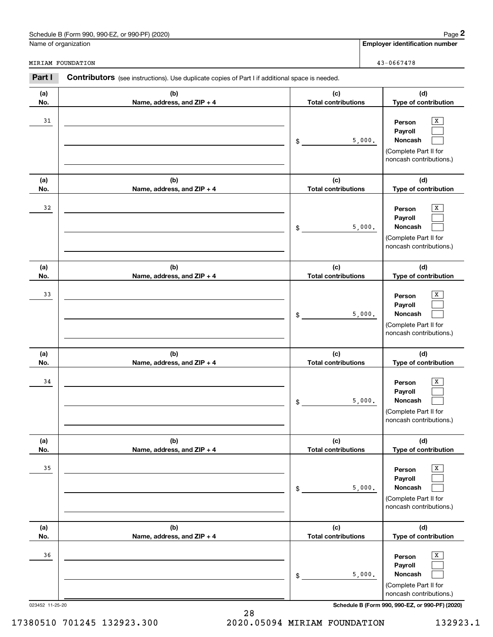|            | Schedule B (Form 990, 990-EZ, or 990-PF) (2020)                                                       | Page 2                                                                                                |
|------------|-------------------------------------------------------------------------------------------------------|-------------------------------------------------------------------------------------------------------|
|            | Name of organization                                                                                  | <b>Employer identification number</b>                                                                 |
|            | <b>MIRIAM FOUNDATION</b>                                                                              | 43-0667478                                                                                            |
| Part I     | <b>Contributors</b> (see instructions). Use duplicate copies of Part I if additional space is needed. |                                                                                                       |
| (a)<br>No. | (b)<br>Name, address, and ZIP + 4                                                                     | (c)<br>(d)<br><b>Total contributions</b><br>Type of contribution                                      |
| 31         |                                                                                                       | х<br>Person<br>Payroll<br>Noncash<br>5,000.<br>\$<br>(Complete Part II for<br>noncash contributions.) |
| (a)<br>No. | (b)<br>Name, address, and ZIP + 4                                                                     | (c)<br>(d)<br><b>Total contributions</b><br>Type of contribution                                      |
| 32         |                                                                                                       | Х<br>Person<br>Payroll<br>Noncash<br>5,000.<br>\$<br>(Complete Part II for<br>noncash contributions.) |
| (a)<br>No. | (b)<br>Name, address, and ZIP + 4                                                                     | (c)<br>(d)<br><b>Total contributions</b><br>Type of contribution                                      |
| 33         |                                                                                                       | X<br>Person<br>Payroll<br>5,000.<br>Noncash<br>\$<br>(Complete Part II for<br>noncash contributions.) |
| (a)<br>No. | (b)<br>Name, address, and ZIP + 4                                                                     | (c)<br>(d)<br><b>Total contributions</b><br>Type of contribution                                      |
| 34         |                                                                                                       | х<br>Person<br>Payroll<br>5,000.<br>Noncash<br>\$<br>(Complete Part II for<br>noncash contributions.) |
| (a)<br>No. | (b)<br>Name, address, and ZIP + 4                                                                     | (d)<br>(c)<br><b>Total contributions</b><br>Type of contribution                                      |
| 35         |                                                                                                       | X<br>Person<br>Payroll<br>Noncash<br>5,000.<br>\$<br>(Complete Part II for<br>noncash contributions.) |
| (a)<br>No. | (b)<br>Name, address, and ZIP + 4                                                                     | (d)<br>(c)<br><b>Total contributions</b><br>Type of contribution                                      |
| 36         |                                                                                                       | X<br>Person<br>Payroll<br>Noncash<br>5,000.<br>\$<br>(Complete Part II for<br>noncash contributions.) |

023452 11-25-20 **Schedule B (Form 990, 990-EZ, or 990-PF) (2020)**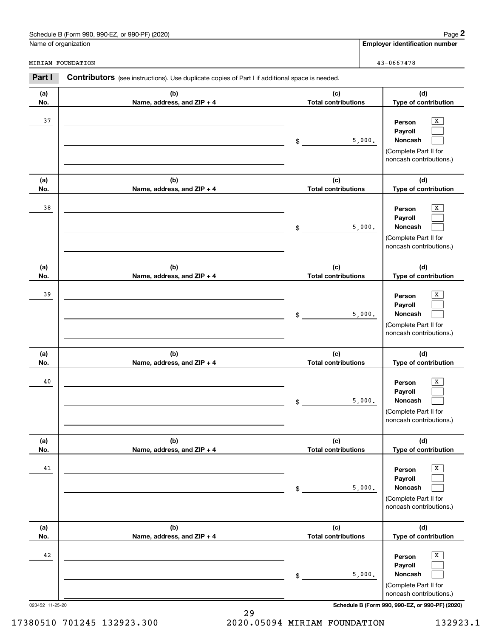|            | Schedule B (Form 990, 990-EZ, or 990-PF) (2020)                                                       |                                   |        | Page 2                                                                                                      |  |
|------------|-------------------------------------------------------------------------------------------------------|-----------------------------------|--------|-------------------------------------------------------------------------------------------------------------|--|
|            | Name of organization                                                                                  |                                   |        | Employer identification number                                                                              |  |
|            | <b>MIRIAM FOUNDATION</b>                                                                              |                                   |        | 43-0667478                                                                                                  |  |
| Part I     | <b>Contributors</b> (see instructions). Use duplicate copies of Part I if additional space is needed. |                                   |        |                                                                                                             |  |
| (a)<br>No. | (b)<br>Name, address, and ZIP + 4                                                                     | (c)<br><b>Total contributions</b> |        | (d)<br>Type of contribution                                                                                 |  |
| 37         |                                                                                                       | \$                                | 5,000. | Х<br>Person<br>Payroll<br>Noncash<br>(Complete Part II for<br>noncash contributions.)                       |  |
| (a)<br>No. | (b)<br>Name, address, and ZIP + 4                                                                     | (c)<br><b>Total contributions</b> |        | (d)<br>Type of contribution                                                                                 |  |
| 38         |                                                                                                       | \$                                | 5,000. | х<br>Person<br>Payroll<br>Noncash<br>(Complete Part II for<br>noncash contributions.)                       |  |
| (a)<br>No. | (b)<br>Name, address, and ZIP + 4                                                                     | (c)<br><b>Total contributions</b> |        | (d)<br>Type of contribution                                                                                 |  |
| 39         |                                                                                                       | \$                                | 5,000. | х<br>Person<br>Payroll<br>Noncash<br>(Complete Part II for<br>noncash contributions.)                       |  |
| (a)<br>No. | (b)<br>Name, address, and ZIP + 4                                                                     | (c)<br><b>Total contributions</b> |        | (d)<br>Type of contribution                                                                                 |  |
| 40         |                                                                                                       | \$                                | 5,000. | х<br>Person<br>Payroll<br>Noncash<br>(Complete Part II for<br>noncash contributions.)                       |  |
| (a)<br>No. | (b)<br>Name, address, and ZIP + 4                                                                     | (c)<br><b>Total contributions</b> |        | (d)<br>Type of contribution                                                                                 |  |
| 41         |                                                                                                       | \$                                | 5,000. | $\overline{\mathbf{x}}$<br>Person<br>Payroll<br>Noncash<br>(Complete Part II for<br>noncash contributions.) |  |
| (a)<br>No. | (b)<br>Name, address, and ZIP + 4                                                                     | (c)<br><b>Total contributions</b> |        | (d)<br>Type of contribution                                                                                 |  |
| 42         |                                                                                                       | \$                                | 5,000. | X<br>Person<br>Payroll<br>Noncash<br>(Complete Part II for<br>noncash contributions.)                       |  |

023452 11-25-20 **Schedule B (Form 990, 990-EZ, or 990-PF) (2020)**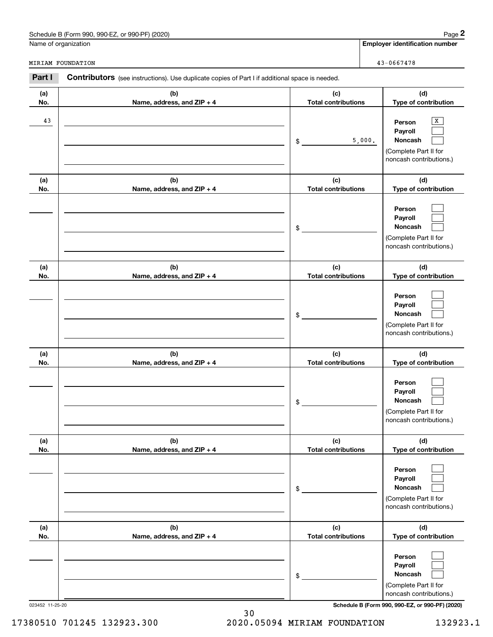|            | Schedule B (Form 990, 990-EZ, or 990-PF) (2020)                                                       |                                   | Page 2                                                                                |
|------------|-------------------------------------------------------------------------------------------------------|-----------------------------------|---------------------------------------------------------------------------------------|
|            | Name of organization                                                                                  |                                   | <b>Employer identification number</b>                                                 |
|            | MIRIAM FOUNDATION                                                                                     |                                   | 43-0667478                                                                            |
| Part I     | <b>Contributors</b> (see instructions). Use duplicate copies of Part I if additional space is needed. |                                   |                                                                                       |
| (a)<br>No. | (b)<br>Name, address, and ZIP + 4                                                                     | (c)<br><b>Total contributions</b> | (d)<br>Type of contribution                                                           |
| 43         |                                                                                                       | 5,000.<br>\$                      | х<br>Person<br>Payroll<br>Noncash<br>(Complete Part II for<br>noncash contributions.) |
| (a)<br>No. | (b)<br>Name, address, and ZIP + 4                                                                     | (c)<br><b>Total contributions</b> | (d)<br>Type of contribution                                                           |
|            |                                                                                                       | \$                                | Person<br>Payroll<br>Noncash<br>(Complete Part II for<br>noncash contributions.)      |
| (a)<br>No. | (b)<br>Name, address, and ZIP + 4                                                                     | (c)<br><b>Total contributions</b> | (d)<br>Type of contribution                                                           |
|            |                                                                                                       | \$                                | Person<br>Payroll<br>Noncash<br>(Complete Part II for<br>noncash contributions.)      |
| (a)<br>No. | (b)<br>Name, address, and ZIP + 4                                                                     | (c)<br><b>Total contributions</b> | (d)<br>Type of contribution                                                           |
|            |                                                                                                       | \$                                | Person<br>Payroll<br>Noncash<br>(Complete Part II for<br>noncash contributions.)      |
| (a)<br>No. | (b)<br>Name, address, and ZIP + 4                                                                     | (c)<br><b>Total contributions</b> | (d)<br>Type of contribution                                                           |
|            |                                                                                                       | \$                                | Person<br>Payroll<br>Noncash<br>(Complete Part II for<br>noncash contributions.)      |
| (a)<br>No. | (b)<br>Name, address, and ZIP + 4                                                                     | (c)<br><b>Total contributions</b> | (d)<br>Type of contribution                                                           |
|            |                                                                                                       | \$                                | Person<br>Payroll<br>Noncash<br>(Complete Part II for<br>noncash contributions.)      |

023452 11-25-20 **Schedule B (Form 990, 990-EZ, or 990-PF) (2020)**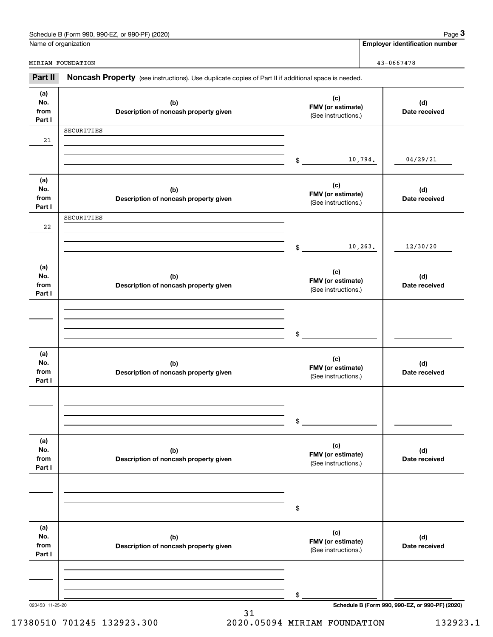|                              | Schedule B (Form 990, 990-EZ, or 990-PF) (2020)                                                     |                                                 |                                          | Page 3                                          |
|------------------------------|-----------------------------------------------------------------------------------------------------|-------------------------------------------------|------------------------------------------|-------------------------------------------------|
|                              | Name of organization                                                                                |                                                 |                                          | <b>Employer identification number</b>           |
|                              | MIRIAM FOUNDATION                                                                                   |                                                 |                                          | 43-0667478                                      |
| Part II                      | Noncash Property (see instructions). Use duplicate copies of Part II if additional space is needed. |                                                 |                                          |                                                 |
| (a)<br>No.<br>from<br>Part I | (b)<br>Description of noncash property given                                                        | (c)                                             | FMV (or estimate)<br>(See instructions.) |                                                 |
|                              | SECURITIES                                                                                          |                                                 |                                          |                                                 |
| 21                           |                                                                                                     |                                                 |                                          |                                                 |
|                              |                                                                                                     | \$                                              | 10,794.                                  | 04/29/21                                        |
| (a)<br>No.<br>from<br>Part I | (b)<br>Description of noncash property given                                                        | (c)<br>FMV (or estimate)<br>(See instructions.) |                                          | (d)<br>Date received                            |
|                              | SECURITIES                                                                                          |                                                 |                                          |                                                 |
| 22                           |                                                                                                     |                                                 |                                          |                                                 |
|                              |                                                                                                     | \$                                              | 10, 263.                                 | 12/30/20                                        |
| (a)<br>No.<br>from<br>Part I | (b)<br>Description of noncash property given                                                        | (c)<br>FMV (or estimate)<br>(See instructions.) |                                          | (d)<br>Date received                            |
|                              |                                                                                                     | \$                                              |                                          |                                                 |
| (a)<br>No.<br>from<br>Part I | (b)<br>Description of noncash property given                                                        | (c)<br>FMV (or estimate)<br>(See instructions.) |                                          | (d)<br>Date received                            |
|                              |                                                                                                     | \$                                              |                                          |                                                 |
| (a)<br>No.<br>from<br>Part I | (b)<br>Description of noncash property given                                                        | (c)<br>FMV (or estimate)<br>(See instructions.) |                                          | (d)<br>Date received                            |
|                              |                                                                                                     | \$                                              |                                          |                                                 |
| (a)<br>No.<br>from<br>Part I | (b)<br>Description of noncash property given                                                        | (c)<br>FMV (or estimate)<br>(See instructions.) |                                          | (d)<br>Date received                            |
|                              |                                                                                                     | \$                                              |                                          |                                                 |
| 023453 11-25-20              |                                                                                                     |                                                 |                                          | Schedule B (Form 990, 990-EZ, or 990-PF) (2020) |

#### 17380510 701245 132923.300 2020.05094 MIRIAM FOUNDATION 132923.1

31

Schedule B (Form 990, 990-EZ, or 990-PF) (2020) Page 3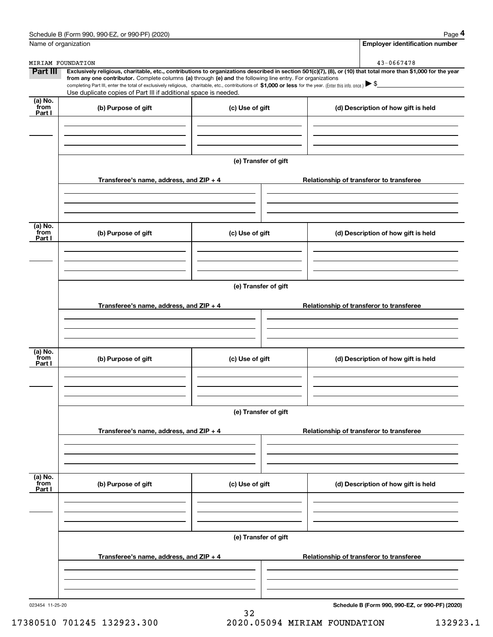| Name of organization      |                                                                                                                                                              |                      | Employer identification number                                                                                                                                 |  |  |
|---------------------------|--------------------------------------------------------------------------------------------------------------------------------------------------------------|----------------------|----------------------------------------------------------------------------------------------------------------------------------------------------------------|--|--|
| MIRIAM FOUNDATION         |                                                                                                                                                              |                      | 43-0667478                                                                                                                                                     |  |  |
| Part III                  | from any one contributor. Complete columns (a) through (e) and the following line entry. For organizations                                                   |                      | Exclusively religious, charitable, etc., contributions to organizations described in section 501(c)(7), (8), or (10) that total more than \$1,000 for the year |  |  |
|                           | completing Part III, enter the total of exclusively religious, charitable, etc., contributions of \$1,000 or less for the year. (Enter this info. once.) \\$ |                      |                                                                                                                                                                |  |  |
|                           | Use duplicate copies of Part III if additional space is needed.                                                                                              |                      |                                                                                                                                                                |  |  |
| (a) No.<br>from<br>Part I | (b) Purpose of gift                                                                                                                                          | (c) Use of gift      | (d) Description of how gift is held                                                                                                                            |  |  |
|                           |                                                                                                                                                              |                      |                                                                                                                                                                |  |  |
|                           |                                                                                                                                                              | (e) Transfer of gift |                                                                                                                                                                |  |  |
|                           | Transferee's name, address, and ZIP + 4                                                                                                                      |                      | Relationship of transferor to transferee                                                                                                                       |  |  |
|                           |                                                                                                                                                              |                      |                                                                                                                                                                |  |  |
| (a) No.<br>from<br>Part I | (b) Purpose of gift                                                                                                                                          | (c) Use of gift      | (d) Description of how gift is held                                                                                                                            |  |  |
|                           |                                                                                                                                                              |                      |                                                                                                                                                                |  |  |
|                           |                                                                                                                                                              | (e) Transfer of gift |                                                                                                                                                                |  |  |
|                           | Transferee's name, address, and ZIP + 4                                                                                                                      |                      | Relationship of transferor to transferee                                                                                                                       |  |  |
|                           |                                                                                                                                                              |                      |                                                                                                                                                                |  |  |
| (a) No.<br>from           | (b) Purpose of gift                                                                                                                                          | (c) Use of gift      | (d) Description of how gift is held                                                                                                                            |  |  |
| Part I                    |                                                                                                                                                              |                      |                                                                                                                                                                |  |  |
|                           |                                                                                                                                                              |                      |                                                                                                                                                                |  |  |
|                           | Transferee's name, address, and $ZIP + 4$                                                                                                                    | (e) Transfer of gift | Relationship of transferor to transferee                                                                                                                       |  |  |
|                           |                                                                                                                                                              |                      |                                                                                                                                                                |  |  |
|                           |                                                                                                                                                              |                      |                                                                                                                                                                |  |  |
| (a) No.<br>from<br>Part I | (b) Purpose of gift                                                                                                                                          | (c) Use of gift      | (d) Description of how gift is held                                                                                                                            |  |  |
|                           |                                                                                                                                                              |                      |                                                                                                                                                                |  |  |
|                           | (e) Transfer of gift                                                                                                                                         |                      |                                                                                                                                                                |  |  |
|                           | Transferee's name, address, and ZIP + 4                                                                                                                      |                      | Relationship of transferor to transferee                                                                                                                       |  |  |
|                           |                                                                                                                                                              |                      |                                                                                                                                                                |  |  |
| 023454 11-25-20           |                                                                                                                                                              |                      | Schedule B (Form 990, 990-EZ, or 990-PF) (2020)                                                                                                                |  |  |

17380510 701245 132923.300 2020.05094 MIRIAM FOUNDATION 132923.1

32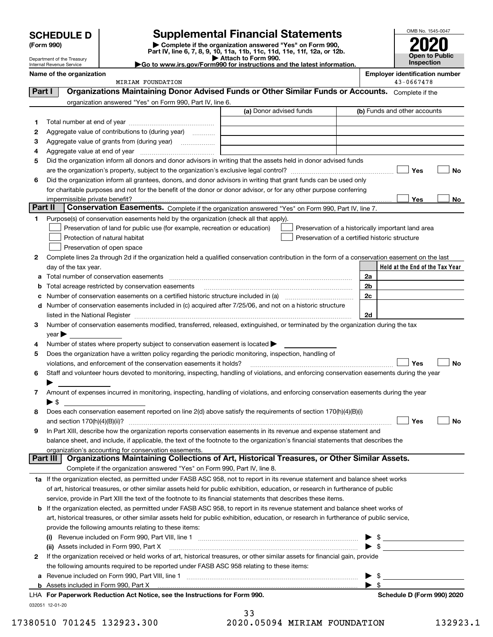| (Form 990) |  |
|------------|--|
|------------|--|

# **SCHEDULE D Supplemental Financial Statements**

(Form 990)<br>
Pepartment of the Treasury<br>
Department of the Treasury<br>
Department of the Treasury<br>
Department of the Treasury<br> **Co to www.irs.gov/Form990 for instructions and the latest information.**<br> **Co to www.irs.gov/Form9** 



| $\blacktriangleright$ Attach to Form 990.<br>Department of the Treasury<br>Go to www.irs.gov/Form990 for instructions and the latest information.<br>Internal Revenue Service |                   | <b>Open to Public</b><br><b>Inspection</b> |
|-------------------------------------------------------------------------------------------------------------------------------------------------------------------------------|-------------------|--------------------------------------------|
| Name of the organization                                                                                                                                                      |                   | <b>Employer identification number</b>      |
|                                                                                                                                                                               | MIDIAM FOUNDATION | $13 - 0667178$                             |

|         | MIRIAM FOUNDATION                                                                                                                                     |                                                |                         | 43-0667478                                         |
|---------|-------------------------------------------------------------------------------------------------------------------------------------------------------|------------------------------------------------|-------------------------|----------------------------------------------------|
| Part I  | Organizations Maintaining Donor Advised Funds or Other Similar Funds or Accounts. Complete if the                                                     |                                                |                         |                                                    |
|         | organization answered "Yes" on Form 990, Part IV, line 6.                                                                                             |                                                |                         |                                                    |
|         |                                                                                                                                                       | (a) Donor advised funds                        |                         | (b) Funds and other accounts                       |
| 1       |                                                                                                                                                       |                                                |                         |                                                    |
| 2       | Aggregate value of contributions to (during year)                                                                                                     |                                                |                         |                                                    |
| з       |                                                                                                                                                       |                                                |                         |                                                    |
| 4       |                                                                                                                                                       |                                                |                         |                                                    |
| 5       | Did the organization inform all donors and donor advisors in writing that the assets held in donor advised funds                                      |                                                |                         |                                                    |
|         |                                                                                                                                                       |                                                |                         | Yes<br>No                                          |
| 6       | Did the organization inform all grantees, donors, and donor advisors in writing that grant funds can be used only                                     |                                                |                         |                                                    |
|         | for charitable purposes and not for the benefit of the donor or donor advisor, or for any other purpose conferring                                    |                                                |                         |                                                    |
|         | impermissible private benefit?                                                                                                                        |                                                |                         | Yes<br>No                                          |
| Part II | <b>Conservation Easements.</b> Complete if the organization answered "Yes" on Form 990, Part IV, line 7.                                              |                                                |                         |                                                    |
| 1.      | Purpose(s) of conservation easements held by the organization (check all that apply).                                                                 |                                                |                         |                                                    |
|         | Preservation of land for public use (for example, recreation or education)                                                                            |                                                |                         | Preservation of a historically important land area |
|         | Protection of natural habitat                                                                                                                         | Preservation of a certified historic structure |                         |                                                    |
|         | Preservation of open space                                                                                                                            |                                                |                         |                                                    |
|         | Complete lines 2a through 2d if the organization held a qualified conservation contribution in the form of a conservation easement on the last        |                                                |                         |                                                    |
| 2       |                                                                                                                                                       |                                                |                         | Held at the End of the Tax Year                    |
|         | day of the tax year.                                                                                                                                  |                                                |                         |                                                    |
| а       | Total number of conservation easements                                                                                                                |                                                | 2a                      |                                                    |
|         | Total acreage restricted by conservation easements                                                                                                    |                                                | 2b                      |                                                    |
| c       | Number of conservation easements on a certified historic structure included in (a) <i>mummumumumum</i>                                                |                                                | 2c                      |                                                    |
| d       | Number of conservation easements included in (c) acquired after 7/25/06, and not on a historic structure                                              |                                                |                         |                                                    |
|         | listed in the National Register [111] Martin Marcondon Marco Contract in the National Register [11] Marco Marco                                       |                                                | 2d                      |                                                    |
| з       | Number of conservation easements modified, transferred, released, extinguished, or terminated by the organization during the tax                      |                                                |                         |                                                    |
|         | $year \triangleright$                                                                                                                                 |                                                |                         |                                                    |
| 4       | Number of states where property subject to conservation easement is located >                                                                         |                                                |                         |                                                    |
| 5       | Does the organization have a written policy regarding the periodic monitoring, inspection, handling of                                                |                                                |                         |                                                    |
|         | violations, and enforcement of the conservation easements it holds?                                                                                   |                                                |                         | Yes<br>No                                          |
| 6       | Staff and volunteer hours devoted to monitoring, inspecting, handling of violations, and enforcing conservation easements during the year             |                                                |                         |                                                    |
|         |                                                                                                                                                       |                                                |                         |                                                    |
| 7       | Amount of expenses incurred in monitoring, inspecting, handling of violations, and enforcing conservation easements during the year                   |                                                |                         |                                                    |
|         | $\blacktriangleright$ s                                                                                                                               |                                                |                         |                                                    |
| 8       | Does each conservation easement reported on line 2(d) above satisfy the requirements of section 170(h)(4)(B)(i)                                       |                                                |                         |                                                    |
|         | and section $170(h)(4)(B)(ii)?$                                                                                                                       |                                                |                         | Yes<br>No                                          |
| 9       | In Part XIII, describe how the organization reports conservation easements in its revenue and expense statement and                                   |                                                |                         |                                                    |
|         | balance sheet, and include, if applicable, the text of the footnote to the organization's financial statements that describes the                     |                                                |                         |                                                    |
|         | organization's accounting for conservation easements.<br>Organizations Maintaining Collections of Art, Historical Treasures, or Other Similar Assets. |                                                |                         |                                                    |
|         | Part III                                                                                                                                              |                                                |                         |                                                    |
|         | Complete if the organization answered "Yes" on Form 990, Part IV, line 8.                                                                             |                                                |                         |                                                    |
|         | 1a If the organization elected, as permitted under FASB ASC 958, not to report in its revenue statement and balance sheet works                       |                                                |                         |                                                    |
|         | of art, historical treasures, or other similar assets held for public exhibition, education, or research in furtherance of public                     |                                                |                         |                                                    |
|         | service, provide in Part XIII the text of the footnote to its financial statements that describes these items.                                        |                                                |                         |                                                    |
|         | <b>b</b> If the organization elected, as permitted under FASB ASC 958, to report in its revenue statement and balance sheet works of                  |                                                |                         |                                                    |
|         | art, historical treasures, or other similar assets held for public exhibition, education, or research in furtherance of public service,               |                                                |                         |                                                    |
|         | provide the following amounts relating to these items:                                                                                                |                                                |                         |                                                    |
|         |                                                                                                                                                       |                                                |                         | \$                                                 |
|         | (ii) Assets included in Form 990, Part X                                                                                                              |                                                |                         | $\blacktriangleright$ \$                           |
| 2       | If the organization received or held works of art, historical treasures, or other similar assets for financial gain, provide                          |                                                |                         |                                                    |
|         | the following amounts required to be reported under FASB ASC 958 relating to these items:                                                             |                                                |                         |                                                    |
|         | a Revenue included on Form 990, Part VIII, line 1 [2000] [2000] [2000] [2000] [2000] [2000] [2000] [2000] [2000                                       |                                                |                         | \$                                                 |
|         |                                                                                                                                                       |                                                | $\blacktriangleright$ s |                                                    |
|         | LHA For Paperwork Reduction Act Notice, see the Instructions for Form 990.                                                                            |                                                |                         | Schedule D (Form 990) 2020                         |
|         | 032051 12-01-20                                                                                                                                       |                                                |                         |                                                    |

|  |  | 17380510 701245 132923.300 | 2020.05094 MIRIAM FOUNDATION |  | 132923.1 |
|--|--|----------------------------|------------------------------|--|----------|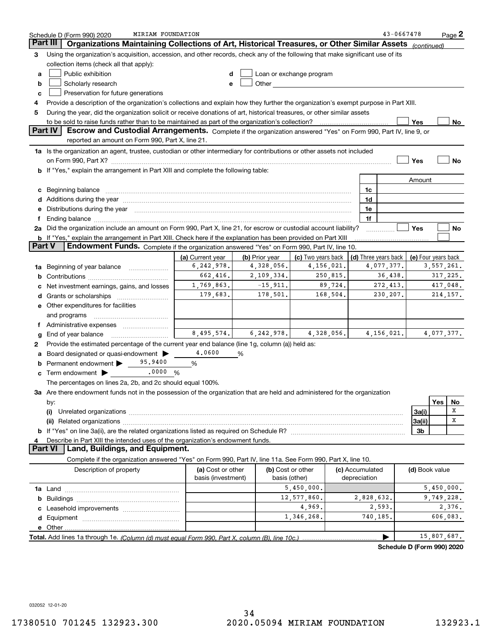|        | MIRIAM FOUNDATION<br>Schedule D (Form 990) 2020                                                                                                                                                                                |                                         |                |                                                                                                                                                                                                                                |                                 | 43-0667478                                 |                |            | $Page$ 2    |
|--------|--------------------------------------------------------------------------------------------------------------------------------------------------------------------------------------------------------------------------------|-----------------------------------------|----------------|--------------------------------------------------------------------------------------------------------------------------------------------------------------------------------------------------------------------------------|---------------------------------|--------------------------------------------|----------------|------------|-------------|
|        | Organizations Maintaining Collections of Art, Historical Treasures, or Other Similar Assets<br>Part III                                                                                                                        |                                         |                |                                                                                                                                                                                                                                |                                 |                                            | (continued)    |            |             |
| 3      | Using the organization's acquisition, accession, and other records, check any of the following that make significant use of its                                                                                                |                                         |                |                                                                                                                                                                                                                                |                                 |                                            |                |            |             |
|        | collection items (check all that apply):                                                                                                                                                                                       |                                         |                |                                                                                                                                                                                                                                |                                 |                                            |                |            |             |
| а      | Public exhibition                                                                                                                                                                                                              |                                         |                | Loan or exchange program                                                                                                                                                                                                       |                                 |                                            |                |            |             |
| b      | Scholarly research                                                                                                                                                                                                             |                                         |                | Other and the control of the control of the control of the control of the control of the control of the control of the control of the control of the control of the control of the control of the control of the control of th |                                 |                                            |                |            |             |
| c      | Preservation for future generations                                                                                                                                                                                            |                                         |                |                                                                                                                                                                                                                                |                                 |                                            |                |            |             |
| 4      | Provide a description of the organization's collections and explain how they further the organization's exempt purpose in Part XIII.                                                                                           |                                         |                |                                                                                                                                                                                                                                |                                 |                                            |                |            |             |
| 5      | During the year, did the organization solicit or receive donations of art, historical treasures, or other similar assets                                                                                                       |                                         |                |                                                                                                                                                                                                                                |                                 |                                            |                |            |             |
|        | to be sold to raise funds rather than to be maintained as part of the organization's collection?                                                                                                                               |                                         |                |                                                                                                                                                                                                                                |                                 |                                            | Yes            |            | No          |
|        | <b>Part IV</b><br>Escrow and Custodial Arrangements. Complete if the organization answered "Yes" on Form 990, Part IV, line 9, or                                                                                              |                                         |                |                                                                                                                                                                                                                                |                                 |                                            |                |            |             |
|        | reported an amount on Form 990, Part X, line 21.                                                                                                                                                                               |                                         |                |                                                                                                                                                                                                                                |                                 |                                            |                |            |             |
|        | 1a Is the organization an agent, trustee, custodian or other intermediary for contributions or other assets not included                                                                                                       |                                         |                |                                                                                                                                                                                                                                |                                 |                                            |                |            |             |
|        |                                                                                                                                                                                                                                |                                         |                |                                                                                                                                                                                                                                |                                 |                                            | Yes            |            | No          |
| b      | If "Yes," explain the arrangement in Part XIII and complete the following table:                                                                                                                                               |                                         |                |                                                                                                                                                                                                                                |                                 |                                            |                |            |             |
|        |                                                                                                                                                                                                                                |                                         |                |                                                                                                                                                                                                                                |                                 |                                            | Amount         |            |             |
| с      | Beginning balance                                                                                                                                                                                                              |                                         |                |                                                                                                                                                                                                                                |                                 | 1c                                         |                |            |             |
|        | Additions during the year manufactured and an annual contract of the year manufactured and a set of the year manufactured and a set of the year manufactured and a set of the year manufactured and a set of the year manufact |                                         |                |                                                                                                                                                                                                                                |                                 | 1d                                         |                |            |             |
|        | Distributions during the year manufactured and continuum and the year manufactured and the year manufactured and the year manufactured and the year manufactured and the year manufactured and the year manufactured and the y |                                         |                |                                                                                                                                                                                                                                |                                 | 1e                                         |                |            |             |
|        | Ending balance manufactured and contact the control of the control of the control of the control of the control of the control of the control of the control of the control of the control of the control of the control of th |                                         |                |                                                                                                                                                                                                                                |                                 | 1f                                         |                |            |             |
|        | 2a Did the organization include an amount on Form 990, Part X, line 21, for escrow or custodial account liability?                                                                                                             |                                         |                |                                                                                                                                                                                                                                |                                 |                                            | Yes            |            | No          |
|        | <b>b</b> If "Yes," explain the arrangement in Part XIII. Check here if the explanation has been provided on Part XIII                                                                                                          |                                         |                |                                                                                                                                                                                                                                |                                 |                                            |                |            |             |
| Part V | Endowment Funds. Complete if the organization answered "Yes" on Form 990, Part IV, line 10.                                                                                                                                    |                                         |                |                                                                                                                                                                                                                                |                                 |                                            |                |            |             |
|        |                                                                                                                                                                                                                                | (a) Current year                        | (b) Prior year | (c) Two years back                                                                                                                                                                                                             |                                 | (d) Three years back   (e) Four years back |                |            |             |
| 1a     | Beginning of year balance                                                                                                                                                                                                      | 6, 242, 978.                            | 4,328,056.     | 4,156,021.                                                                                                                                                                                                                     |                                 | 4,077,377.                                 |                | 3,557,261. |             |
|        |                                                                                                                                                                                                                                | 662,416.                                | 2,109,334.     | 250,815.                                                                                                                                                                                                                       |                                 | 36,438.                                    |                |            | 317,225.    |
|        | Net investment earnings, gains, and losses                                                                                                                                                                                     | 1,769,863.                              | $-15,911.$     | 89,724.                                                                                                                                                                                                                        |                                 | 272,413.                                   |                | 417,048.   |             |
|        |                                                                                                                                                                                                                                | 179,683.                                | 178,501.       | 168,504.                                                                                                                                                                                                                       |                                 | 230,207.                                   |                | 214, 157.  |             |
|        | e Other expenditures for facilities                                                                                                                                                                                            |                                         |                |                                                                                                                                                                                                                                |                                 |                                            |                |            |             |
|        | and programs                                                                                                                                                                                                                   |                                         |                |                                                                                                                                                                                                                                |                                 |                                            |                |            |             |
| f      | Administrative expenses                                                                                                                                                                                                        |                                         |                |                                                                                                                                                                                                                                |                                 |                                            |                |            |             |
|        | End of year balance                                                                                                                                                                                                            | 8,495,574.                              | 6, 242, 978.   | 4,328,056.                                                                                                                                                                                                                     |                                 | 4, 156, 021.                               |                |            | 4,077,377.  |
| 2      | Provide the estimated percentage of the current year end balance (line 1g, column (a)) held as:                                                                                                                                |                                         |                |                                                                                                                                                                                                                                |                                 |                                            |                |            |             |
|        | Board designated or quasi-endowment >                                                                                                                                                                                          | 4,0600                                  | %              |                                                                                                                                                                                                                                |                                 |                                            |                |            |             |
|        | 95,9400<br>Permanent endowment >                                                                                                                                                                                               | %                                       |                |                                                                                                                                                                                                                                |                                 |                                            |                |            |             |
| с      | Term endowment <b>Department</b> 10000 %                                                                                                                                                                                       |                                         |                |                                                                                                                                                                                                                                |                                 |                                            |                |            |             |
|        | The percentages on lines 2a, 2b, and 2c should equal 100%.                                                                                                                                                                     |                                         |                |                                                                                                                                                                                                                                |                                 |                                            |                |            |             |
|        | 3a Are there endowment funds not in the possession of the organization that are held and administered for the organization                                                                                                     |                                         |                |                                                                                                                                                                                                                                |                                 |                                            |                |            |             |
|        | by:                                                                                                                                                                                                                            |                                         |                |                                                                                                                                                                                                                                |                                 |                                            |                | Yes        | No          |
|        | (i)                                                                                                                                                                                                                            |                                         |                |                                                                                                                                                                                                                                |                                 |                                            | 3a(i)          |            | Χ           |
|        |                                                                                                                                                                                                                                |                                         |                |                                                                                                                                                                                                                                |                                 |                                            | 3a(ii)         |            | х           |
|        |                                                                                                                                                                                                                                |                                         |                |                                                                                                                                                                                                                                |                                 |                                            | 3b             |            |             |
|        | Describe in Part XIII the intended uses of the organization's endowment funds.<br>Land, Buildings, and Equipment.<br><b>Part VI</b>                                                                                            |                                         |                |                                                                                                                                                                                                                                |                                 |                                            |                |            |             |
|        |                                                                                                                                                                                                                                |                                         |                |                                                                                                                                                                                                                                |                                 |                                            |                |            |             |
|        | Complete if the organization answered "Yes" on Form 990, Part IV, line 11a. See Form 990, Part X, line 10.                                                                                                                     |                                         |                |                                                                                                                                                                                                                                |                                 |                                            |                |            |             |
|        | Description of property                                                                                                                                                                                                        | (a) Cost or other<br>basis (investment) |                | (b) Cost or other<br>basis (other)                                                                                                                                                                                             | (c) Accumulated<br>depreciation |                                            | (d) Book value |            |             |
|        |                                                                                                                                                                                                                                |                                         |                | 5,450,000.                                                                                                                                                                                                                     |                                 |                                            |                |            | 5,450,000.  |
|        |                                                                                                                                                                                                                                |                                         |                | 12,577,860.                                                                                                                                                                                                                    |                                 | 2,828,632.                                 |                |            | 9,749,228.  |
| b      |                                                                                                                                                                                                                                |                                         |                | 4,969.                                                                                                                                                                                                                         |                                 | 2,593.                                     |                |            | 2,376.      |
|        |                                                                                                                                                                                                                                |                                         |                | 1,346,268.                                                                                                                                                                                                                     |                                 | 740,185.                                   |                | 606,083.   |             |
| d      |                                                                                                                                                                                                                                |                                         |                |                                                                                                                                                                                                                                |                                 |                                            |                |            |             |
|        |                                                                                                                                                                                                                                |                                         |                |                                                                                                                                                                                                                                |                                 |                                            |                |            | 15,807,687. |
|        |                                                                                                                                                                                                                                |                                         |                |                                                                                                                                                                                                                                |                                 |                                            |                |            |             |
|        |                                                                                                                                                                                                                                |                                         |                |                                                                                                                                                                                                                                |                                 | Schedule D (Form 990) 2020                 |                |            |             |

032052 12-01-20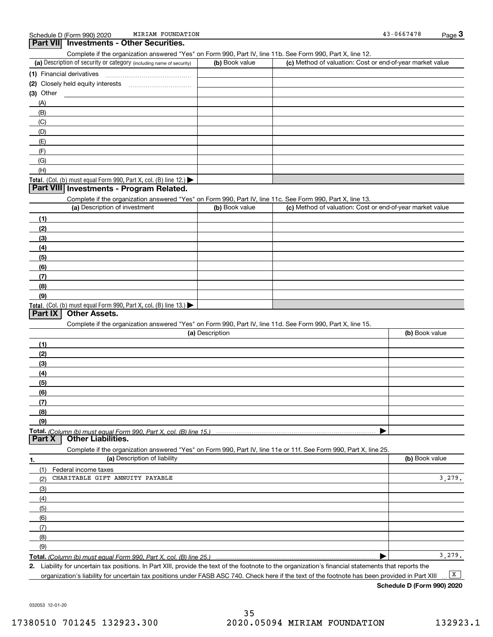**Part VII Investments - Other Securities.** 

MIRIAM FOUNDATION

| Complete if the organization answered "Yes" on Form 990, Part IV, line 11b. See Form 990, Part X, line 12.        |                 |                                                           |                |
|-------------------------------------------------------------------------------------------------------------------|-----------------|-----------------------------------------------------------|----------------|
| (a) Description of security or category (including name of security)                                              | (b) Book value  | (c) Method of valuation: Cost or end-of-year market value |                |
| (1) Financial derivatives                                                                                         |                 |                                                           |                |
|                                                                                                                   |                 |                                                           |                |
| (3) Other                                                                                                         |                 |                                                           |                |
|                                                                                                                   |                 |                                                           |                |
| (A)                                                                                                               |                 |                                                           |                |
| (B)                                                                                                               |                 |                                                           |                |
| (C)                                                                                                               |                 |                                                           |                |
| (D)                                                                                                               |                 |                                                           |                |
| (E)                                                                                                               |                 |                                                           |                |
| (F)                                                                                                               |                 |                                                           |                |
| (G)                                                                                                               |                 |                                                           |                |
| (H)                                                                                                               |                 |                                                           |                |
|                                                                                                                   |                 |                                                           |                |
| Total. (Col. (b) must equal Form 990, Part X, col. (B) line 12.)<br>Part VIII Investments - Program Related.      |                 |                                                           |                |
|                                                                                                                   |                 |                                                           |                |
| Complete if the organization answered "Yes" on Form 990, Part IV, line 11c. See Form 990, Part X, line 13.        |                 |                                                           |                |
| (a) Description of investment                                                                                     | (b) Book value  | (c) Method of valuation: Cost or end-of-year market value |                |
| (1)                                                                                                               |                 |                                                           |                |
| (2)                                                                                                               |                 |                                                           |                |
| (3)                                                                                                               |                 |                                                           |                |
| (4)                                                                                                               |                 |                                                           |                |
|                                                                                                                   |                 |                                                           |                |
| (5)                                                                                                               |                 |                                                           |                |
| (6)                                                                                                               |                 |                                                           |                |
| (7)                                                                                                               |                 |                                                           |                |
| (8)                                                                                                               |                 |                                                           |                |
| (9)                                                                                                               |                 |                                                           |                |
| Total. (Col. (b) must equal Form 990, Part X, col. (B) line 13.)                                                  |                 |                                                           |                |
| <b>Other Assets.</b><br>Part IX                                                                                   |                 |                                                           |                |
| Complete if the organization answered "Yes" on Form 990, Part IV, line 11d. See Form 990, Part X, line 15.        |                 |                                                           |                |
|                                                                                                                   | (a) Description |                                                           | (b) Book value |
|                                                                                                                   |                 |                                                           |                |
| (1)                                                                                                               |                 |                                                           |                |
| (2)                                                                                                               |                 |                                                           |                |
| (3)                                                                                                               |                 |                                                           |                |
| (4)                                                                                                               |                 |                                                           |                |
| (5)                                                                                                               |                 |                                                           |                |
| (6)                                                                                                               |                 |                                                           |                |
| (7)                                                                                                               |                 |                                                           |                |
|                                                                                                                   |                 |                                                           |                |
| (8)                                                                                                               |                 |                                                           |                |
| (9)                                                                                                               |                 |                                                           |                |
| Total. (Column (b) must equal Form 990. Part X, col. (B) line 15.)<br><b>Other Liabilities.</b><br>Part X         |                 |                                                           |                |
|                                                                                                                   |                 |                                                           |                |
| Complete if the organization answered "Yes" on Form 990, Part IV, line 11e or 11f. See Form 990, Part X, line 25. |                 |                                                           |                |
| (a) Description of liability<br>1.                                                                                |                 |                                                           | (b) Book value |
| (1)<br>Federal income taxes                                                                                       |                 |                                                           |                |
| CHARITABLE GIFT ANNUITY PAYABLE<br>(2)                                                                            |                 |                                                           | 3,279.         |
| (3)                                                                                                               |                 |                                                           |                |
| (4)                                                                                                               |                 |                                                           |                |
|                                                                                                                   |                 |                                                           |                |
| (5)                                                                                                               |                 |                                                           |                |
| (6)                                                                                                               |                 |                                                           |                |
| (7)                                                                                                               |                 |                                                           |                |
| (8)                                                                                                               |                 |                                                           |                |
| (9)                                                                                                               |                 |                                                           |                |
| Total. (Column (b) must equal Form 990, Part X, col. (B) line 25.)                                                |                 |                                                           | 3,279.         |

**2.** Liability for uncertain tax positions. In Part XIII, provide the text of the footnote to the organization's financial statements that reports the organization's liability for uncertain tax positions under FASB ASC 740. Check here if the text of the footnote has been provided in Part XIII  $\boxed{\mathbf{X}}$ 

**Schedule D (Form 990) 2020**

032053 12-01-20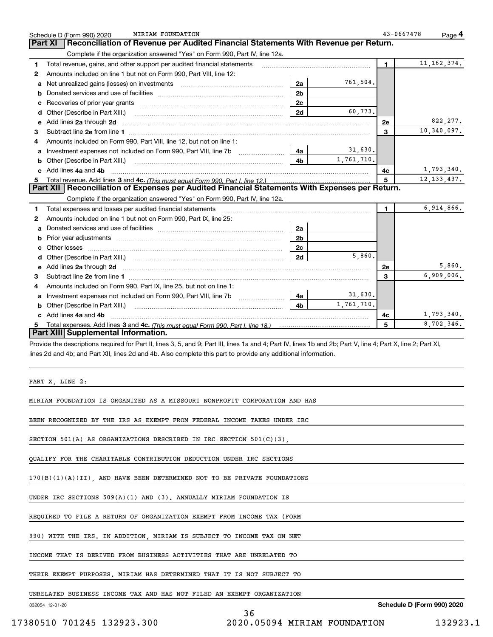| MIRIAM FOUNDATION<br>Schedule D (Form 990) 2020                                                                                                                                             |                |            | 43-0667478   | Page 4        |
|---------------------------------------------------------------------------------------------------------------------------------------------------------------------------------------------|----------------|------------|--------------|---------------|
| Reconciliation of Revenue per Audited Financial Statements With Revenue per Return.<br>Part XI                                                                                              |                |            |              |               |
| Complete if the organization answered "Yes" on Form 990, Part IV, line 12a.                                                                                                                 |                |            |              |               |
| Total revenue, gains, and other support per audited financial statements<br>1                                                                                                               |                |            | $\mathbf{1}$ | 11, 162, 374. |
| Amounts included on line 1 but not on Form 990, Part VIII, line 12:<br>2                                                                                                                    |                |            |              |               |
| Net unrealized gains (losses) on investments [11] matter contracts and the unrealized gains (losses) on investments<br>а                                                                    | 2a             | 761,504.   |              |               |
| b                                                                                                                                                                                           | 2 <sub>b</sub> |            |              |               |
| Recoveries of prior year grants [11,111] Recoveries of prior year grants [11,111] Recoveries of prior year grants<br>с                                                                      | 2 <sub>c</sub> |            |              |               |
| Other (Describe in Part XIII.)<br>d                                                                                                                                                         | 2d             | 60.773.    |              |               |
| Add lines 2a through 2d<br>е                                                                                                                                                                |                |            | 2e           | 822, 277.     |
| 3                                                                                                                                                                                           |                |            | 3            | 10,340,097.   |
| Amounts included on Form 990, Part VIII, line 12, but not on line 1:<br>4                                                                                                                   |                |            |              |               |
| Investment expenses not included on Form 990, Part VIII, line 7b<br>а                                                                                                                       | 4a             | 31,630.    |              |               |
| Other (Describe in Part XIII.)<br>b                                                                                                                                                         | 4b             | 1,761,710. |              |               |
| Add lines 4a and 4b<br>c                                                                                                                                                                    |                |            | 4c           | 1,793,340.    |
|                                                                                                                                                                                             |                |            | 5            | 12, 133, 437. |
| Part XII   Reconciliation of Expenses per Audited Financial Statements With Expenses per Return.                                                                                            |                |            |              |               |
| Complete if the organization answered "Yes" on Form 990, Part IV, line 12a.                                                                                                                 |                |            |              |               |
| Total expenses and losses per audited financial statements [111] [12] container and statements [12] [12] Total expenses and losses per audited financial statements [12] [12] $\alpha$<br>1 |                |            | $\mathbf{1}$ | 6,914,866.    |
| Amounts included on line 1 but not on Form 990, Part IX, line 25:<br>2                                                                                                                      |                |            |              |               |
| a                                                                                                                                                                                           | 2a             |            |              |               |
| b                                                                                                                                                                                           | 2 <sub>b</sub> |            |              |               |
| c                                                                                                                                                                                           | 2с             |            |              |               |
| d                                                                                                                                                                                           | 2d             | 5,860.     |              |               |
| Add lines 2a through 2d<br>е                                                                                                                                                                |                |            | 2e           | 5,860.        |
| 3                                                                                                                                                                                           |                |            | 3            | 6,909,006.    |
| Amounts included on Form 990, Part IX, line 25, but not on line 1:<br>4                                                                                                                     |                |            |              |               |
| а                                                                                                                                                                                           | 4a             | 31,630.    |              |               |
| Other (Describe in Part XIII.)<br>b                                                                                                                                                         | 4b             | 1,761,710. |              |               |
| Add lines 4a and 4b                                                                                                                                                                         |                |            | 4c           | 1,793,340.    |
|                                                                                                                                                                                             |                |            | 5            | 8,702,346.    |
| Part XIII Supplemental Information.                                                                                                                                                         |                |            |              |               |
| Provide the descriptions required for Part II, lines 3, 5, and 9; Part III, lines 1a and 4; Part IV, lines 1b and 2b; Part V, line 4; Part X, line 2; Part XI,                              |                |            |              |               |
| lines 2d and 4b; and Part XII, lines 2d and 4b. Also complete this part to provide any additional information.                                                                              |                |            |              |               |
|                                                                                                                                                                                             |                |            |              |               |
|                                                                                                                                                                                             |                |            |              |               |
| PART X. LINE 2:                                                                                                                                                                             |                |            |              |               |
|                                                                                                                                                                                             |                |            |              |               |
| MIRIAM FOUNDATION IS ORGANIZED AS A MISSOURI NONPROFIT CORPORATION AND HAS                                                                                                                  |                |            |              |               |
|                                                                                                                                                                                             |                |            |              |               |
| BEEN RECOGNIZED BY THE IRS AS EXEMPT FROM FEDERAL INCOME TAXES UNDER IRC                                                                                                                    |                |            |              |               |
|                                                                                                                                                                                             |                |            |              |               |
| SECTION 501(A) AS ORGANIZATIONS DESCRIBED IN IRC SECTION 501(C)(3),                                                                                                                         |                |            |              |               |
|                                                                                                                                                                                             |                |            |              |               |
| OUALIFY FOR THE CHARITABLE CONTRIBUTION DEDUCTION UNDER IRC SECTIONS                                                                                                                        |                |            |              |               |
| 170(B)(1)(A)(II) AND HAVE BEEN DETERMINED NOT TO BE PRIVATE FOUNDATIONS                                                                                                                     |                |            |              |               |
| UNDER IRC SECTIONS $509(A)(1)$ and (3). ANNUALLY MIRIAM FOUNDATION IS                                                                                                                       |                |            |              |               |
| REQUIRED TO FILE A RETURN OF ORGANIZATION EXEMPT FROM INCOME TAX (FORM                                                                                                                      |                |            |              |               |

990) WITH THE IRS. IN ADDITION, MIRIAM IS SUBJECT TO INCOME TAX ON NET

INCOME THAT IS DERIVED FROM BUSINESS ACTIVITIES THAT ARE UNRELATED TO

THEIR EXEMPT PURPOSES. MIRIAM HAS DETERMINED THAT IT IS NOT SUBJECT TO

UNRELATED BUSINESS INCOME TAX AND HAS NOT FILED AN EXEMPT ORGANIZATION

032054 12-01-20

36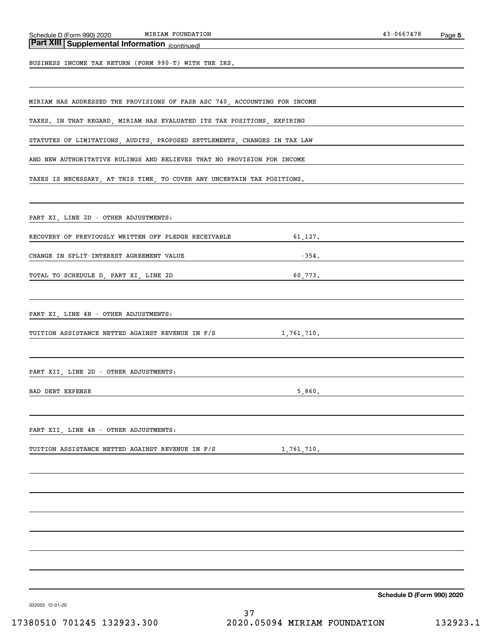*(continued)* **Part XIII Supplemental Information** 

BUSINESS INCOME TAX RETURN (FORM 990-T) WITH THE IRS.

MIRIAM HAS ADDRESSED THE PROVISIONS OF FASB ASC 740, ACCOUNTING FOR INCOME

TAXES. IN THAT REGARD, MIRIAM HAS EVALUATED ITS TAX POSITIONS, EXPIRING

STATUTES OF LIMITATIONS, AUDITS, PROPOSED SETTLEMENTS, CHANGES IN TAX LAW

AND NEW AUTHORITATIVE RULINGS AND BELIEVES THAT NO PROVISION FOR INCOME

TAXES IS NECESSARY, AT THIS TIME, TO COVER ANY UNCERTAIN TAX POSITIONS.

PART XI, LINE 2D - OTHER ADJUSTMENTS:

RECOVERY OF PREVIOUSLY WRITTEN OFF PLEDGE RECEIVABLE 61,127.

CHANGE IN SPLIT-INTEREST AGREEMENT VALUE  $-354$ .

TOTAL TO SCHEDULE D, PART XI, LINE 2D 60,773.

PART XI, LINE 4B - OTHER ADJUSTMENTS:

TUITION ASSISTANCE NETTED AGAINST REVENUE IN F/S 1,761,710.

PART XII, LINE 2D - OTHER ADJUSTMENTS:

BAD DEBT EXPENSE 5,860.

PART XII, LINE 4B - OTHER ADJUSTMENTS:

TUITION ASSISTANCE NETTED AGAINST REVENUE IN F/S  $1,761,710$ .

**Schedule D (Form 990) 2020**

032055 12-01-20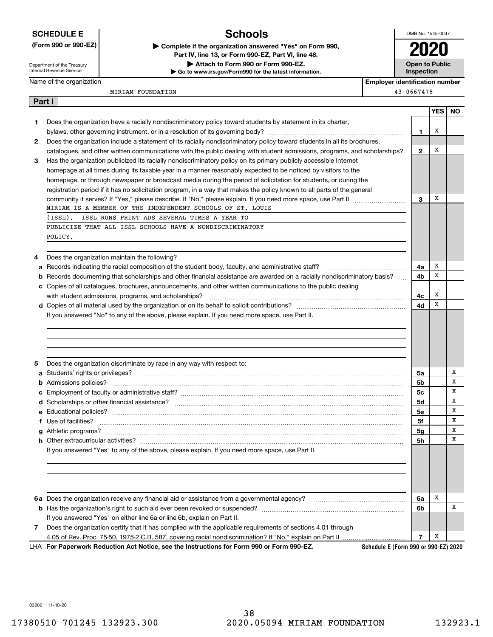|  |  |  | <b>SCHEDULE E</b> |  |
|--|--|--|-------------------|--|
|  |  |  |                   |  |

Name of the organization

# **Schools**

OMB No. 1545-0047

**2020**

| $\blacktriangleright$ Complete is |         |  |
|-----------------------------------|---------|--|
|                                   | Part IV |  |

Department of the Treasury Internal Revenue Service

**Part I**

**| Go to www.irs.gov/Form990 for the latest information. (Form 990 or 990-EZ) | Complete if the organization answered "Yes" on Form 990, Part IV, line 13, or Form 990-EZ, Part VI, line 48. | Attach to Form 990 or Form 990-EZ.**



MIRIAM FOUNDATION 43-0667478

|    |                                                                                                                           |              | YES   NO |   |
|----|---------------------------------------------------------------------------------------------------------------------------|--------------|----------|---|
| 1. | Does the organization have a racially nondiscriminatory policy toward students by statement in its charter,               |              |          |   |
|    |                                                                                                                           | 1            | х        |   |
| 2  | Does the organization include a statement of its racially nondiscriminatory policy toward students in all its brochures,  |              |          |   |
|    | catalogues, and other written communications with the public dealing with student admissions, programs, and scholarships? | $\mathbf{2}$ | х        |   |
| 3  | Has the organization publicized its racially nondiscriminatory policy on its primary publicly accessible Internet         |              |          |   |
|    | homepage at all times during its taxable year in a manner reasonably expected to be noticed by visitors to the            |              |          |   |
|    | homepage, or through newspaper or broadcast media during the period of solicitation for students, or during the           |              |          |   |
|    | registration period if it has no solicitation program, in a way that makes the policy known to all parts of the general   |              |          |   |
|    |                                                                                                                           | 3            | х        |   |
|    | MIRIAM IS A MEMBER OF THE INDEPENDENT SCHOOLS OF ST. LOUIS                                                                |              |          |   |
|    | ISSL RUNS PRINT ADS SEVERAL TIMES A YEAR TO<br>(ISSL).                                                                    |              |          |   |
|    | PUBLICIZE THAT ALL ISSL SCHOOLS HAVE A NONDISCRIMINATORY                                                                  |              |          |   |
|    | POLICY.                                                                                                                   |              |          |   |
|    |                                                                                                                           |              |          |   |
| 4  | Does the organization maintain the following?                                                                             |              |          |   |
| a  |                                                                                                                           | 4a           | х        |   |
| b  | Records documenting that scholarships and other financial assistance are awarded on a racially nondiscriminatory basis?   | 4b           | х        |   |
| с  | Copies of all catalogues, brochures, announcements, and other written communications to the public dealing                |              |          |   |
|    |                                                                                                                           | 4с           | х        |   |
|    |                                                                                                                           | 4d           | х        |   |
|    | If you answered "No" to any of the above, please explain. If you need more space, use Part II.                            |              |          |   |
|    |                                                                                                                           |              |          |   |
|    |                                                                                                                           |              |          |   |
|    |                                                                                                                           |              |          |   |
|    |                                                                                                                           |              |          |   |
| 5  | Does the organization discriminate by race in any way with respect to:                                                    |              |          |   |
|    |                                                                                                                           | 5a           |          | х |
| b  |                                                                                                                           | 5b           |          | х |
| с  |                                                                                                                           | 5c           |          | х |
| d  |                                                                                                                           | <b>5d</b>    |          | х |
|    |                                                                                                                           | 5e           |          | х |
| f  | Use of facilities?                                                                                                        | 5f           |          | х |
| g  |                                                                                                                           | 5g           |          | х |
|    |                                                                                                                           | 5h           |          | х |
|    | If you answered "Yes" to any of the above, please explain. If you need more space, use Part II.                           |              |          |   |
|    |                                                                                                                           |              |          |   |
|    |                                                                                                                           |              |          |   |
|    |                                                                                                                           |              |          |   |
|    |                                                                                                                           |              |          |   |
|    | 6a Does the organization receive any financial aid or assistance from a governmental agency?                              | 6a           | Х        |   |
|    |                                                                                                                           | 6b           |          | х |
|    |                                                                                                                           |              |          |   |
|    | If you answered "Yes" on either line 6a or line 6b, explain on Part II.                                                   |              |          |   |
| 7  | Does the organization certify that it has complied with the applicable requirements of sections 4.01 through              |              |          |   |

**For Paperwork Reduction Act Notice, see the Instructions for Form 990 or Form 990-EZ.** LHA

**Schedule E (Form 990 or 990-EZ) 2020**

032061 11-10-20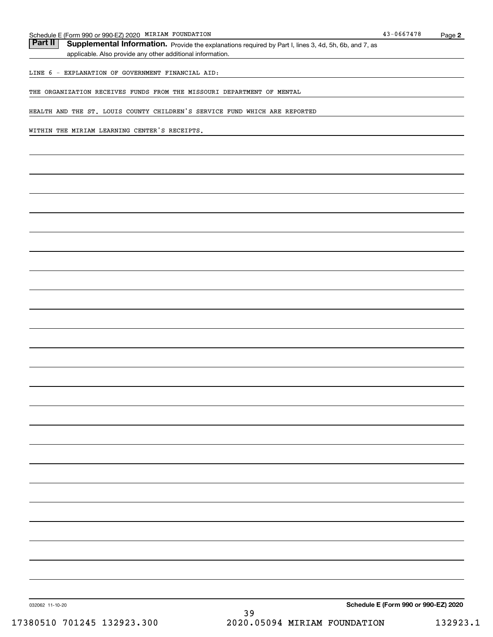Part II | Supplemental Information. Provide the explanations required by Part I, lines 3, 4d, 5h, 6b, and 7, as

applicable. Also provide any other additional information.

LINE 6 - EXPLANATION OF GOVERNMENT FINANCIAL AID:

THE ORGANIZATION RECEIVES FUNDS FROM THE MISSOURI DEPARTMENT OF MENTAL

HEALTH AND THE ST. LOUIS COUNTY CHILDREN'S SERVICE FUND WHICH ARE REPORTED

WITHIN THE MIRIAM LEARNING CENTER'S RECEIPTS.

**Schedule E (Form 990 or 990-EZ) 2020**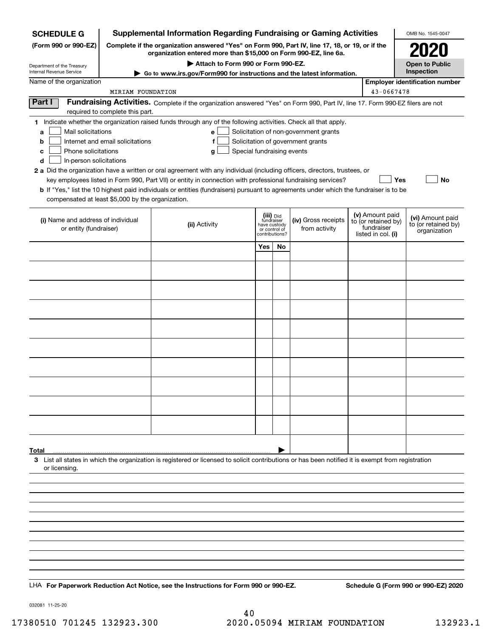| <b>SCHEDULE G</b>                                            |                                                                                                                                                                     | <b>Supplemental Information Regarding Fundraising or Gaming Activities</b>                                                                                                                                                                                  |                                                  |    |                                       |  |                                   | OMB No. 1545-0047                       |  |
|--------------------------------------------------------------|---------------------------------------------------------------------------------------------------------------------------------------------------------------------|-------------------------------------------------------------------------------------------------------------------------------------------------------------------------------------------------------------------------------------------------------------|--------------------------------------------------|----|---------------------------------------|--|-----------------------------------|-----------------------------------------|--|
| (Form 990 or 990-EZ)                                         | Complete if the organization answered "Yes" on Form 990, Part IV, line 17, 18, or 19, or if the<br>organization entered more than \$15,000 on Form 990-EZ, line 6a. |                                                                                                                                                                                                                                                             |                                                  |    |                                       |  |                                   |                                         |  |
|                                                              |                                                                                                                                                                     | Attach to Form 990 or Form 990-EZ.                                                                                                                                                                                                                          |                                                  |    |                                       |  |                                   | 2020<br><b>Open to Public</b>           |  |
| Department of the Treasury<br>Internal Revenue Service       |                                                                                                                                                                     | Go to www.irs.gov/Form990 for instructions and the latest information.                                                                                                                                                                                      |                                                  |    |                                       |  |                                   | Inspection                              |  |
| Name of the organization                                     | MIRIAM FOUNDATION                                                                                                                                                   |                                                                                                                                                                                                                                                             |                                                  |    |                                       |  | 43-0667478                        | <b>Employer identification number</b>   |  |
| Part I                                                       |                                                                                                                                                                     | Fundraising Activities. Complete if the organization answered "Yes" on Form 990, Part IV, line 17. Form 990-EZ filers are not                                                                                                                               |                                                  |    |                                       |  |                                   |                                         |  |
|                                                              | required to complete this part.                                                                                                                                     |                                                                                                                                                                                                                                                             |                                                  |    |                                       |  |                                   |                                         |  |
| Mail solicitations<br>a                                      |                                                                                                                                                                     | 1 Indicate whether the organization raised funds through any of the following activities. Check all that apply.<br>e                                                                                                                                        |                                                  |    | Solicitation of non-government grants |  |                                   |                                         |  |
| b                                                            | Internet and email solicitations                                                                                                                                    |                                                                                                                                                                                                                                                             |                                                  |    | Solicitation of government grants     |  |                                   |                                         |  |
| Phone solicitations<br>c                                     |                                                                                                                                                                     | Special fundraising events<br>a                                                                                                                                                                                                                             |                                                  |    |                                       |  |                                   |                                         |  |
| In-person solicitations<br>d                                 |                                                                                                                                                                     |                                                                                                                                                                                                                                                             |                                                  |    |                                       |  |                                   |                                         |  |
|                                                              |                                                                                                                                                                     | 2 a Did the organization have a written or oral agreement with any individual (including officers, directors, trustees, or                                                                                                                                  |                                                  |    |                                       |  |                                   |                                         |  |
|                                                              |                                                                                                                                                                     | key employees listed in Form 990, Part VII) or entity in connection with professional fundraising services?<br><b>b</b> If "Yes," list the 10 highest paid individuals or entities (fundraisers) pursuant to agreements under which the fundraiser is to be |                                                  |    |                                       |  | Yes                               | No                                      |  |
| compensated at least \$5,000 by the organization.            |                                                                                                                                                                     |                                                                                                                                                                                                                                                             |                                                  |    |                                       |  |                                   |                                         |  |
|                                                              |                                                                                                                                                                     |                                                                                                                                                                                                                                                             | (iii) Did<br>fundraiser                          |    |                                       |  | (v) Amount paid                   |                                         |  |
| (i) Name and address of individual<br>or entity (fundraiser) |                                                                                                                                                                     | (ii) Activity                                                                                                                                                                                                                                               | have custody                                     |    | (iv) Gross receipts                   |  | to (or retained by)<br>fundraiser | (vi) Amount paid<br>to (or retained by) |  |
|                                                              |                                                                                                                                                                     |                                                                                                                                                                                                                                                             | from activity<br>or control of<br>contributions? |    |                                       |  | listed in col. (i)                | organization                            |  |
|                                                              |                                                                                                                                                                     |                                                                                                                                                                                                                                                             | Yes                                              | No |                                       |  |                                   |                                         |  |
|                                                              |                                                                                                                                                                     |                                                                                                                                                                                                                                                             |                                                  |    |                                       |  |                                   |                                         |  |
|                                                              |                                                                                                                                                                     |                                                                                                                                                                                                                                                             |                                                  |    |                                       |  |                                   |                                         |  |
|                                                              |                                                                                                                                                                     |                                                                                                                                                                                                                                                             |                                                  |    |                                       |  |                                   |                                         |  |
|                                                              |                                                                                                                                                                     |                                                                                                                                                                                                                                                             |                                                  |    |                                       |  |                                   |                                         |  |
|                                                              |                                                                                                                                                                     |                                                                                                                                                                                                                                                             |                                                  |    |                                       |  |                                   |                                         |  |
|                                                              |                                                                                                                                                                     |                                                                                                                                                                                                                                                             |                                                  |    |                                       |  |                                   |                                         |  |
|                                                              |                                                                                                                                                                     |                                                                                                                                                                                                                                                             |                                                  |    |                                       |  |                                   |                                         |  |
|                                                              |                                                                                                                                                                     |                                                                                                                                                                                                                                                             |                                                  |    |                                       |  |                                   |                                         |  |
|                                                              |                                                                                                                                                                     |                                                                                                                                                                                                                                                             |                                                  |    |                                       |  |                                   |                                         |  |
|                                                              |                                                                                                                                                                     |                                                                                                                                                                                                                                                             |                                                  |    |                                       |  |                                   |                                         |  |
|                                                              |                                                                                                                                                                     |                                                                                                                                                                                                                                                             |                                                  |    |                                       |  |                                   |                                         |  |
|                                                              |                                                                                                                                                                     |                                                                                                                                                                                                                                                             |                                                  |    |                                       |  |                                   |                                         |  |
|                                                              |                                                                                                                                                                     |                                                                                                                                                                                                                                                             |                                                  |    |                                       |  |                                   |                                         |  |
| Total                                                        |                                                                                                                                                                     |                                                                                                                                                                                                                                                             |                                                  |    |                                       |  |                                   |                                         |  |
| or licensing.                                                |                                                                                                                                                                     | 3 List all states in which the organization is registered or licensed to solicit contributions or has been notified it is exempt from registration                                                                                                          |                                                  |    |                                       |  |                                   |                                         |  |
|                                                              |                                                                                                                                                                     |                                                                                                                                                                                                                                                             |                                                  |    |                                       |  |                                   |                                         |  |
|                                                              |                                                                                                                                                                     |                                                                                                                                                                                                                                                             |                                                  |    |                                       |  |                                   |                                         |  |
|                                                              |                                                                                                                                                                     |                                                                                                                                                                                                                                                             |                                                  |    |                                       |  |                                   |                                         |  |
|                                                              |                                                                                                                                                                     |                                                                                                                                                                                                                                                             |                                                  |    |                                       |  |                                   |                                         |  |
|                                                              |                                                                                                                                                                     |                                                                                                                                                                                                                                                             |                                                  |    |                                       |  |                                   |                                         |  |
|                                                              |                                                                                                                                                                     |                                                                                                                                                                                                                                                             |                                                  |    |                                       |  |                                   |                                         |  |
|                                                              |                                                                                                                                                                     |                                                                                                                                                                                                                                                             |                                                  |    |                                       |  |                                   |                                         |  |
|                                                              |                                                                                                                                                                     |                                                                                                                                                                                                                                                             |                                                  |    |                                       |  |                                   |                                         |  |
|                                                              |                                                                                                                                                                     | LHA For Paperwork Reduction Act Notice, see the Instructions for Form 990 or 990-EZ.                                                                                                                                                                        |                                                  |    |                                       |  |                                   | Schedule G (Form 990 or 990-EZ) 2020    |  |

032081 11-25-20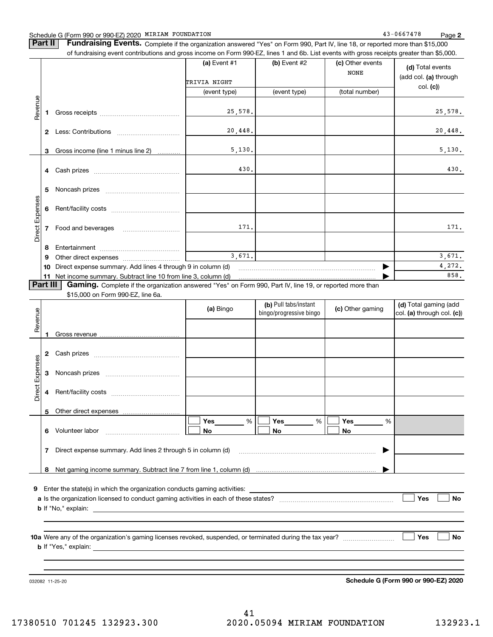#### Schedule G (Form 990 or 990-EZ) 2020 MIRIAM FOUNDATION 43-0667478 Page

**Part II** | Fundraising Events. Complete if the organization answered "Yes" on Form 990, Part IV, line 18, or reported more than \$15,000 of fundraising event contributions and gross income on Form 990-EZ, lines 1 and 6b. List events with gross receipts greater than \$5,000.

|                 |              |                                                                                                          | (a) Event $#1$ | (b) Event #2                                     | (c) Other events<br><b>NONE</b> | (d) Total events<br>(add col. (a) through           |
|-----------------|--------------|----------------------------------------------------------------------------------------------------------|----------------|--------------------------------------------------|---------------------------------|-----------------------------------------------------|
|                 |              |                                                                                                          | TRIVIA NIGHT   |                                                  |                                 | col. (c)                                            |
|                 |              |                                                                                                          | (event type)   | (event type)                                     | (total number)                  |                                                     |
| Revenue         |              |                                                                                                          | 25,578.        |                                                  |                                 | 25,578.                                             |
|                 | $\mathbf{2}$ |                                                                                                          | 20,448.        |                                                  |                                 | 20,448.                                             |
|                 | 3            | Gross income (line 1 minus line 2)                                                                       | 5,130.         |                                                  |                                 | 5,130.                                              |
|                 |              |                                                                                                          | 430.           |                                                  |                                 | 430.                                                |
|                 | 5            |                                                                                                          |                |                                                  |                                 |                                                     |
|                 | 6            |                                                                                                          |                |                                                  |                                 |                                                     |
| Direct Expenses | 7            | Food and beverages                                                                                       | 171.           |                                                  |                                 | 171.                                                |
|                 | 8            |                                                                                                          |                |                                                  |                                 |                                                     |
|                 | 9            |                                                                                                          | 3,671.         |                                                  |                                 | 3,671.                                              |
|                 | 10           | Direct expense summary. Add lines 4 through 9 in column (d)                                              |                |                                                  |                                 | 4,272.                                              |
|                 |              |                                                                                                          |                |                                                  |                                 | 858.                                                |
| <b>Part III</b> |              | Gaming. Complete if the organization answered "Yes" on Form 990, Part IV, line 19, or reported more than |                |                                                  |                                 |                                                     |
|                 |              | \$15,000 on Form 990-EZ, line 6a.                                                                        |                |                                                  |                                 |                                                     |
| venue           |              |                                                                                                          | (a) Bingo      | (b) Pull tabs/instant<br>bingo/progressive bingo | (c) Other gaming                | (d) Total gaming (add<br>col. (a) through col. (c)) |
|                 |              |                                                                                                          |                |                                                  |                                 |                                                     |

|                 |                                                                       |  |  | (a) Bingo                             |  | bingo/progressive bingo |  | (c) Other gaming                         | $\frac{1}{2}$<br>col. (a) through col. (c)) |           |
|-----------------|-----------------------------------------------------------------------|--|--|---------------------------------------|--|-------------------------|--|------------------------------------------|---------------------------------------------|-----------|
| Revenue         |                                                                       |  |  |                                       |  |                         |  |                                          |                                             |           |
|                 | $\mathbf{2}$                                                          |  |  |                                       |  |                         |  |                                          |                                             |           |
|                 | з                                                                     |  |  |                                       |  |                         |  |                                          |                                             |           |
| Direct Expenses | 4                                                                     |  |  |                                       |  |                         |  |                                          |                                             |           |
|                 | 5                                                                     |  |  |                                       |  |                         |  |                                          |                                             |           |
|                 | 6                                                                     |  |  | Yes $\qquad \qquad$<br>%<br><b>No</b> |  | %<br><b>No</b>          |  | $Yes$ <sub>_____</sub><br>%<br><b>No</b> |                                             |           |
|                 | Direct expense summary. Add lines 2 through 5 in column (d)<br>7<br>▶ |  |  |                                       |  |                         |  |                                          |                                             |           |
|                 | 8                                                                     |  |  |                                       |  |                         |  |                                          |                                             |           |
| 9               |                                                                       |  |  |                                       |  |                         |  |                                          | Yes                                         | <b>No</b> |
|                 |                                                                       |  |  |                                       |  |                         |  |                                          |                                             |           |
|                 |                                                                       |  |  |                                       |  |                         |  |                                          | Yes                                         | <b>No</b> |
|                 |                                                                       |  |  |                                       |  |                         |  |                                          |                                             |           |

032082 11-25-20

**Schedule G (Form 990 or 990-EZ) 2020**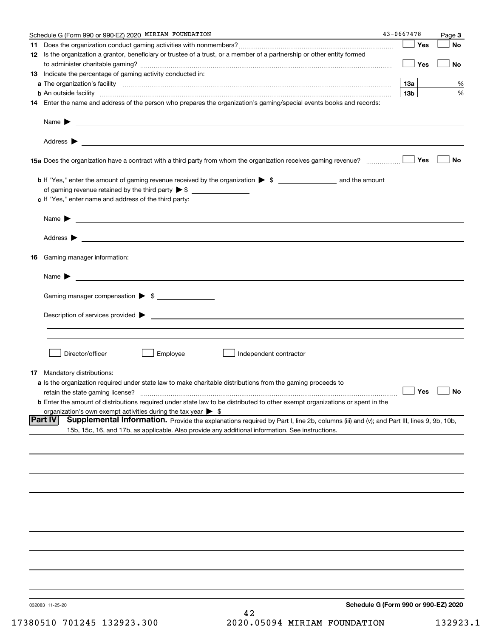| Schedule G (Form 990 or 990-EZ) 2020 MIRIAM FOUNDATION                                                                                                                                                                                    | 43-0667478                           | Page 3               |
|-------------------------------------------------------------------------------------------------------------------------------------------------------------------------------------------------------------------------------------------|--------------------------------------|----------------------|
|                                                                                                                                                                                                                                           | Yes                                  | No                   |
| 12 Is the organization a grantor, beneficiary or trustee of a trust, or a member of a partnership or other entity formed                                                                                                                  |                                      |                      |
|                                                                                                                                                                                                                                           | Yes                                  | No                   |
| 13 Indicate the percentage of gaming activity conducted in:                                                                                                                                                                               |                                      |                      |
|                                                                                                                                                                                                                                           | 1За                                  | %                    |
| <b>b</b> An outside facility <b>contained an according to the contract of the contract of the contract of the contract of the contract of the contract of the contract of the contract of the contract of the contract of the contrac</b> | 13 <sub>b</sub>                      | %                    |
| 14 Enter the name and address of the person who prepares the organization's gaming/special events books and records:                                                                                                                      |                                      |                      |
|                                                                                                                                                                                                                                           |                                      |                      |
|                                                                                                                                                                                                                                           |                                      |                      |
| 15a Does the organization have a contract with a third party from whom the organization receives gaming revenue?                                                                                                                          | Yes                                  | No                   |
|                                                                                                                                                                                                                                           |                                      |                      |
| of gaming revenue retained by the third party $\triangleright$ \$                                                                                                                                                                         |                                      |                      |
| c If "Yes," enter name and address of the third party:                                                                                                                                                                                    |                                      |                      |
| Name $\blacktriangleright$ $\bot$                                                                                                                                                                                                         |                                      |                      |
| Address $\blacktriangleright$                                                                                                                                                                                                             |                                      |                      |
|                                                                                                                                                                                                                                           |                                      |                      |
| 16 Gaming manager information:                                                                                                                                                                                                            |                                      |                      |
| $Name \rightarrow$                                                                                                                                                                                                                        |                                      |                      |
| Gaming manager compensation > \$                                                                                                                                                                                                          |                                      |                      |
|                                                                                                                                                                                                                                           |                                      |                      |
|                                                                                                                                                                                                                                           |                                      |                      |
|                                                                                                                                                                                                                                           |                                      |                      |
| Director/officer<br>Employee<br>Independent contractor                                                                                                                                                                                    |                                      |                      |
|                                                                                                                                                                                                                                           |                                      |                      |
| 17 Mandatory distributions:                                                                                                                                                                                                               |                                      |                      |
| a Is the organization required under state law to make charitable distributions from the gaming proceeds to                                                                                                                               |                                      | $\Box$ Yes $\Box$ No |
| retain the state gaming license?                                                                                                                                                                                                          |                                      |                      |
| <b>b</b> Enter the amount of distributions required under state law to be distributed to other exempt organizations or spent in the                                                                                                       |                                      |                      |
| organization's own exempt activities during the tax year $\triangleright$ \$<br><b>Part IV</b><br>Supplemental Information. Provide the explanations required by Part I, line 2b, columns (iii) and (v); and Part III, lines 9, 9b, 10b,  |                                      |                      |
| 15b, 15c, 16, and 17b, as applicable. Also provide any additional information. See instructions.                                                                                                                                          |                                      |                      |
|                                                                                                                                                                                                                                           |                                      |                      |
|                                                                                                                                                                                                                                           |                                      |                      |
|                                                                                                                                                                                                                                           |                                      |                      |
|                                                                                                                                                                                                                                           |                                      |                      |
|                                                                                                                                                                                                                                           |                                      |                      |
|                                                                                                                                                                                                                                           |                                      |                      |
|                                                                                                                                                                                                                                           |                                      |                      |
|                                                                                                                                                                                                                                           |                                      |                      |
|                                                                                                                                                                                                                                           |                                      |                      |
|                                                                                                                                                                                                                                           |                                      |                      |
| 032083 11-25-20                                                                                                                                                                                                                           | Schedule G (Form 990 or 990-EZ) 2020 |                      |
| 42                                                                                                                                                                                                                                        |                                      |                      |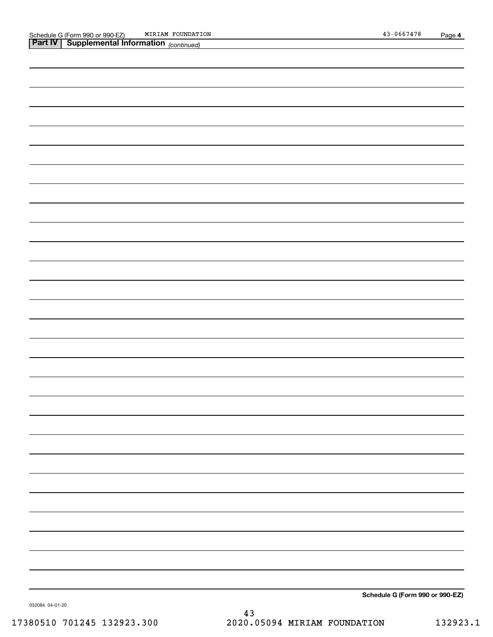**Schedule G (Form 990 or 990-EZ)**

032084 04-01-20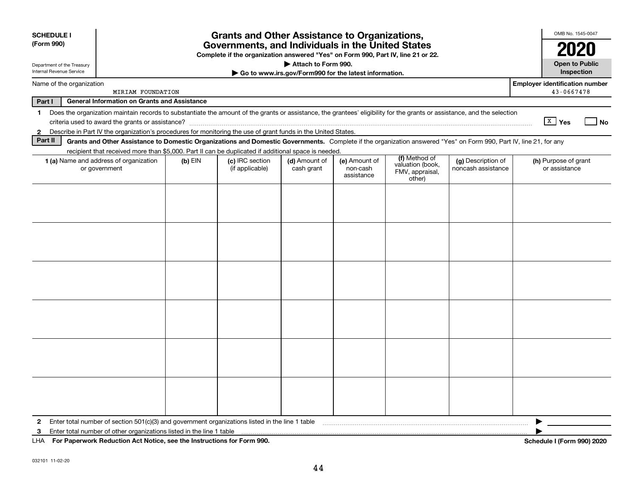| <b>SCHEDULE I</b><br>(Form 990)                        |                                                                                                                                                                          | <b>Grants and Other Assistance to Organizations,</b><br>Governments, and Individuals in the United States<br>Complete if the organization answered "Yes" on Form 990, Part IV, line 21 or 22. |                                    |                                                                              |                                         |                                               |                                          |                                                     |  |  |
|--------------------------------------------------------|--------------------------------------------------------------------------------------------------------------------------------------------------------------------------|-----------------------------------------------------------------------------------------------------------------------------------------------------------------------------------------------|------------------------------------|------------------------------------------------------------------------------|-----------------------------------------|-----------------------------------------------|------------------------------------------|-----------------------------------------------------|--|--|
| Department of the Treasury<br>Internal Revenue Service |                                                                                                                                                                          |                                                                                                                                                                                               |                                    | Attach to Form 990.<br>Go to www.irs.gov/Form990 for the latest information. |                                         |                                               |                                          | <b>Open to Public</b><br>Inspection                 |  |  |
| Name of the organization                               | MIRIAM FOUNDATION                                                                                                                                                        |                                                                                                                                                                                               |                                    |                                                                              |                                         |                                               |                                          | <b>Employer identification number</b><br>43-0667478 |  |  |
| Part I                                                 | <b>General Information on Grants and Assistance</b>                                                                                                                      |                                                                                                                                                                                               |                                    |                                                                              |                                         |                                               |                                          |                                                     |  |  |
| 1.                                                     | Does the organization maintain records to substantiate the amount of the grants or assistance, the grantees' eligibility for the grants or assistance, and the selection |                                                                                                                                                                                               |                                    |                                                                              |                                         |                                               |                                          | $\sqrt{\frac{X}{X}}$ Yes<br>No                      |  |  |
| $\mathbf{2}$                                           | Describe in Part IV the organization's procedures for monitoring the use of grant funds in the United States.                                                            |                                                                                                                                                                                               |                                    |                                                                              |                                         |                                               |                                          |                                                     |  |  |
| Part II                                                | Grants and Other Assistance to Domestic Organizations and Domestic Governments. Complete if the organization answered "Yes" on Form 990, Part IV, line 21, for any       |                                                                                                                                                                                               |                                    |                                                                              |                                         |                                               |                                          |                                                     |  |  |
|                                                        | recipient that received more than \$5,000. Part II can be duplicated if additional space is needed.                                                                      |                                                                                                                                                                                               |                                    |                                                                              |                                         | (f) Method of                                 |                                          |                                                     |  |  |
|                                                        | 1 (a) Name and address of organization<br>or government                                                                                                                  | $(b)$ EIN                                                                                                                                                                                     | (c) IRC section<br>(if applicable) | (d) Amount of<br>cash grant                                                  | (e) Amount of<br>non-cash<br>assistance | valuation (book,<br>FMV, appraisal,<br>other) | (g) Description of<br>noncash assistance | (h) Purpose of grant<br>or assistance               |  |  |
|                                                        |                                                                                                                                                                          |                                                                                                                                                                                               |                                    |                                                                              |                                         |                                               |                                          |                                                     |  |  |
|                                                        |                                                                                                                                                                          |                                                                                                                                                                                               |                                    |                                                                              |                                         |                                               |                                          |                                                     |  |  |
|                                                        |                                                                                                                                                                          |                                                                                                                                                                                               |                                    |                                                                              |                                         |                                               |                                          |                                                     |  |  |
|                                                        |                                                                                                                                                                          |                                                                                                                                                                                               |                                    |                                                                              |                                         |                                               |                                          |                                                     |  |  |
|                                                        |                                                                                                                                                                          |                                                                                                                                                                                               |                                    |                                                                              |                                         |                                               |                                          |                                                     |  |  |
|                                                        |                                                                                                                                                                          |                                                                                                                                                                                               |                                    |                                                                              |                                         |                                               |                                          |                                                     |  |  |
|                                                        |                                                                                                                                                                          |                                                                                                                                                                                               |                                    |                                                                              |                                         |                                               |                                          |                                                     |  |  |
|                                                        |                                                                                                                                                                          |                                                                                                                                                                                               |                                    |                                                                              |                                         |                                               |                                          |                                                     |  |  |
| 2                                                      | Enter total number of section 501(c)(3) and government organizations listed in the line 1 table                                                                          |                                                                                                                                                                                               |                                    |                                                                              |                                         |                                               |                                          |                                                     |  |  |
| 3                                                      | Enter total number of other organizations listed in the line 1 table                                                                                                     |                                                                                                                                                                                               |                                    |                                                                              |                                         |                                               |                                          |                                                     |  |  |
| LHA                                                    | For Paperwork Reduction Act Notice, see the Instructions for Form 990.                                                                                                   |                                                                                                                                                                                               |                                    |                                                                              |                                         |                                               |                                          | Schedule I (Form 990) 2020                          |  |  |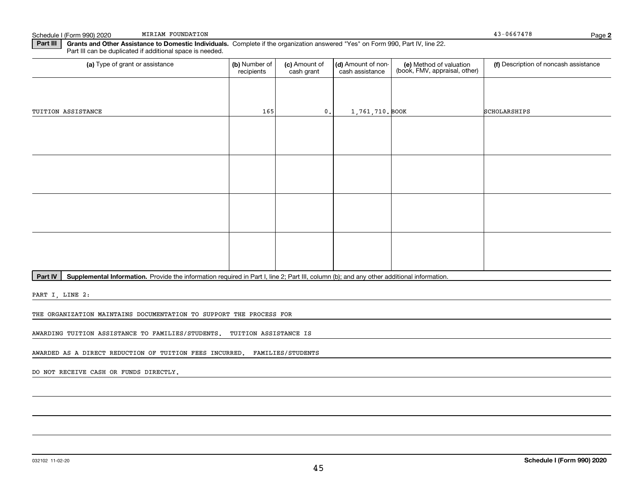Schedule I (Form 990) 2020 MIRIAM FOUNDATION ALL 2006 PAGE 2012 12:00 MIRIAM POUNDATION MIRIAM FOUNDATION

**2**

**Part III | Grants and Other Assistance to Domestic Individuals. Complete if the organization answered "Yes" on Form 990, Part IV, line 22.** Part III can be duplicated if additional space is needed.

| (a) Type of grant or assistance | (b) Number of<br>recipients | (c) Amount of<br>cash grant | (d) Amount of non-<br>cash assistance | (e) Method of valuation<br>(book, FMV, appraisal, other) | (f) Description of noncash assistance |
|---------------------------------|-----------------------------|-----------------------------|---------------------------------------|----------------------------------------------------------|---------------------------------------|
|                                 |                             |                             |                                       |                                                          |                                       |
| TUITION ASSISTANCE              | 165                         | 0.                          | 1,761,710. BOOK                       |                                                          | SCHOLARSHIPS                          |
|                                 |                             |                             |                                       |                                                          |                                       |
|                                 |                             |                             |                                       |                                                          |                                       |
|                                 |                             |                             |                                       |                                                          |                                       |
|                                 |                             |                             |                                       |                                                          |                                       |
|                                 |                             |                             |                                       |                                                          |                                       |
|                                 |                             |                             |                                       |                                                          |                                       |
|                                 |                             |                             |                                       |                                                          |                                       |
|                                 |                             |                             |                                       |                                                          |                                       |

Part IV | Supplemental Information. Provide the information required in Part I, line 2; Part III, column (b); and any other additional information.

PART I, LINE 2:

THE ORGANIZATION MAINTAINS DOCUMENTATION TO SUPPORT THE PROCESS FOR

AWARDING TUITION ASSISTANCE TO FAMILIES/STUDENTS. TUITION ASSISTANCE IS

AWARDED AS A DIRECT REDUCTION OF TUITION FEES INCURRED. FAMILIES/STUDENTS

DO NOT RECEIVE CASH OR FUNDS DIRECTLY.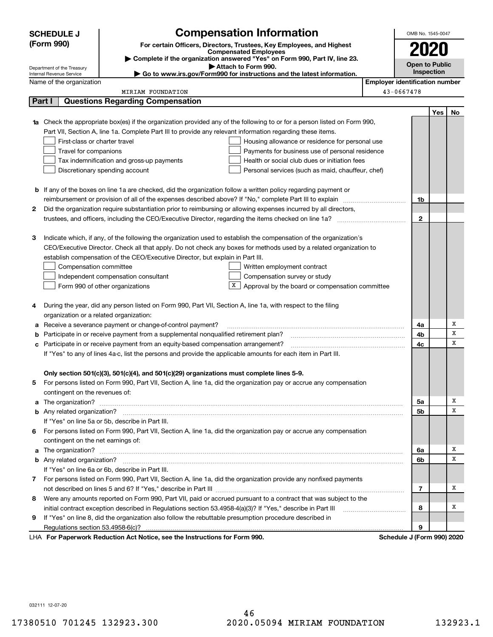|   | <b>SCHEDULE J</b>                                      | <b>Compensation Information</b>                                                                                                                                                                                                      |                                       | OMB No. 1545-0047          |     |    |
|---|--------------------------------------------------------|--------------------------------------------------------------------------------------------------------------------------------------------------------------------------------------------------------------------------------------|---------------------------------------|----------------------------|-----|----|
|   | (Form 990)                                             | For certain Officers, Directors, Trustees, Key Employees, and Highest                                                                                                                                                                |                                       |                            |     |    |
|   |                                                        | <b>Compensated Employees</b>                                                                                                                                                                                                         |                                       | 2020                       |     |    |
|   |                                                        | Complete if the organization answered "Yes" on Form 990, Part IV, line 23.<br>Attach to Form 990.                                                                                                                                    |                                       | <b>Open to Public</b>      |     |    |
|   | Department of the Treasury<br>Internal Revenue Service | Go to www.irs.gov/Form990 for instructions and the latest information.                                                                                                                                                               |                                       | Inspection                 |     |    |
|   | Name of the organization                               |                                                                                                                                                                                                                                      | <b>Employer identification number</b> |                            |     |    |
|   |                                                        | MIRIAM FOUNDATION                                                                                                                                                                                                                    |                                       | 43-0667478                 |     |    |
|   | Part I                                                 | <b>Questions Regarding Compensation</b>                                                                                                                                                                                              |                                       |                            |     |    |
|   |                                                        |                                                                                                                                                                                                                                      |                                       |                            | Yes | No |
|   |                                                        | Check the appropriate box(es) if the organization provided any of the following to or for a person listed on Form 990,                                                                                                               |                                       |                            |     |    |
|   |                                                        | Part VII, Section A, line 1a. Complete Part III to provide any relevant information regarding these items.                                                                                                                           |                                       |                            |     |    |
|   | First-class or charter travel                          | Housing allowance or residence for personal use                                                                                                                                                                                      |                                       |                            |     |    |
|   | Travel for companions                                  | Payments for business use of personal residence                                                                                                                                                                                      |                                       |                            |     |    |
|   |                                                        | Health or social club dues or initiation fees<br>Tax indemnification and gross-up payments                                                                                                                                           |                                       |                            |     |    |
|   |                                                        | Discretionary spending account<br>Personal services (such as maid, chauffeur, chef)                                                                                                                                                  |                                       |                            |     |    |
|   |                                                        |                                                                                                                                                                                                                                      |                                       |                            |     |    |
|   |                                                        | <b>b</b> If any of the boxes on line 1a are checked, did the organization follow a written policy regarding payment or                                                                                                               |                                       |                            |     |    |
|   |                                                        |                                                                                                                                                                                                                                      |                                       | 1b                         |     |    |
| 2 |                                                        | Did the organization require substantiation prior to reimbursing or allowing expenses incurred by all directors,                                                                                                                     |                                       |                            |     |    |
|   |                                                        |                                                                                                                                                                                                                                      |                                       | $\mathbf{2}$               |     |    |
|   |                                                        |                                                                                                                                                                                                                                      |                                       |                            |     |    |
| З |                                                        | Indicate which, if any, of the following the organization used to establish the compensation of the organization's                                                                                                                   |                                       |                            |     |    |
|   |                                                        | CEO/Executive Director. Check all that apply. Do not check any boxes for methods used by a related organization to                                                                                                                   |                                       |                            |     |    |
|   |                                                        | establish compensation of the CEO/Executive Director, but explain in Part III.                                                                                                                                                       |                                       |                            |     |    |
|   | Compensation committee                                 | Written employment contract                                                                                                                                                                                                          |                                       |                            |     |    |
|   |                                                        | Compensation survey or study<br>Independent compensation consultant                                                                                                                                                                  |                                       |                            |     |    |
|   |                                                        | Form 990 of other organizations<br>Approval by the board or compensation committee                                                                                                                                                   |                                       |                            |     |    |
|   |                                                        |                                                                                                                                                                                                                                      |                                       |                            |     |    |
| 4 |                                                        | During the year, did any person listed on Form 990, Part VII, Section A, line 1a, with respect to the filing                                                                                                                         |                                       |                            |     |    |
|   | organization or a related organization:                |                                                                                                                                                                                                                                      |                                       |                            |     |    |
| а |                                                        | Receive a severance payment or change-of-control payment?                                                                                                                                                                            |                                       | 4a                         |     | х  |
|   |                                                        | Participate in or receive payment from a supplemental nonqualified retirement plan?                                                                                                                                                  |                                       | 4b                         |     | X  |
|   |                                                        | Participate in or receive payment from an equity-based compensation arrangement?                                                                                                                                                     |                                       | 4c                         |     | х  |
|   |                                                        | If "Yes" to any of lines 4a-c, list the persons and provide the applicable amounts for each item in Part III.                                                                                                                        |                                       |                            |     |    |
|   |                                                        |                                                                                                                                                                                                                                      |                                       |                            |     |    |
|   |                                                        | Only section 501(c)(3), 501(c)(4), and 501(c)(29) organizations must complete lines 5-9.                                                                                                                                             |                                       |                            |     |    |
|   |                                                        | For persons listed on Form 990, Part VII, Section A, line 1a, did the organization pay or accrue any compensation                                                                                                                    |                                       |                            |     |    |
|   | contingent on the revenues of:                         |                                                                                                                                                                                                                                      |                                       |                            |     |    |
| a |                                                        |                                                                                                                                                                                                                                      |                                       | 5a                         |     | х  |
|   |                                                        |                                                                                                                                                                                                                                      |                                       | 5b                         |     | х  |
|   |                                                        | If "Yes" on line 5a or 5b, describe in Part III.                                                                                                                                                                                     |                                       |                            |     |    |
|   |                                                        | 6 For persons listed on Form 990, Part VII, Section A, line 1a, did the organization pay or accrue any compensation                                                                                                                  |                                       |                            |     |    |
|   | contingent on the net earnings of:                     |                                                                                                                                                                                                                                      |                                       |                            |     |    |
| a |                                                        | The organization? <b>With the contract of the contract of the contract of the contract of the contract of the contract of the contract of the contract of the contract of the contract of the contract of the contract of the co</b> |                                       | 6a                         |     | Χ  |
|   |                                                        |                                                                                                                                                                                                                                      |                                       | 6b                         |     | X  |
|   |                                                        | If "Yes" on line 6a or 6b, describe in Part III.                                                                                                                                                                                     |                                       |                            |     |    |
|   |                                                        | 7 For persons listed on Form 990, Part VII, Section A, line 1a, did the organization provide any nonfixed payments                                                                                                                   |                                       |                            |     |    |
|   |                                                        |                                                                                                                                                                                                                                      |                                       | 7                          |     | х  |
| 8 |                                                        | Were any amounts reported on Form 990, Part VII, paid or accrued pursuant to a contract that was subject to the                                                                                                                      |                                       |                            |     |    |
|   |                                                        | initial contract exception described in Regulations section 53.4958-4(a)(3)? If "Yes," describe in Part III                                                                                                                          |                                       | 8                          |     | х  |
| 9 |                                                        | If "Yes" on line 8, did the organization also follow the rebuttable presumption procedure described in                                                                                                                               |                                       |                            |     |    |
|   |                                                        |                                                                                                                                                                                                                                      |                                       | 9                          |     |    |
|   |                                                        | LHA For Paperwork Reduction Act Notice, see the Instructions for Form 990.                                                                                                                                                           |                                       | Schedule J (Form 990) 2020 |     |    |

032111 12-07-20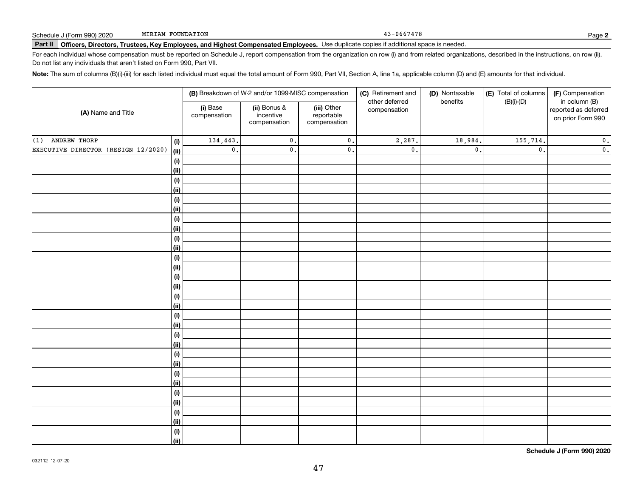43-0667478

# **Part II Officers, Directors, Trustees, Key Employees, and Highest Compensated Employees.**  Schedule J (Form 990) 2020 Page Use duplicate copies if additional space is needed.

For each individual whose compensation must be reported on Schedule J, report compensation from the organization on row (i) and from related organizations, described in the instructions, on row (ii). Do not list any individuals that aren't listed on Form 990, Part VII.

**Note:**  The sum of columns (B)(i)-(iii) for each listed individual must equal the total amount of Form 990, Part VII, Section A, line 1a, applicable column (D) and (E) amounts for that individual.

|                                                    |                          | (B) Breakdown of W-2 and/or 1099-MISC compensation |                                           | (C) Retirement and<br>other deferred | (D) Nontaxable<br>benefits | (E) Total of columns<br>$(B)(i)-(D)$ | (F) Compensation<br>in column (B) |  |
|----------------------------------------------------|--------------------------|----------------------------------------------------|-------------------------------------------|--------------------------------------|----------------------------|--------------------------------------|-----------------------------------|--|
| (A) Name and Title                                 | (i) Base<br>compensation | (ii) Bonus &<br>incentive<br>compensation          | (iii) Other<br>reportable<br>compensation | compensation                         |                            |                                      |                                   |  |
| ANDREW THORP<br>(1)<br>(i)                         | 134,443.                 | $\mathfrak o$ .                                    | $\mathbf 0$ .                             | 2,287.                               | 18,984.                    | 155,714.                             | $\mathbf 0$ .                     |  |
| EXECUTIVE DIRECTOR (RESIGN 12/2020)<br><u>(ii)</u> | $\mathbf 0$ .            | $\mathsf{0}$ .                                     | $\mathsf{0}$ .                            | $\mathfrak o$ .                      | $\mathfrak o$ .            | $\mathfrak{o}$ .                     | $\overline{\mathbf{0}}$ .         |  |
| (i)                                                |                          |                                                    |                                           |                                      |                            |                                      |                                   |  |
| <u>(ii)</u>                                        |                          |                                                    |                                           |                                      |                            |                                      |                                   |  |
| $(\sf{i})$                                         |                          |                                                    |                                           |                                      |                            |                                      |                                   |  |
| <u>(ii)</u>                                        |                          |                                                    |                                           |                                      |                            |                                      |                                   |  |
| (i)                                                |                          |                                                    |                                           |                                      |                            |                                      |                                   |  |
| (ii)                                               |                          |                                                    |                                           |                                      |                            |                                      |                                   |  |
| $(\sf{i})$                                         |                          |                                                    |                                           |                                      |                            |                                      |                                   |  |
| (ii)                                               |                          |                                                    |                                           |                                      |                            |                                      |                                   |  |
| $(\sf{i})$<br>(ii)                                 |                          |                                                    |                                           |                                      |                            |                                      |                                   |  |
| $(\sf{i})$                                         |                          |                                                    |                                           |                                      |                            |                                      |                                   |  |
| <u>(ii)</u>                                        |                          |                                                    |                                           |                                      |                            |                                      |                                   |  |
| $(\sf{i})$                                         |                          |                                                    |                                           |                                      |                            |                                      |                                   |  |
| <u>(ii)</u>                                        |                          |                                                    |                                           |                                      |                            |                                      |                                   |  |
| $(\sf{i})$                                         |                          |                                                    |                                           |                                      |                            |                                      |                                   |  |
| <u>(ii)</u>                                        |                          |                                                    |                                           |                                      |                            |                                      |                                   |  |
| $(\sf{i})$                                         |                          |                                                    |                                           |                                      |                            |                                      |                                   |  |
| (ii)                                               |                          |                                                    |                                           |                                      |                            |                                      |                                   |  |
| (i)                                                |                          |                                                    |                                           |                                      |                            |                                      |                                   |  |
| (ii)                                               |                          |                                                    |                                           |                                      |                            |                                      |                                   |  |
| (i)                                                |                          |                                                    |                                           |                                      |                            |                                      |                                   |  |
| <u>(ii)</u><br>(i)                                 |                          |                                                    |                                           |                                      |                            |                                      |                                   |  |
| (ii)                                               |                          |                                                    |                                           |                                      |                            |                                      |                                   |  |
| $(\sf{i})$                                         |                          |                                                    |                                           |                                      |                            |                                      |                                   |  |
| (ii)                                               |                          |                                                    |                                           |                                      |                            |                                      |                                   |  |
| (i)                                                |                          |                                                    |                                           |                                      |                            |                                      |                                   |  |
| <u>(ii)</u>                                        |                          |                                                    |                                           |                                      |                            |                                      |                                   |  |
| (i)                                                |                          |                                                    |                                           |                                      |                            |                                      |                                   |  |
| $\overline{}}$                                     |                          |                                                    |                                           |                                      |                            |                                      |                                   |  |

**Schedule J (Form 990) 2020**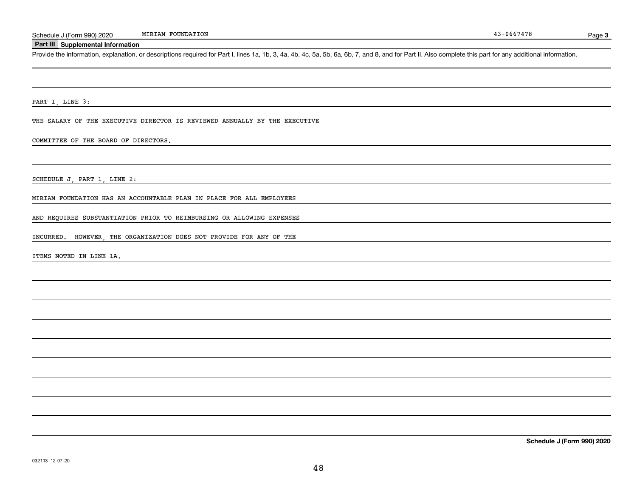#### **Part III Supplemental Information**

Schedule J (Form 990) 2020 MIRIAM FOUNDATION<br>Part III Supplemental Information<br>Provide the information, explanation, or descriptions required for Part I, lines 1a, 1b, 3, 4a, 4b, 4c, 5a, 5b, 6a, 6b, 7, and 8, and for Part

PART I, LINE 3:

THE SALARY OF THE EXECUTIVE DIRECTOR IS REVIEWED ANNUALLY BY THE EXECUTIVE

COMMITTEE OF THE BOARD OF DIRECTORS.

SCHEDULE J, PART 1, LINE 2:

MIRIAM FOUNDATION HAS AN ACCOUNTABLE PLAN IN PLACE FOR ALL EMPLOYEES

AND REQUIRES SUBSTANTIATION PRIOR TO REIMBURSING OR ALLOWING EXPENSES

INCURRED. HOWEVER, THE ORGANIZATION DOES NOT PROVIDE FOR ANY OF THE

ITEMS NOTED IN LINE 1A.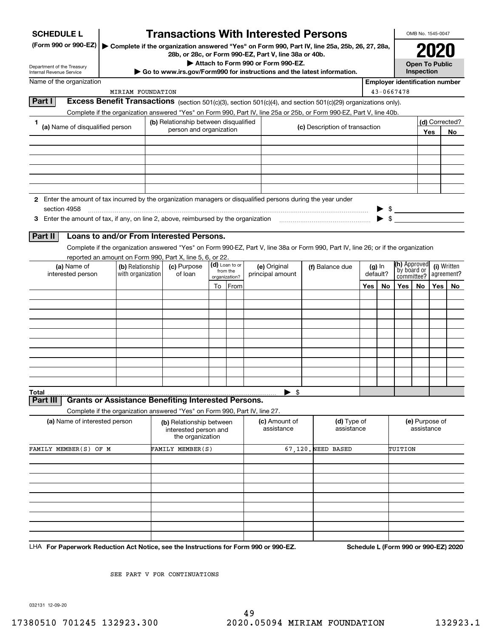| <b>SCHEDULE L</b>                                                                                             |                                                                                                                                    |                                                                 | <b>Transactions With Interested Persons</b>                                             |                            |                          |                                    |  |                                |     |                      |                                       | OMB No. 1545-0047                   |     |                           |
|---------------------------------------------------------------------------------------------------------------|------------------------------------------------------------------------------------------------------------------------------------|-----------------------------------------------------------------|-----------------------------------------------------------------------------------------|----------------------------|--------------------------|------------------------------------|--|--------------------------------|-----|----------------------|---------------------------------------|-------------------------------------|-----|---------------------------|
| (Form 990 or 990-EZ)                                                                                          | ▶ Complete if the organization answered "Yes" on Form 990, Part IV, line 25a, 25b, 26, 27, 28a,                                    |                                                                 |                                                                                         |                            |                          |                                    |  |                                |     |                      |                                       |                                     |     |                           |
|                                                                                                               |                                                                                                                                    |                                                                 | 28b, or 28c, or Form 990-EZ, Part V, line 38a or 40b.                                   |                            |                          | Attach to Form 990 or Form 990-EZ. |  |                                |     |                      |                                       |                                     |     |                           |
| Department of the Treasury<br>Internal Revenue Service                                                        |                                                                                                                                    |                                                                 | $\triangleright$ Go to www.irs.gov/Form990 for instructions and the latest information. |                            |                          |                                    |  |                                |     |                      |                                       | <b>Open To Public</b><br>Inspection |     |                           |
| Name of the organization                                                                                      |                                                                                                                                    |                                                                 |                                                                                         |                            |                          |                                    |  |                                |     |                      | <b>Employer identification number</b> |                                     |     |                           |
|                                                                                                               | MIRIAM FOUNDATION                                                                                                                  |                                                                 |                                                                                         |                            |                          |                                    |  |                                |     |                      | 43-0667478                            |                                     |     |                           |
| Part I                                                                                                        | <b>Excess Benefit Transactions</b> (section 501(c)(3), section 501(c)(4), and section 501(c)(29) organizations only).              |                                                                 |                                                                                         |                            |                          |                                    |  |                                |     |                      |                                       |                                     |     |                           |
|                                                                                                               | Complete if the organization answered "Yes" on Form 990, Part IV, line 25a or 25b, or Form 990-EZ, Part V, line 40b.               |                                                                 |                                                                                         |                            |                          |                                    |  |                                |     |                      |                                       |                                     |     |                           |
| 1.<br>(a) Name of disqualified person                                                                         |                                                                                                                                    |                                                                 | (b) Relationship between disqualified<br>person and organization                        |                            |                          |                                    |  | (c) Description of transaction |     |                      |                                       |                                     | Yes | (d) Corrected?<br>No      |
|                                                                                                               |                                                                                                                                    |                                                                 |                                                                                         |                            |                          |                                    |  |                                |     |                      |                                       |                                     |     |                           |
|                                                                                                               |                                                                                                                                    |                                                                 |                                                                                         |                            |                          |                                    |  |                                |     |                      |                                       |                                     |     |                           |
|                                                                                                               |                                                                                                                                    |                                                                 |                                                                                         |                            |                          |                                    |  |                                |     |                      |                                       |                                     |     |                           |
|                                                                                                               |                                                                                                                                    |                                                                 |                                                                                         |                            |                          |                                    |  |                                |     |                      |                                       |                                     |     |                           |
|                                                                                                               |                                                                                                                                    |                                                                 |                                                                                         |                            |                          |                                    |  |                                |     |                      |                                       |                                     |     |                           |
| 2 Enter the amount of tax incurred by the organization managers or disqualified persons during the year under |                                                                                                                                    |                                                                 |                                                                                         |                            |                          |                                    |  |                                |     |                      |                                       |                                     |     |                           |
| section 4958                                                                                                  |                                                                                                                                    |                                                                 |                                                                                         |                            |                          |                                    |  |                                |     |                      | $$\overbrace{\hspace{2.5cm}}$         |                                     |     |                           |
| 3 Enter the amount of tax, if any, on line 2, above, reimbursed by the organization                           |                                                                                                                                    |                                                                 |                                                                                         |                            |                          |                                    |  |                                |     |                      |                                       |                                     |     |                           |
| Part II                                                                                                       | Loans to and/or From Interested Persons.                                                                                           |                                                                 |                                                                                         |                            |                          |                                    |  |                                |     |                      |                                       |                                     |     |                           |
|                                                                                                               | Complete if the organization answered "Yes" on Form 990-EZ, Part V, line 38a or Form 990, Part IV, line 26; or if the organization |                                                                 |                                                                                         |                            |                          |                                    |  |                                |     |                      |                                       |                                     |     |                           |
|                                                                                                               | reported an amount on Form 990, Part X, line 5, 6, or 22.                                                                          |                                                                 |                                                                                         |                            |                          |                                    |  |                                |     |                      |                                       |                                     |     |                           |
| (a) Name of<br>interested person                                                                              |                                                                                                                                    | (c) Purpose<br>(b) Relationship<br>with organization<br>of loan |                                                                                         | (d) Loan to or<br>from the |                          | (e) Original<br>principal amount   |  | (f) Balance due                |     | $(g)$ In<br>default? |                                       | (h) Approved<br>by board or         |     | (i) Written<br>agreement? |
|                                                                                                               |                                                                                                                                    |                                                                 |                                                                                         |                            | organization?<br>To From |                                    |  |                                | Yes | No                   | committee?<br>Yes                     | No.                                 | Yes |                           |
|                                                                                                               |                                                                                                                                    |                                                                 |                                                                                         |                            |                          |                                    |  |                                |     |                      |                                       |                                     |     | No.                       |
|                                                                                                               |                                                                                                                                    |                                                                 |                                                                                         |                            |                          |                                    |  |                                |     |                      |                                       |                                     |     |                           |
|                                                                                                               |                                                                                                                                    |                                                                 |                                                                                         |                            |                          |                                    |  |                                |     |                      |                                       |                                     |     |                           |
|                                                                                                               |                                                                                                                                    |                                                                 |                                                                                         |                            |                          |                                    |  |                                |     |                      |                                       |                                     |     |                           |
|                                                                                                               |                                                                                                                                    |                                                                 |                                                                                         |                            |                          |                                    |  |                                |     |                      |                                       |                                     |     |                           |
|                                                                                                               |                                                                                                                                    |                                                                 |                                                                                         |                            |                          |                                    |  |                                |     |                      |                                       |                                     |     |                           |
|                                                                                                               |                                                                                                                                    |                                                                 |                                                                                         |                            |                          |                                    |  |                                |     |                      |                                       |                                     |     |                           |
|                                                                                                               |                                                                                                                                    |                                                                 |                                                                                         |                            |                          |                                    |  |                                |     |                      |                                       |                                     |     |                           |
|                                                                                                               |                                                                                                                                    |                                                                 |                                                                                         |                            |                          |                                    |  |                                |     |                      |                                       |                                     |     |                           |
| <b>Total</b><br>Part III                                                                                      | <b>Grants or Assistance Benefiting Interested Persons.</b>                                                                         |                                                                 |                                                                                         |                            |                          | $\blacktriangleright$ \$           |  |                                |     |                      |                                       |                                     |     |                           |
|                                                                                                               | Complete if the organization answered "Yes" on Form 990, Part IV, line 27.                                                         |                                                                 |                                                                                         |                            |                          |                                    |  |                                |     |                      |                                       |                                     |     |                           |
| (a) Name of interested person                                                                                 |                                                                                                                                    |                                                                 | (b) Relationship between<br>interested person and                                       |                            |                          | (c) Amount of<br>assistance        |  | (d) Type of<br>assistance      |     |                      |                                       | (e) Purpose of<br>assistance        |     |                           |
|                                                                                                               |                                                                                                                                    |                                                                 | the organization                                                                        |                            |                          |                                    |  |                                |     |                      |                                       |                                     |     |                           |
| FAMILY MEMBER(S) OF M                                                                                         |                                                                                                                                    | FAMILY MEMBER(S)                                                |                                                                                         | 67,120. NEED BASED         |                          | TUITION                            |  |                                |     |                      |                                       |                                     |     |                           |
|                                                                                                               |                                                                                                                                    |                                                                 |                                                                                         |                            |                          |                                    |  |                                |     |                      |                                       |                                     |     |                           |
|                                                                                                               |                                                                                                                                    |                                                                 |                                                                                         |                            |                          |                                    |  |                                |     |                      |                                       |                                     |     |                           |
|                                                                                                               |                                                                                                                                    |                                                                 |                                                                                         |                            |                          |                                    |  |                                |     |                      |                                       |                                     |     |                           |
|                                                                                                               |                                                                                                                                    |                                                                 |                                                                                         |                            |                          |                                    |  |                                |     |                      |                                       |                                     |     |                           |
|                                                                                                               |                                                                                                                                    |                                                                 |                                                                                         |                            |                          |                                    |  |                                |     |                      |                                       |                                     |     |                           |
|                                                                                                               |                                                                                                                                    |                                                                 |                                                                                         |                            |                          |                                    |  |                                |     |                      |                                       |                                     |     |                           |
|                                                                                                               |                                                                                                                                    |                                                                 |                                                                                         |                            |                          |                                    |  |                                |     |                      |                                       |                                     |     |                           |

LHA For Paperwork Reduction Act Notice, see the Instructions for Form 990 or 990-EZ. Schedule L (Form 990 or 990-EZ) 2020

SEE PART V FOR CONTINUATIONS

032131 12-09-20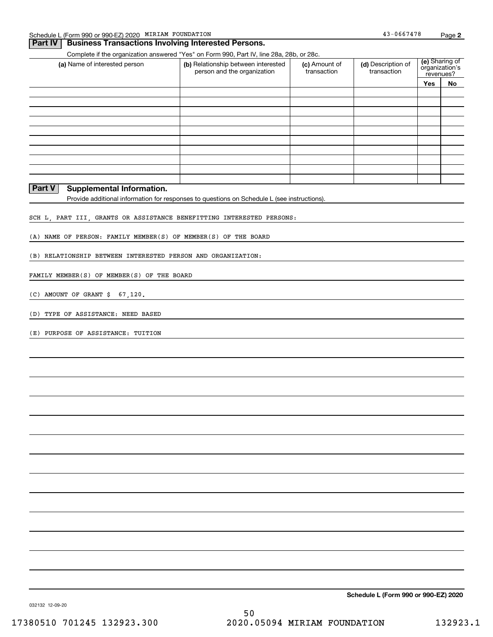#### **Part IV** Business Transactions Involving Interested Persons.

Complete if the organization answered "Yes" on Form 990, Part IV, line 28a, 28b, or 28c.

| (a) Name of interested person                     | (b) Relationship between interested<br>person and the organization | (c) Amount of<br>transaction | (d) Description of<br>transaction | <b>(e)</b> Sharing of<br>organization's<br>revenues? |    |  |
|---------------------------------------------------|--------------------------------------------------------------------|------------------------------|-----------------------------------|------------------------------------------------------|----|--|
|                                                   |                                                                    |                              |                                   | <b>Yes</b>                                           | No |  |
|                                                   |                                                                    |                              |                                   |                                                      |    |  |
|                                                   |                                                                    |                              |                                   |                                                      |    |  |
|                                                   |                                                                    |                              |                                   |                                                      |    |  |
|                                                   |                                                                    |                              |                                   |                                                      |    |  |
|                                                   |                                                                    |                              |                                   |                                                      |    |  |
|                                                   |                                                                    |                              |                                   |                                                      |    |  |
|                                                   |                                                                    |                              |                                   |                                                      |    |  |
|                                                   |                                                                    |                              |                                   |                                                      |    |  |
|                                                   |                                                                    |                              |                                   |                                                      |    |  |
|                                                   |                                                                    |                              |                                   |                                                      |    |  |
| <b>Part V</b><br><b>Supplemental Information.</b> |                                                                    |                              |                                   |                                                      |    |  |

Provide additional information for responses to questions on Schedule L (see instructions).

SCH L, PART III, GRANTS OR ASSISTANCE BENEFITTING INTERESTED PERSONS:

(A) NAME OF PERSON: FAMILY MEMBER(S) OF MEMBER(S) OF THE BOARD

(B) RELATIONSHIP BETWEEN INTERESTED PERSON AND ORGANIZATION:

FAMILY MEMBER(S) OF MEMBER(S) OF THE BOARD

(C) AMOUNT OF GRANT \$ 67,120.

(D) TYPE OF ASSISTANCE: NEED BASED

(E) PURPOSE OF ASSISTANCE: TUITION

**Schedule L (Form 990 or 990-EZ) 2020**

032132 12-09-20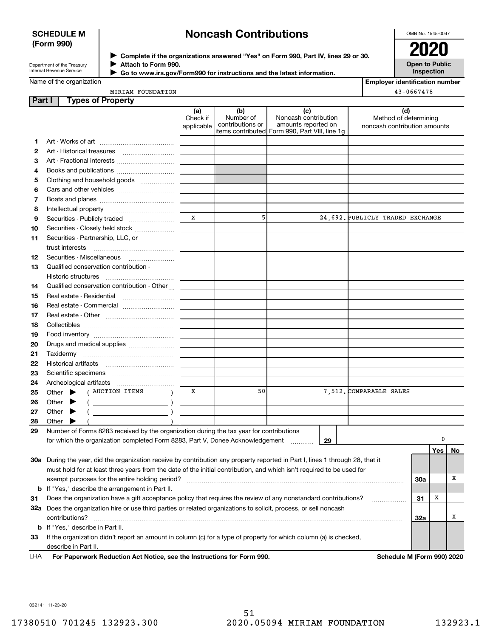#### **SCHEDULE M (Form 990)**

# **Noncash Contributions**

OMB No. 1545-0047

| Department of the Treasury      |  |
|---------------------------------|--|
| <b>Internal Revenue Service</b> |  |

Real estate - Residential

Real estate - Commercial ~~~~~~~~~Real estate - Other Collectibles ~~~~~~~~~~~~~~~~ Food inventory ~~~~~~~~~~~~~~ Drugs and medical supplies  $_{\ldots\ldots\ldots\ldots\ldots\ldots\ldots\ldots}$ Taxidermy ~~~~~~~~~~~~~~~~ Historical artifacts ~~~~~~~~~~~~ Scientific specimens ~~~~~~~~~~~ Archeological artifacts ~~~~~~~~~~

 $\Rightarrow$  (AUCTION ITEMS ) | X

Other  $\qquad \qquad (\qquad \qquad )$ Other  $\qquad \qquad (\qquad \qquad )$ 

**Complete if the organizations answered "Yes" on Form 990, Part IV, lines 29 or 30.** <sup>J</sup>**2020 Attach to Form 990.** J

 **Go to www.irs.gov/Form990 for instructions and the latest information.** J



Name of the organization

| MIRIAM FOUNDATIC |
|------------------|

**Employer identification number**

43-0667478

|    | MIRIAM FOUNDATION                                            |                               |                                      |                                                                                                        | 43-0667478                                                   |
|----|--------------------------------------------------------------|-------------------------------|--------------------------------------|--------------------------------------------------------------------------------------------------------|--------------------------------------------------------------|
|    | Part I<br><b>Types of Property</b>                           |                               |                                      |                                                                                                        |                                                              |
|    |                                                              | (a)<br>Check if<br>applicable | (b)<br>Number of<br>contributions or | (c)<br>Noncash contribution<br>amounts reported on<br>litems contributed  Form 990, Part VIII, line 1g | (d)<br>Method of determining<br>noncash contribution amounts |
|    |                                                              |                               |                                      |                                                                                                        |                                                              |
| 2  |                                                              |                               |                                      |                                                                                                        |                                                              |
| 3  |                                                              |                               |                                      |                                                                                                        |                                                              |
| 4  |                                                              |                               |                                      |                                                                                                        |                                                              |
| 5  | Clothing and household goods                                 |                               |                                      |                                                                                                        |                                                              |
| 6  |                                                              |                               |                                      |                                                                                                        |                                                              |
| 7  |                                                              |                               |                                      |                                                                                                        |                                                              |
| 8  |                                                              |                               |                                      |                                                                                                        |                                                              |
| 9  |                                                              | X                             | 5                                    |                                                                                                        | 24.692. PUBLICLY TRADED EXCHANGE                             |
| 10 | Securities - Closely held stock                              |                               |                                      |                                                                                                        |                                                              |
| 11 | Securities - Partnership, LLC, or<br>trust interests         |                               |                                      |                                                                                                        |                                                              |
| 12 | Securities - Miscellaneous                                   |                               |                                      |                                                                                                        |                                                              |
| 13 | Qualified conservation contribution -<br>Historic structures |                               |                                      |                                                                                                        |                                                              |
| 14 | Qualified conservation contribution - Other                  |                               |                                      |                                                                                                        |                                                              |

| 29<br>Number of Forms 8283 received by the organization during the tax year for contributions<br>for which the organization completed Form 8283, Part V, Donee Acknowledgement<br>29<br>During the year, did the organization receive by contribution any property reported in Part I, lines 1 through 28, that it<br>30a<br>must hold for at least three years from the date of the initial contribution, and which isn't required to be used for<br>exempt purposes for the entire holding period?<br>30a<br><b>b</b> If "Yes," describe the arrangement in Part II.<br>Does the organization have a gift acceptance policy that requires the review of any nonstandard contributions?<br>31<br>31<br>Does the organization hire or use third parties or related organizations to solicit, process, or sell noncash<br>32a<br>32a<br>contributions?<br>If "Yes," describe in Part II.<br>b<br>33<br>If the organization didn't report an amount in column (c) for a type of property for which column (a) is checked, |       |     |
|-------------------------------------------------------------------------------------------------------------------------------------------------------------------------------------------------------------------------------------------------------------------------------------------------------------------------------------------------------------------------------------------------------------------------------------------------------------------------------------------------------------------------------------------------------------------------------------------------------------------------------------------------------------------------------------------------------------------------------------------------------------------------------------------------------------------------------------------------------------------------------------------------------------------------------------------------------------------------------------------------------------------------|-------|-----|
|                                                                                                                                                                                                                                                                                                                                                                                                                                                                                                                                                                                                                                                                                                                                                                                                                                                                                                                                                                                                                         |       |     |
|                                                                                                                                                                                                                                                                                                                                                                                                                                                                                                                                                                                                                                                                                                                                                                                                                                                                                                                                                                                                                         |       |     |
|                                                                                                                                                                                                                                                                                                                                                                                                                                                                                                                                                                                                                                                                                                                                                                                                                                                                                                                                                                                                                         | Yes l | No. |
|                                                                                                                                                                                                                                                                                                                                                                                                                                                                                                                                                                                                                                                                                                                                                                                                                                                                                                                                                                                                                         |       |     |
|                                                                                                                                                                                                                                                                                                                                                                                                                                                                                                                                                                                                                                                                                                                                                                                                                                                                                                                                                                                                                         |       |     |
|                                                                                                                                                                                                                                                                                                                                                                                                                                                                                                                                                                                                                                                                                                                                                                                                                                                                                                                                                                                                                         |       | x   |
|                                                                                                                                                                                                                                                                                                                                                                                                                                                                                                                                                                                                                                                                                                                                                                                                                                                                                                                                                                                                                         |       |     |
|                                                                                                                                                                                                                                                                                                                                                                                                                                                                                                                                                                                                                                                                                                                                                                                                                                                                                                                                                                                                                         | х     |     |
|                                                                                                                                                                                                                                                                                                                                                                                                                                                                                                                                                                                                                                                                                                                                                                                                                                                                                                                                                                                                                         |       |     |
|                                                                                                                                                                                                                                                                                                                                                                                                                                                                                                                                                                                                                                                                                                                                                                                                                                                                                                                                                                                                                         |       |     |
|                                                                                                                                                                                                                                                                                                                                                                                                                                                                                                                                                                                                                                                                                                                                                                                                                                                                                                                                                                                                                         |       |     |
|                                                                                                                                                                                                                                                                                                                                                                                                                                                                                                                                                                                                                                                                                                                                                                                                                                                                                                                                                                                                                         |       |     |

50

describe in Part II.

Other  $\blacktriangleright$ 

**For Paperwork Reduction Act Notice, see the Instructions for Form 990. Schedule M (Form 990) 2020** LHA

7,512. COMPARABLE SALES

032141 11-23-20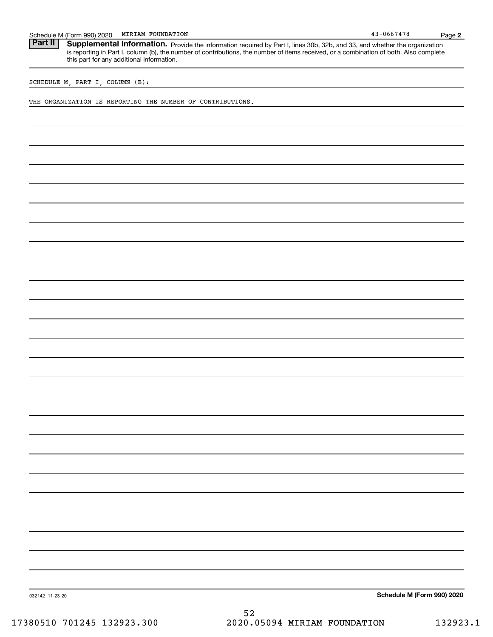|                 | Schedule M (Form 990) 2020<br>MIRIAM FOUNDATION                                                                                                                                                                                                                                                                   | 43-0667478                 | Page 2 |
|-----------------|-------------------------------------------------------------------------------------------------------------------------------------------------------------------------------------------------------------------------------------------------------------------------------------------------------------------|----------------------------|--------|
| Part II         | Supplemental Information. Provide the information required by Part I, lines 30b, 32b, and 33, and whether the organization<br>is reporting in Part I, column (b), the number of contributions, the number of items received, or a combination of both. Also complete<br>this part for any additional information. |                            |        |
|                 | SCHEDULE M, PART I, COLUMN (B):                                                                                                                                                                                                                                                                                   |                            |        |
|                 | THE ORGANIZATION IS REPORTING THE NUMBER OF CONTRIBUTIONS.                                                                                                                                                                                                                                                        |                            |        |
|                 |                                                                                                                                                                                                                                                                                                                   |                            |        |
|                 |                                                                                                                                                                                                                                                                                                                   |                            |        |
|                 |                                                                                                                                                                                                                                                                                                                   |                            |        |
|                 |                                                                                                                                                                                                                                                                                                                   |                            |        |
|                 |                                                                                                                                                                                                                                                                                                                   |                            |        |
|                 |                                                                                                                                                                                                                                                                                                                   |                            |        |
|                 |                                                                                                                                                                                                                                                                                                                   |                            |        |
|                 |                                                                                                                                                                                                                                                                                                                   |                            |        |
|                 |                                                                                                                                                                                                                                                                                                                   |                            |        |
|                 |                                                                                                                                                                                                                                                                                                                   |                            |        |
|                 |                                                                                                                                                                                                                                                                                                                   |                            |        |
|                 |                                                                                                                                                                                                                                                                                                                   |                            |        |
|                 |                                                                                                                                                                                                                                                                                                                   |                            |        |
|                 |                                                                                                                                                                                                                                                                                                                   |                            |        |
|                 |                                                                                                                                                                                                                                                                                                                   |                            |        |
|                 |                                                                                                                                                                                                                                                                                                                   |                            |        |
|                 |                                                                                                                                                                                                                                                                                                                   |                            |        |
|                 |                                                                                                                                                                                                                                                                                                                   |                            |        |
|                 |                                                                                                                                                                                                                                                                                                                   |                            |        |
|                 |                                                                                                                                                                                                                                                                                                                   |                            |        |
|                 |                                                                                                                                                                                                                                                                                                                   |                            |        |
|                 |                                                                                                                                                                                                                                                                                                                   |                            |        |
|                 |                                                                                                                                                                                                                                                                                                                   |                            |        |
| 032142 11-23-20 |                                                                                                                                                                                                                                                                                                                   | Schedule M (Form 990) 2020 |        |
|                 | につ                                                                                                                                                                                                                                                                                                                |                            |        |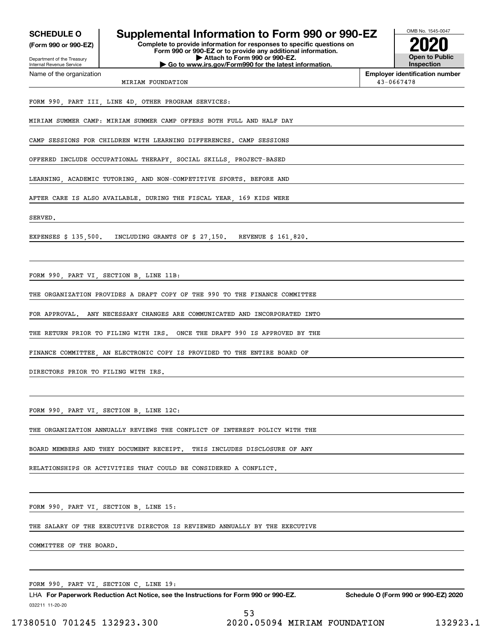**(Form 990 or 990-EZ)**

Department of the Treasury Internal Revenue Service Name of the organization

### **SCHEDULE O Supplemental Information to Form 990 or 990-EZ**

**Complete to provide information for responses to specific questions on Form 990 or 990-EZ or to provide any additional information. | Attach to Form 990 or 990-EZ. | Go to www.irs.gov/Form990 for the latest information.**



**Employer identification number** MIRIAM FOUNDATION 43-0667478

FORM 990, PART III, LINE 4D, OTHER PROGRAM SERVICES:

MIRIAM SUMMER CAMP: MIRIAM SUMMER CAMP OFFERS BOTH FULL AND HALF DAY

CAMP SESSIONS FOR CHILDREN WITH LEARNING DIFFERENCES. CAMP SESSIONS

OFFERED INCLUDE OCCUPATIONAL THERAPY, SOCIAL SKILLS, PROJECT-BASED

LEARNING, ACADEMIC TUTORING, AND NON-COMPETITIVE SPORTS. BEFORE AND

AFTER CARE IS ALSO AVAILABLE. DURING THE FISCAL YEAR, 169 KIDS WERE

SERVED.

EXPENSES \$ 135,500. INCLUDING GRANTS OF \$ 27,150. REVENUE \$ 161,820.

FORM 990, PART VI, SECTION B, LINE 11B:

THE ORGANIZATION PROVIDES A DRAFT COPY OF THE 990 TO THE FINANCE COMMITTEE

FOR APPROVAL. ANY NECESSARY CHANGES ARE COMMUNICATED AND INCORPORATED INTO

THE RETURN PRIOR TO FILING WITH IRS. ONCE THE DRAFT 990 IS APPROVED BY THE

FINANCE COMMITTEE, AN ELECTRONIC COPY IS PROVIDED TO THE ENTIRE BOARD OF

DIRECTORS PRIOR TO FILING WITH IRS.

FORM 990, PART VI, SECTION B, LINE 12C:

THE ORGANIZATION ANNUALLY REVIEWS THE CONFLICT OF INTEREST POLICY WITH THE

BOARD MEMBERS AND THEY DOCUMENT RECEIPT. THIS INCLUDES DISCLOSURE OF ANY

RELATIONSHIPS OR ACTIVITIES THAT COULD BE CONSIDERED A CONFLICT.

FORM 990, PART VI, SECTION B, LINE 15:

THE SALARY OF THE EXECUTIVE DIRECTOR IS REVIEWED ANNUALLY BY THE EXECUTIVE

COMMITTEE OF THE BOARD.

FORM 990, PART VI, SECTION C, LINE 19:

032211 11-20-20 LHA For Paperwork Reduction Act Notice, see the Instructions for Form 990 or 990-EZ. Schedule O (Form 990 or 990-EZ) 2020

17380510 701245 132923.300 2020.05094 MIRIAM FOUNDATION 132923.1

53